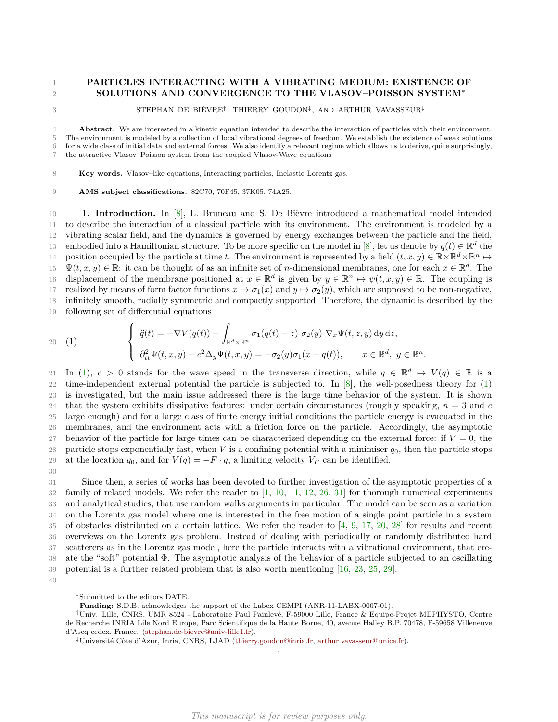# 1 **PARTICLES INTERACTING WITH A VIBRATING MEDIUM: EXISTENCE OF SOLUTIONS AND CONVERGENCE TO THE VLASOV–POISSON SYSTEM**<sup>∗</sup>

 $^{2}$ 

3 STEPHAN DE BIÈVRE<sup>†</sup>, THIERRY GOUDON<sup>‡</sup>, AND ARTHUR VAVASSEUR<sup>‡</sup>

 **Abstract.** We are interested in a kinetic equation intended to describe the interaction of particles with their environment. The environment is modeled by a collection of local vibrational degrees of freedom. We establish the existence of weak solutions for a wide class of initial data and external forces. We also identify a relevant regime which allows us to derive, quite surprisingly, the attractive Vlasov–Poisson system from the coupled Vlasov-Wave equations

8 **Key words.** Vlasov–like equations, Interacting particles, Inelastic Lorentz gas.

9 **AMS subject classifications.** 82C70, 70F45, 37K05, 74A25.

10 **1. Introduction.** In [\[8\]](#page-30-0), L. Bruneau and S. De Bièvre introduced a mathematical model intended 11 to describe the interaction of a classical particle with its environment. The environment is modeled by a 12 vibrating scalar field, and the dynamics is governed by energy exchanges between the particle and the field, embodied into a Hamiltonian structure. To be more specific on the model in [\[8\]](#page-30-0), let us denote by  $q(t) \in \mathbb{R}^d$  the position occupied by the particle at time *t*. The environment is represented by a field  $(t, x, y) \in \mathbb{R} \times \mathbb{R}^d \times \mathbb{R}^n \mapsto$ 15  $\Psi(t, x, y) \in \mathbb{R}$ : it can be thought of as an infinite set of *n*-dimensional membranes, one for each  $x \in \mathbb{R}^d$ . The 16 displacement of the membrane positioned at  $x \in \mathbb{R}^d$  is given by  $y \in \mathbb{R}^n \mapsto \psi(t, x, y) \in \mathbb{R}$ . The coupling is 17 realized by means of form factor functions  $x \mapsto \sigma_1(x)$  and  $y \mapsto \sigma_2(y)$ , which are supposed to be non-negative, 18 infinitely smooth, radially symmetric and compactly supported. Therefore, the dynamic is described by the 19 following set of differential equations

<span id="page-0-0"></span>
$$
(1) \qquad \begin{cases} \ddot{q}(t) = -\nabla V(q(t)) - \int_{\mathbb{R}^d \times \mathbb{R}^n} \sigma_1(q(t) - z) \ \sigma_2(y) \ \nabla_x \Psi(t, z, y) \, dy \, dz, \\ \partial_{tt}^2 \Psi(t, x, y) - c^2 \Delta_y \Psi(t, x, y) = -\sigma_2(y) \sigma_1(x - q(t)), \qquad x \in \mathbb{R}^d, \ y \in \mathbb{R}^n. \end{cases}
$$

11 In [\(1\)](#page-0-0),  $c > 0$  stands for the wave speed in the transverse direction, while  $q \in \mathbb{R}^d \mapsto V(q) \in \mathbb{R}$  is a 22 time-independent external potential the particle is subjected to. In [\[8\]](#page-30-0), the well-posedness theory for [\(1\)](#page-0-0) 23 is investigated, but the main issue addressed there is the large time behavior of the system. It is shown 24 that the system exhibits dissipative features: under certain circumstances (roughly speaking, *n* = 3 and *c* 25 large enough) and for a large class of finite energy initial conditions the particle energy is evacuated in the 26 membranes, and the environment acts with a friction force on the particle. Accordingly, the asymptotic 27 behavior of the particle for large times can be characterized depending on the external force: if  $V = 0$ , the 28 particle stops exponentially fast, when *V* is a confining potential with a minimiser  $q_0$ , then the particle stops 29 at the location  $q_0$ , and for  $V(q) = -F \cdot q$ , a limiting velocity  $V_F$  can be identified.

30

 Since then, a series of works has been devoted to further investigation of the asymptotic properties of a family of related models. We refer the reader to [\[1,](#page-30-1) [10,](#page-30-2) [11,](#page-30-3) [12,](#page-30-4) [26,](#page-30-5) [31\]](#page-31-0) for thorough numerical experiments and analytical studies, that use random walks arguments in particular. The model can be seen as a variation on the Lorentz gas model where one is interested in the free motion of a single point particle in a system of obstacles distributed on a certain lattice. We refer the reader to [\[4,](#page-30-6) [9,](#page-30-7) [17,](#page-30-8) [20,](#page-30-9) [28\]](#page-31-1) for results and recent overviews on the Lorentz gas problem. Instead of dealing with periodically or randomly distributed hard scatterers as in the Lorentz gas model, here the particle interacts with a vibrational environment, that cre- ate the "soft" potential Φ. The asymptotic analysis of the behavior of a particle subjected to an oscillating potential is a further related problem that is also worth mentioning [\[16,](#page-30-10) [23,](#page-30-11) [25,](#page-30-12) [29\]](#page-31-2).

<sup>∗</sup>Submitted to the editors DATE.

**Funding:** S.D.B. acknowledges the support of the Labex CEMPI (ANR-11-LABX-0007-01).

<sup>†</sup>Univ. Lille, CNRS, UMR 8524 - Laboratoire Paul Painlevé, F-59000 Lille, France & Equipe-Projet MEPHYSTO, Centre de Recherche INRIA Lile Nord Europe, Parc Scientifique de la Haute Borne, 40, avenue Halley B.P. 70478, F-59658 Villeneuve d'Ascq cedex, France. [\(stephan.de-bievre@univ-lille1.fr\)](mailto:stephan.de-bievre@univ-lille1.fr).

<sup>‡</sup>Université Côte d'Azur, Inria, CNRS, LJAD [\(thierry.goudon@inria.fr,](mailto:thierry.goudon@inria.fr) [arthur.vavasseur@unice.fr\)](mailto:arthur.vavasseur@unice.fr).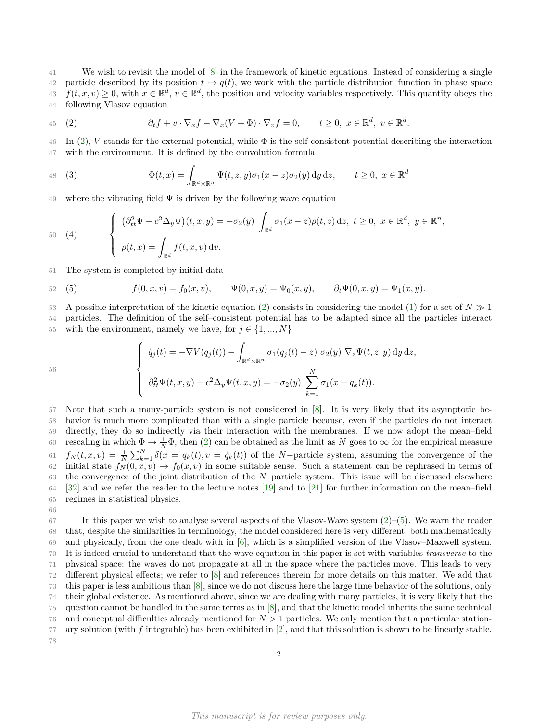We wish to revisit the model of [\[8\]](#page-30-0) in the framework of kinetic equations. Instead of considering a single 42 particle described by its position  $t \mapsto q(t)$ , we work with the particle distribution function in phase space  $f(t, x, v) \geq 0$ , with  $x \in \mathbb{R}^d$ ,  $v \in \mathbb{R}^d$ , the position and velocity variables respectively. This quantity obeys the following Vlasov equation

<span id="page-1-0"></span>45 (2) 
$$
\partial_t f + v \cdot \nabla_x f - \nabla_x (V + \Phi) \cdot \nabla_v f = 0, \quad t \ge 0, \ x \in \mathbb{R}^d, \ v \in \mathbb{R}^d.
$$

 $46$  In [\(2\)](#page-1-0), *V* stands for the external potential, while  $\Phi$  is the self-consistent potential describing the interaction 47 with the environment. It is defined by the convolution formula

<span id="page-1-3"></span>48 (3) 
$$
\Phi(t,x) = \int_{\mathbb{R}^d \times \mathbb{R}^n} \Psi(t,z,y) \sigma_1(x-z) \sigma_2(y) dy dz, \qquad t \ge 0, \ x \in \mathbb{R}^d
$$

where the vibrating field  $\Psi$  is driven by the following wave equation

<span id="page-1-2"></span>
$$
\begin{cases}\n(\partial_{tt}^2 \Psi - c^2 \Delta_y \Psi)(t, x, y) = -\sigma_2(y) \int_{\mathbb{R}^d} \sigma_1(x - z) \rho(t, z) dz, \ t \ge 0, \ x \in \mathbb{R}^d, \ y \in \mathbb{R}^n, \\
\rho(t, x) = \int_{\mathbb{R}^d} f(t, x, v) dv.\n\end{cases}
$$

51 The system is completed by initial data

66

<span id="page-1-1"></span>52 (5)  $f(0, x, v) = f_0(x, v), \quad \Psi(0, x, u) = \Psi_0(x, u), \quad \partial_t \Psi(0, x, u) = \Psi_1(x, u).$ 

53 A possible interpretation of the kinetic equation [\(2\)](#page-1-0) consists in considering the model [\(1\)](#page-0-0) for a set of  $N \gg 1$ 

54 particles. The definition of the self–consistent potential has to be adapted since all the particles interact 55 with the environment, namely we have, for  $j \in \{1, ..., N\}$ 

$$
\begin{cases}\n\ddot{q}_j(t) = -\nabla V(q_j(t)) - \int_{\mathbb{R}^d \times \mathbb{R}^n} \sigma_1(q_j(t) - z) \sigma_2(y) \nabla_z \Psi(t, z, y) \, dy \, dz, \\
\partial_{tt}^2 \Psi(t, x, y) - c^2 \Delta_y \Psi(t, x, y) = -\sigma_2(y) \sum_{k=1}^N \sigma_1(x - q_k(t)).\n\end{cases}
$$

 Note that such a many-particle system is not considered in [\[8\]](#page-30-0). It is very likely that its asymptotic be- havior is much more complicated than with a single particle because, even if the particles do not interact directly, they do so indirectly via their interaction with the membranes. If we now adopt the mean–field 60 rescaling in which  $\Phi \to \frac{1}{N}\Phi$ , then [\(2\)](#page-1-0) can be obtained as the limit as *N* goes to  $\infty$  for the empirical measure *f*<sup>*N*</sup>  $f_N(t, x, v) = \frac{1}{N} \sum_{k=1}^N \delta(x = q_k(t), v = \dot{q}_k(t))$  of the *N*−particle system, assuming the convergence of the 62 initial state  $f_N(0, x, v) \to f_0(x, v)$  in some suitable sense. Such a statement can be rephrased in terms of the convergence of the joint distribution of the *N*–particle system. This issue will be discussed elsewhere [\[32\]](#page-31-3) and we refer the reader to the lecture notes [\[19\]](#page-30-13) and to [\[21\]](#page-30-14) for further information on the mean–field regimes in statistical physics.

67 In this paper we wish to analyse several aspects of the Vlasov-Wave system  $(2)$ –[\(5\)](#page-1-1). We warn the reader that, despite the similarities in terminology, the model considered here is very different, both mathematically and physically, from the one dealt with in [\[6\]](#page-30-15), which is a simplified version of the Vlasov–Maxwell system. It is indeed crucial to understand that the wave equation in this paper is set with variables *transverse* to the physical space: the waves do not propagate at all in the space where the particles move. This leads to very different physical effects; we refer to [\[8\]](#page-30-0) and references therein for more details on this matter. We add that this paper is less ambitious than [\[8\]](#page-30-0), since we do not discuss here the large time behavior of the solutions, only their global existence. As mentioned above, since we are dealing with many particles, it is very likely that the question cannot be handled in the same terms as in [\[8\]](#page-30-0), and that the kinetic model inherits the same technical and conceptual difficulties already mentioned for *N >* 1 particles. We only mention that a particular station- ary solution (with *f* integrable) has been exhibited in [\[2\]](#page-30-16), and that this solution is shown to be linearly stable. 78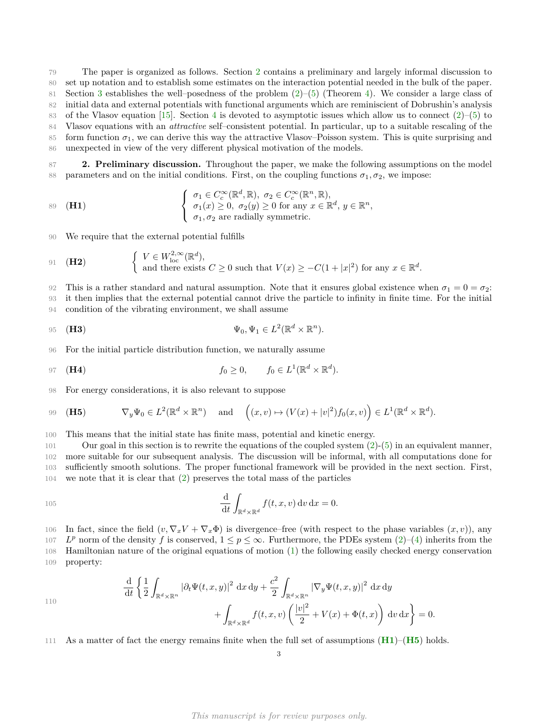79 The paper is organized as follows. Section [2](#page-2-0) contains a preliminary and largely informal discussion to 80 set up notation and to establish some estimates on the interaction potential needed in the bulk of the paper. 81 Section [3](#page-5-0) establishes the well–posedness of the problem  $(2)$ –[\(5\)](#page-1-1) (Theorem [4\)](#page-6-0). We consider a large class of 82 initial data and external potentials with functional arguments which are reminiscient of Dobrushin's analysis 83 of the Vlasov equation [\[15\]](#page-30-17). Section [4](#page-14-0) is devoted to asymptotic issues which allow us to connect  $(2)$ –[\(5\)](#page-1-1) to 84 Vlasov equations with an *attractive* self–consistent potential. In particular, up to a suitable rescaling of the 85 form function  $\sigma_1$ , we can derive this way the attractive Vlasov–Poisson system. This is quite surprising and

86 unexpected in view of the very different physical motivation of the models.

<span id="page-2-0"></span>87 **2. Preliminary discussion.** Throughout the paper, we make the following assumptions on the model 88 parameters and on the initial conditions. First, on the coupling functions  $\sigma_1, \sigma_2$ , we impose:

<span id="page-2-1"></span>
$$
\begin{cases}\n\sigma_1 \in C_c^{\infty}(\mathbb{R}^d, \mathbb{R}), \ \sigma_2 \in C_c^{\infty}(\mathbb{R}^n, \mathbb{R}), \\
\sigma_1(x) \ge 0, \ \sigma_2(y) \ge 0 \text{ for any } x \in \mathbb{R}^d, y \in \mathbb{R}^n, \\
\sigma_1, \sigma_2 \text{ are radially symmetric.}\n\end{cases}
$$

90 We require that the external potential fulfills

<span id="page-2-3"></span>91 (H2) 
$$
\begin{cases} V \in W^{2,\infty}_{\text{loc}}(\mathbb{R}^d), \\ \text{and there exists } C \ge 0 \text{ such that } V(x) \ge -C(1+|x|^2) \text{ for any } x \in \mathbb{R}^d. \end{cases}
$$

92 This is a rather standard and natural assumption. Note that it ensures global existence when  $\sigma_1 = 0 = \sigma_2$ . 93 it then implies that the external potential cannot drive the particle to infinity in finite time. For the initial 94 condition of the vibrating environment, we shall assume

<span id="page-2-4"></span>95 **(H3)** 
$$
\Psi_0, \Psi_1 \in L^2(\mathbb{R}^d \times \mathbb{R}^n).
$$

96 For the initial particle distribution function, we naturally assume

<span id="page-2-5"></span>97 **(H4)** 
$$
f_0 \geq 0, \qquad f_0 \in L^1(\mathbb{R}^d \times \mathbb{R}^d).
$$

98 For energy considerations, it is also relevant to suppose

110

<span id="page-2-2"></span>99 **(H5)** 
$$
\nabla_y \Psi_0 \in L^2(\mathbb{R}^d \times \mathbb{R}^n) \text{ and } \left((x,v) \mapsto (V(x) + |v|^2) f_0(x,v) \right) \in L^1(\mathbb{R}^d \times \mathbb{R}^d).
$$

100 This means that the initial state has finite mass, potential and kinetic energy.

 Our goal in this section is to rewrite the equations of the coupled system [\(2\)](#page-1-0)-[\(5\)](#page-1-1) in an equivalent manner, more suitable for our subsequent analysis. The discussion will be informal, with all computations done for sufficiently smooth solutions. The proper functional framework will be provided in the next section. First, we note that it is clear that [\(2\)](#page-1-0) preserves the total mass of the particles

105 
$$
\frac{\mathrm{d}}{\mathrm{d}t} \int_{\mathbb{R}^d \times \mathbb{R}^d} f(t, x, v) \, \mathrm{d}v \, \mathrm{d}x = 0.
$$

106 In fact, since the field  $(v, \nabla_x V + \nabla_x \Phi)$  is divergence–free (with respect to the phase variables  $(x, v)$ ), any

107  $L^p$  norm of the density *f* is conserved,  $1 \leq p \leq \infty$ . Furthermore, the PDEs system [\(2\)](#page-1-0)–[\(4\)](#page-1-2) inherits from the 108 Hamiltonian nature of the original equations of motion [\(1\)](#page-0-0) the following easily checked energy conservation 109 property:

$$
\frac{\mathrm{d}}{\mathrm{d}t} \left\{ \frac{1}{2} \int_{\mathbb{R}^d \times \mathbb{R}^n} |\partial_t \Psi(t, x, y)|^2 \, \mathrm{d}x \, \mathrm{d}y + \frac{c^2}{2} \int_{\mathbb{R}^d \times \mathbb{R}^n} |\nabla_y \Psi(t, x, y)|^2 \, \mathrm{d}x \, \mathrm{d}y + \int_{\mathbb{R}^d \times \mathbb{R}^d} f(t, x, v) \left( \frac{|v|^2}{2} + V(x) + \Phi(t, x) \right) \mathrm{d}v \, \mathrm{d}x \right\} = 0.
$$

111 As a matter of fact the energy remains finite when the full set of assumptions (**[H1](#page-2-1)**)–(**[H5](#page-2-2)**) holds.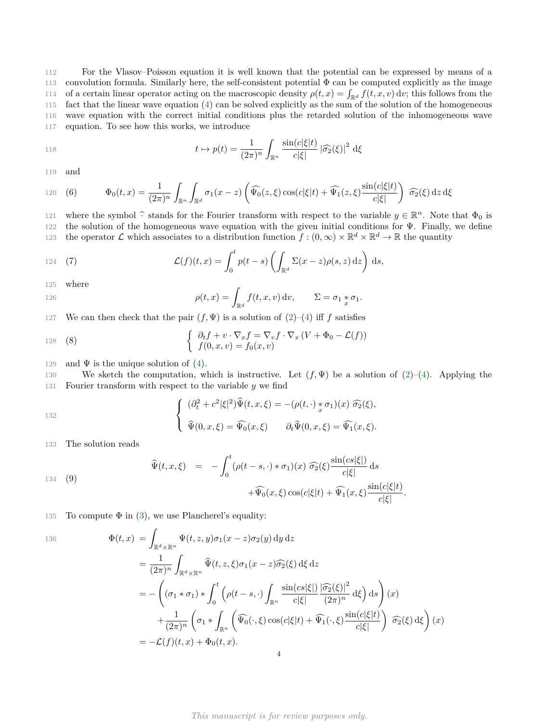For the Vlasov–Poisson equation it is well known that the potential can be expressed by means of a convolution formula. Similarly here, the self-consistent potential Φ can be computed explicitly as the image 114 of a certain linear operator acting on the macroscopic density  $\rho(t, x) = \int_{\mathbb{R}^d} f(t, x, v) dv$ ; this follows from the fact that the linear wave equation [\(4\)](#page-1-2) can be solved explicitly as the sum of the solution of the homogeneous wave equation with the correct initial conditions plus the retarded solution of the inhomogeneous wave equation. To see how this works, we introduce

118 
$$
t \mapsto p(t) = \frac{1}{(2\pi)^n} \int_{\mathbb{R}^n} \frac{\sin(c|\xi|t)}{c|\xi|} |\widehat{\sigma_2}(\xi)|^2 d\xi
$$

119 and

<span id="page-3-2"></span>120 (6) 
$$
\Phi_0(t,x) = \frac{1}{(2\pi)^n} \int_{\mathbb{R}^n} \int_{\mathbb{R}^d} \sigma_1(x-z) \left( \widehat{\Psi_0}(z,\xi) \cos(c|\xi|t) + \widehat{\Psi_1}(z,\xi) \frac{\sin(c|\xi|t)}{c|\xi|} \right) \widehat{\sigma_2}(\xi) dz d\xi
$$

where the symbol  $\hat{\cdot}$  stands for the Fourier transform with respect to the variable  $y \in \mathbb{R}^n$ . Note that  $\Phi_0$  is the colution of the homogeneous wave equation with the given initial conditions for  $\Psi$ . Finally, 122 the solution of the homogeneous wave equation with the given initial conditions for  $\Psi$ . Finally, we define the operator L which associates to a distribution function  $f:(0,\infty)\times\mathbb{R}^d\times\mathbb{R}^d\to\mathbb{R}$  the quantity

<span id="page-3-1"></span>124 (7) 
$$
\mathcal{L}(f)(t,x) = \int_0^t p(t-s) \left( \int_{\mathbb{R}^d} \Sigma(x-z) \rho(s,z) dz \right) ds,
$$

125 where

126 
$$
\rho(t,x) = \int_{\mathbb{R}^d} f(t,x,v) \, dv, \qquad \Sigma = \sigma_1 * \sigma_1.
$$

127 We can then check that the pair  $(f, \Psi)$  is a solution of  $(2)$ – $(4)$  iff *f* satisfies

<span id="page-3-0"></span>128 (8) 
$$
\begin{cases} \partial_t f + v \cdot \nabla_x f = \nabla_v f \cdot \nabla_x (V + \Phi_0 - \mathcal{L}(f)) \\ f(0, x, v) = f_0(x, v) \end{cases}
$$

129 and  $\Psi$  is the unique solution of [\(4\)](#page-1-2).

130 We sketch the computation, which is instructive. Let  $(f, \Psi)$  be a solution of  $(2)-(4)$  $(2)-(4)$  $(2)-(4)$ . Applying the 131 Fourier transform with respect to the variable *y* we find

*.*

$$
\begin{cases}\n(\partial_t^2 + c^2 |\xi|^2) \widehat{\Psi}(t, x, \xi) = -(\rho(t, \cdot) * \sigma_1)(x) \widehat{\sigma_2}(\xi), \\
\widehat{\Psi}(0, x, \xi) = \widehat{\Psi_0}(x, \xi) \qquad \partial_t \widehat{\Psi}(0, x, \xi) = \widehat{\Psi_1}(x, \xi).\n\end{cases}
$$

133 The solution reads

134

136

<span id="page-3-3"></span>(9)  

$$
\widehat{\Psi}(t,x,\xi) = -\int_0^t (\rho(t-s,\cdot) * \sigma_1)(x) \widehat{\sigma_2}(\xi) \frac{\sin(cs|\xi|)}{c|\xi|} ds
$$

$$
+ \widehat{\Psi_0}(x,\xi) \cos(c|\xi|t) + \widehat{\Psi_1}(x,\xi) \frac{\sin(c|\xi|t)}{c|\xi|}
$$

135 To compute  $\Phi$  in [\(3\)](#page-1-3), we use Plancherel's equality:

$$
\Phi(t,x) = \int_{\mathbb{R}^d \times \mathbb{R}^n} \Psi(t,z,y) \sigma_1(x-z) \sigma_2(y) \,dy \,dz
$$
\n
$$
= \frac{1}{(2\pi)^n} \int_{\mathbb{R}^d \times \mathbb{R}^n} \widehat{\Psi}(t,z,\xi) \sigma_1(x-z) \widehat{\sigma_2}(\xi) \,d\xi \,dz
$$
\n
$$
= -\left( (\sigma_1 * \sigma_1) * \int_0^t \left( \rho(t-s, \cdot) \int_{\mathbb{R}^n} \frac{\sin(c s|\xi|)}{c |\xi|} \frac{|\widehat{\sigma_2}(\xi)|^2}{(2\pi)^n} \,d\xi \right) \,ds \right)(x)
$$
\n
$$
+ \frac{1}{(2\pi)^n} \left( \sigma_1 * \int_{\mathbb{R}^n} \left( \widehat{\Psi_0}(\cdot,\xi) \cos(c |\xi|t) + \widehat{\Psi_1}(\cdot,\xi) \frac{\sin(c |\xi|t)}{c |\xi|} \right) \widehat{\sigma_2}(\xi) \,d\xi \right)(x)
$$
\n
$$
= -\mathcal{L}(f)(t,x) + \Phi_0(t,x).
$$

*This manuscript is for review purposes only.*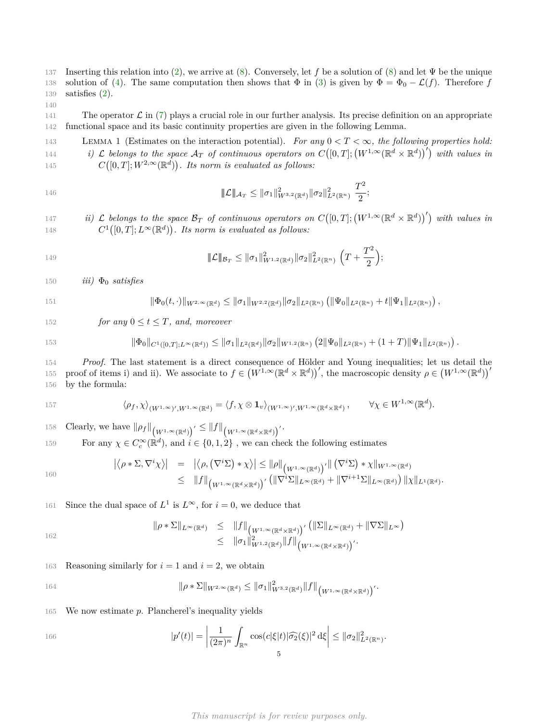137 Inserting this relation into [\(2\)](#page-1-0), we arrive at [\(8\)](#page-3-0). Conversely, let *f* be a solution of [\(8\)](#page-3-0) and let Ψ be the unique 138 solution of [\(4\)](#page-1-2). The same computation then shows that  $\Phi$  in [\(3\)](#page-1-3) is given by  $\Phi = \Phi_0 - \mathcal{L}(f)$ . Therefore *f* 139 satisfies [\(2\)](#page-1-0).

140

<span id="page-4-0"></span>141 The operator  $\mathcal L$  in [\(7\)](#page-3-1) plays a crucial role in our further analysis. Its precise definition on an appropriate 142 functional space and its basic continuity properties are given in the following Lemma.

<sup>143</sup> Lemma 1 (Estimates on the interaction potential). *For any* 0 *< T <* ∞*, the following properties hold:* 144 *i)*  $\mathcal L$  *belongs to the space*  $\mathcal A_T$  *of continuous operators on*  $C([0,T]; (W^{1,\infty}(\mathbb R^d \times \mathbb R^d))')$  *with values in* 145  $C([0,T]; W^{2,\infty}(\mathbb{R}^d))$ . Its norm is evaluated as follows:

$$
\|\mathcal{L}\|_{\mathcal{A}_T} \le \|\sigma_1\|_{W^{3,2}(\mathbb{R}^d)}^2 \|\sigma_2\|_{L^2(\mathbb{R}^n)}^2 \frac{T^2}{2};
$$

147 *ii)*  $\mathcal L$  belongs to the space  $\mathcal B_T$  of continuous operators on  $C([0,T]; (W^{1,\infty}(\mathbb R^d \times \mathbb R^d))')$  with values in 148  $C^1([0,T];L^\infty(\mathbb{R}^d))$ . Its norm is evaluated as follows:

149 
$$
\|\mathcal{L}\|_{\mathcal{B}_T} \leq \|\sigma_1\|_{W^{1,2}(\mathbb{R}^d)}^2 \|\sigma_2\|_{L^2(\mathbb{R}^n)}^2 \left(T + \frac{T^2}{2}\right);
$$

150  $iii)$   $\Phi_0$  *satisfies* 

$$
\|\Phi_0(t,\cdot)\|_{W^{2,\infty}(\mathbb{R}^d)} \le \|\sigma_1\|_{W^{2,2}(\mathbb{R}^d)} \|\sigma_2\|_{L^2(\mathbb{R}^n)} \left( \|\Psi_0\|_{L^2(\mathbb{R}^n)} + t \|\Psi_1\|_{L^2(\mathbb{R}^n)} \right),
$$

152 *for any*  $0 \le t \le T$ *, and, moreover* 

$$
\|\Phi_0\|_{C^1([0,T];L^\infty(\mathbb{R}^d))}\leq \|\sigma_1\|_{L^2(\mathbb{R}^d)} \|\sigma_2\|_{W^{1,2}(\mathbb{R}^n)} \left(2\|\Psi_0\|_{L^2(\mathbb{R}^n)} + (1+T)\|\Psi_1\|_{L^2(\mathbb{R}^n)}\right).
$$

154 *Proof.* The last statement is a direct consequence of Hölder and Young inequalities; let us detail the proof of items i) and ii). We associate to  $f \in (W^{1,\infty}(\mathbb{R}^d \times \mathbb{R}^d))'$ , the macroscopic density  $\rho \in (W^{1,\infty}(\mathbb{R}^d))'$ 155 156 by the formula:

$$
\langle \rho_f, \chi \rangle_{(W^{1,\infty})', W^{1,\infty}(\mathbb{R}^d)} = \langle f, \chi \otimes \mathbf{1}_v \rangle_{(W^{1,\infty})', W^{1,\infty}(\mathbb{R}^d \times \mathbb{R}^d)}, \qquad \forall \chi \in W^{1,\infty}(\mathbb{R}^d).
$$

158 Clearly, we have  $\|\rho_f\|_{(W^{1,\infty}(\mathbb{R}^d))'} \leq \|f\|_{(W^{1,\infty}(\mathbb{R}^d \times \mathbb{R}^d))'}.$ 

159 For any  $\chi \in C_c^{\infty}(\mathbb{R}^d)$ , and  $i \in \{0, 1, 2\}$ , we can check the following estimates

160  
\n
$$
\left| \langle \rho * \Sigma, \nabla^i \chi \rangle \right| = \left| \langle \rho, (\nabla^i \Sigma) * \chi \rangle \right| \leq ||\rho||_{(W^{1,\infty}(\mathbb{R}^d))'} \left| \left( \nabla^i \Sigma \right) * \chi \right|_{W^{1,\infty}(\mathbb{R}^d)}
$$
\n
$$
\leq \|f\|_{(W^{1,\infty}(\mathbb{R}^d \times \mathbb{R}^d))'} \left( \|\nabla^i \Sigma\|_{L^{\infty}(\mathbb{R}^d)} + \|\nabla^{i+1} \Sigma\|_{L^{\infty}(\mathbb{R}^d)} \right) \| \chi \|_{L^1(\mathbb{R}^d)}.
$$

161 Since the dual space of  $L^1$  is  $L^\infty$ , for  $i = 0$ , we deduce that

$$
\|\rho * \Sigma\|_{L^{\infty}(\mathbb{R}^d)} \leq \|f\|_{\left(W^{1,\infty}(\mathbb{R}^d \times \mathbb{R}^d)\right)'} \left(\|\Sigma\|_{L^{\infty}(\mathbb{R}^d)} + \|\nabla\Sigma\|_{L^{\infty}}\right)
$$
  

$$
\leq \|\sigma_1\|_{W^{1,2}(\mathbb{R}^d)}^2 \|f\|_{\left(W^{1,\infty}(\mathbb{R}^d \times \mathbb{R}^d)\right)'}.
$$

163 Reasoning similarly for  $i = 1$  and  $i = 2$ , we obtain

164 
$$
\|\rho * \Sigma\|_{W^{2,\infty}(\mathbb{R}^d)} \le \|\sigma_1\|_{W^{3,2}(\mathbb{R}^d)}^2 \|f\|_{\left(W^{1,\infty}(\mathbb{R}^d \times \mathbb{R}^d)\right)}'.
$$

165 We now estimate *p*. Plancherel's inequality yields

$$
|p'(t)| = \left|\frac{1}{(2\pi)^n} \int_{\mathbb{R}^n} \cos(c|\xi|t) |\widehat{\sigma_2}(\xi)|^2 d\xi\right| \leq ||\sigma_2||^2_{L^2(\mathbb{R}^n)}.
$$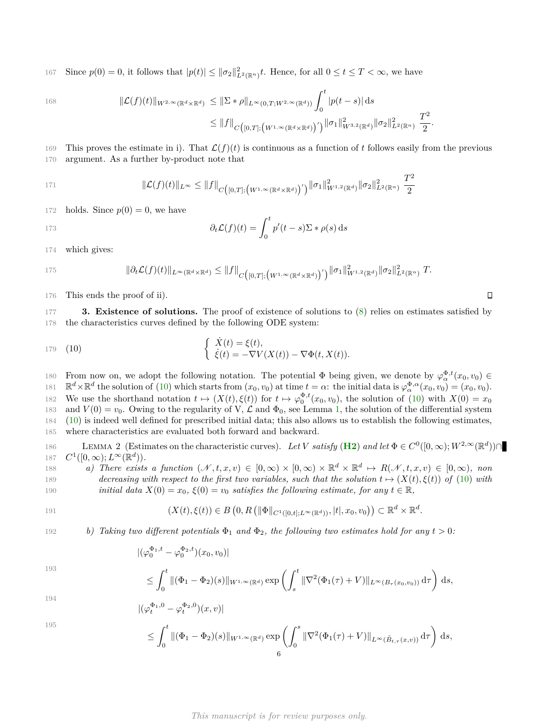Since  $p(0) = 0$ , it follows that  $|p(t)| \leq ||\sigma_2||^2_{L^2(\mathbb{R}^n)} t$ . Hence, for all  $0 \leq t \leq T < \infty$ , we have

168

$$
\begin{aligned} \|\mathcal{L}(f)(t)\|_{W^{2,\infty}(\mathbb{R}^d \times \mathbb{R}^d)} &\leq \|\Sigma \ast \rho\|_{L^{\infty}(0,T;W^{2,\infty}(\mathbb{R}^d))} \int_0^t |p(t-s)| \, \mathrm{d}s \\ &\leq \|f\|_{C\big([0,T];\big(W^{1,\infty}(\mathbb{R}^d \times \mathbb{R}^d)\big)'\big)} \|\sigma_1\|_{W^{3,2}(\mathbb{R}^d)}^2 \|\sigma_2\|_{L^2(\mathbb{R}^n)}^2 \, \frac{T^2}{2} \end{aligned}
$$

169 This proves the estimate in i). That  $\mathcal{L}(f)(t)$  is continuous as a function of t follows easily from the previous 170 argument. As a further by-product note that

$$
||\mathcal{L}(f)(t)||_{L^{\infty}} \leq ||f||_{C([0,T];(W^{1,\infty}(\mathbb{R}^d \times \mathbb{R}^d))'}) ||\sigma_1||_{W^{1,2}(\mathbb{R}^d)}^2 ||\sigma_2||_{L^2(\mathbb{R}^n)}^2 \frac{T^2}{2}
$$

172 holds. Since  $p(0) = 0$ , we have

$$
\partial_t \mathcal{L}(f)(t) = \int_0^t p'(t-s) \Sigma \ast \rho(s) \, \mathrm{d}s
$$

174 which gives:

$$
||\partial_t \mathcal{L}(f)(t)||_{L^{\infty}(\mathbb{R}^d \times \mathbb{R}^d)} \leq ||f||_{C([0,T];(W^{1,\infty}(\mathbb{R}^d \times \mathbb{R}^d))'}) ||\sigma_1||_{W^{1,2}(\mathbb{R}^d)}^2 ||\sigma_2||_{L^2(\mathbb{R}^n)}^2 T.
$$

176 This ends the proof of ii).

<span id="page-5-0"></span>177 **3. Existence of solutions.** The proof of existence of solutions to [\(8\)](#page-3-0) relies on estimates satisfied by 178 the characteristics curves defined by the following ODE system:

<span id="page-5-1"></span>
$$
\begin{aligned}\n\text{179} \quad (10) \quad \text{ } & \left\{ \begin{array}{l} \dot{X}(t) = \xi(t), \\ \dot{\xi}(t) = -\nabla V(X(t)) - \nabla \Phi(t, X(t)). \end{array} \right. \\
\end{aligned}
$$

From now on, we adopt the following notation. The potential  $\Phi$  being given, we denote by  $\varphi_{\alpha}^{\Phi,t}(x_0, v_0) \in$ 181  $\mathbb{R}^d \times \mathbb{R}^d$  the solution of [\(10\)](#page-5-1) which starts from  $(x_0, v_0)$  at time  $t = \alpha$ : the initial data is  $\varphi^{\Phi, \alpha}_\alpha(x_0, v_0) = (x_0, v_0)$ . 182 We use the shorthand notation  $t \mapsto (X(t), \xi(t))$  for  $t \mapsto \varphi_0^{\Phi, t}(x_0, v_0)$ , the solution of [\(10\)](#page-5-1) with  $X(0) = x_0$ 183 and  $V(0) = v_0$ . Owing to the regularity of V,  $\mathcal L$  and  $\Phi_0$ , see Lemma [1,](#page-4-0) the solution of the differential system 184 [\(10\)](#page-5-1) is indeed well defined for prescribed initial data; this also allows us to establish the following estimates, 185 where characteristics are evaluated both forward and backward.

<span id="page-5-2"></span>186 LEMMA 2 (Estimates on the characteristic curves). Let *V* satisfy (**[H2](#page-2-3)**) and let  $\Phi \in C^0([0,\infty); W^{2,\infty}(\mathbb{R}^d)) \cap$ 187  $C^1([0,\infty); L^\infty(\mathbb{R}^d))$ *.* 

188 *a) There exists a function*  $(\mathcal{N}, t, x, v) \in [0, \infty) \times [0, \infty) \times \mathbb{R}^d \times \mathbb{R}^d \mapsto R(\mathcal{N}, t, x, v) \in [0, \infty)$ *, non* 189 *decreasing with respect to the first two variables, such that the solution*  $t \mapsto (X(t), \xi(t))$  of [\(10\)](#page-5-1) with 190 *initial data*  $X(0) = x_0$ ,  $\xi(0) = v_0$  *satisfies the following estimate, for any*  $t \in \mathbb{R}$ ,

191 
$$
(X(t),\xi(t))\in B\left(0,R\left(\|\Phi\|_{C^1([0,t];L^\infty(\mathbb{R}^d))},|t|,x_0,v_0\right)\right)\subset\mathbb{R}^d\times\mathbb{R}^d.
$$

192 *b)* Taking two different potentials 
$$
\Phi_1
$$
 and  $\Phi_2$ , the following two estimates hold for any  $t > 0$ :

$$
|(\varphi_0^{\Phi_1,t}-\varphi_0^{\Phi_2,t})(x_0,v_0)|
$$

193

$$
\leq \int_0^t \|(\Phi_1 - \Phi_2)(s)\|_{W^{1,\infty}(\mathbb{R}^d)} \exp\left(\int_s^t \|\nabla^2(\Phi_1(\tau) + V)\|_{L^\infty(B_\tau(x_0,v_0))} d\tau\right) ds,
$$

194 
$$
|(\varphi_t^{\Phi_1,0}-\varphi_t^{\Phi_2,0})(x,v)|
$$

195

$$
\leq \int_0^t \|(\Phi_1 - \Phi_2)(s)\|_{W^{1,\infty}(\mathbb{R}^d)} \exp\left(\int_0^s \|\nabla^2(\Phi_1(\tau) + V)\|_{L^\infty(\tilde{B}_{t,\tau}(x,v))} d\tau\right) ds,
$$

## *This manuscript is for review purposes only.*

 $\Box$ 

*.*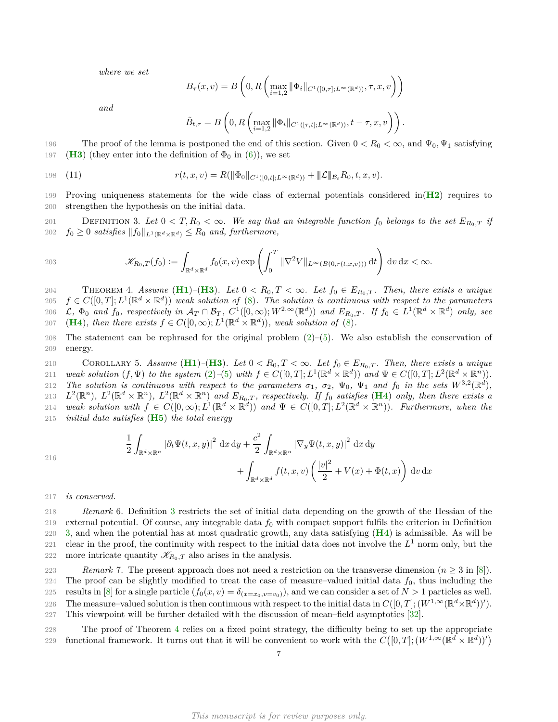*where we set*

$$
B_{\tau}(x,v) = B\left(0, R\left(\max_{i=1,2} \|\Phi_i\|_{C^1([0,\tau];L^{\infty}(\mathbb{R}^d))}, \tau, x, v\right)\right)
$$

*and*

<span id="page-6-2"></span><span id="page-6-1"></span>
$$
\tilde{B}_{t,\tau}=B\left(0,R\left(\max_{i=1,2}\|\Phi_i\|_{C^1([\tau,t];L^\infty(\mathbb{R}^d))},t-\tau,x,v\right)\right).
$$

196 The proof of the lemma is postponed the end of this section. Given  $0 < R_0 < \infty$ , and  $\Psi_0, \Psi_1$  satisfying 197 (**[H3](#page-2-4)**) (they enter into the definition of  $\Phi_0$  in [\(6\)](#page-3-2)), we set

198 (11) 
$$
r(t,x,v) = R(||\Phi_0||_{C^1([0,t];L^\infty(\mathbb{R}^d))} + ||\mathcal{L}||_{\mathcal{B}_t} R_0, t, x, v).
$$

199 Proving uniqueness statements for the wide class of external potentials considered in(**[H2](#page-2-3)**) requires to 200 strengthen the hypothesis on the initial data.

201 DEFINITION 3. Let  $0 < T$ ,  $R_0 < \infty$ . We say that an integrable function  $f_0$  belongs to the set  $E_{R_0,T}$  if *f*<sub>0</sub>  $\geq$  *0 satisfies*  $||f_0||_{L^1(\mathbb{R}^d \times \mathbb{R}^d)} \leq R_0$  *and, furthermore,* 

203 
$$
\mathscr{K}_{R_0,T}(f_0) := \int_{\mathbb{R}^d \times \mathbb{R}^d} f_0(x,v) \exp\left(\int_0^T \|\nabla^2 V\|_{L^\infty(B(0,r(t,x,v)))} \,\mathrm{d} t\right) \,\mathrm{d} v \,\mathrm{d} x < \infty.
$$

<span id="page-6-0"></span>204 THEOREM 4. *Assume* (**[H1](#page-2-1)**)–(**[H3](#page-2-4)**). Let  $0 < R_0, T < \infty$ . Let  $f_0 \in E_{R_0,T}$ . Then, there exists a unique 205  $f \in C([0,T]; L^1(\mathbb{R}^d \times \mathbb{R}^d))$  weak solution of [\(8\)](#page-3-0). The solution is continuous with respect to the parameters 206 L,  $\Phi_0$  and  $f_0$ , respectively in  $\mathcal{A}_T \cap \mathcal{B}_T$ ,  $C^1([0,\infty);W^{2,\infty}(\mathbb{R}^d))$  and  $E_{R_0,T}$ . If  $f_0 \in L^1(\mathbb{R}^d \times \mathbb{R}^d)$  only, see 207 (**[H4](#page-2-5)**)*, then there exists*  $f \in C([0,\infty); L^1(\mathbb{R}^d \times \mathbb{R}^d))$ *, weak solution of* [\(8\)](#page-3-0).

208 The statement can be rephrased for the original problem [\(2\)](#page-1-0)–[\(5\)](#page-1-1). We also establish the conservation of 209 energy.

<span id="page-6-3"></span>210 COROLLARY 5. Assume  $(H1)-(H3)$  $(H1)-(H3)$  $(H1)-(H3)$  $(H1)-(H3)$  $(H1)-(H3)$ . Let  $0 < R_0, T < \infty$ . Let  $f_0 \in E_{R_0,T}$ . Then, there exists a unique 211 weak solution  $(f, \Psi)$  to the system  $(2)$ -[\(5\)](#page-1-1) with  $f \in C([0,T]; L^1(\mathbb{R}^d \times \mathbb{R}^d))$  and  $\Psi \in C([0,T]; L^2(\mathbb{R}^d \times \mathbb{R}^n))$ . *The solution is continuous with respect to the parameters*  $\sigma_1$ ,  $\sigma_2$ ,  $\Psi_0$ ,  $\Psi_1$  and  $f_0$  *in the sets*  $W^{3,2}(\mathbb{R}^d)$ , 213  $L^2(\mathbb{R}^n)$ ,  $L^2(\mathbb{R}^d \times \mathbb{R}^n)$ ,  $L^2(\mathbb{R}^d \times \mathbb{R}^n)$  and  $E_{R_0,T}$ , respectively. If  $f_0$  satisfies ([H4](#page-2-5)) only, then there exists a  $P(214 \text{ weak solution with } f \in C([0,\infty); L^{1}(\mathbb{R}^d \times \mathbb{R}^d)) \text{ and } \Psi \in C([0,T]; L^{2}(\mathbb{R}^d \times \mathbb{R}^n)).$  Furthermore, when the 215 *initial data satisfies* (**[H5](#page-2-2)**) *the total energy*

$$
216\,
$$

$$
\frac{1}{2} \int_{\mathbb{R}^d \times \mathbb{R}^n} |\partial_t \Psi(t, x, y)|^2 dx dy + \frac{c^2}{2} \int_{\mathbb{R}^d \times \mathbb{R}^n} |\nabla_y \Psi(t, x, y)|^2 dx dy
$$

$$
+ \int_{\mathbb{R}^d \times \mathbb{R}^d} f(t, x, v) \left( \frac{|v|^2}{2} + V(x) + \Phi(t, x) \right) dv dx
$$

217 *is conserved.*

218 *Remark* 6. Definition [3](#page-6-1) restricts the set of initial data depending on the growth of the Hessian of the 219 external potential. Of course, any integrable data  $f_0$  with compact support fulfils the criterion in Definition 220 [3,](#page-6-1) and when the potential has at most quadratic growth, any data satisfying (**[H4](#page-2-5)**) is admissible. As will be 221 clear in the proof, the continuity with respect to the initial data does not involve the  $L^1$  norm only, but the 222 more intricate quantity  $\mathscr{K}_{R_0,T}$  also arises in the analysis.

223 *Remark* 7. The present approach does not need a restriction on the transverse dimension  $(n \geq 3$  in [\[8\]](#page-30-0)). 224 The proof can be slightly modified to treat the case of measure–valued initial data  $f_0$ , thus including the 225 results in [\[8\]](#page-30-0) for a single particle  $(f_0(x, v) = \delta_{(x=x_0, v=v_0)})$ , and we can consider a set of  $N > 1$  particles as well. The measure–valued solution is then continuous with respect to the initial data in  $C([0,T]; (W^{1,\infty}(\mathbb{R}^d \times \mathbb{R}^d))')$ . 227 This viewpoint will be further detailed with the discussion of mean–field asymptotics [\[32\]](#page-31-3).

228 The proof of Theorem [4](#page-6-0) relies on a fixed point strategy, the difficulty being to set up the appropriate functional framework. It turns out that it will be convenient to work with the  $C([0,T]; (W^{1,\infty}(\mathbb{R}^d \times \mathbb{R}^d))')$ 229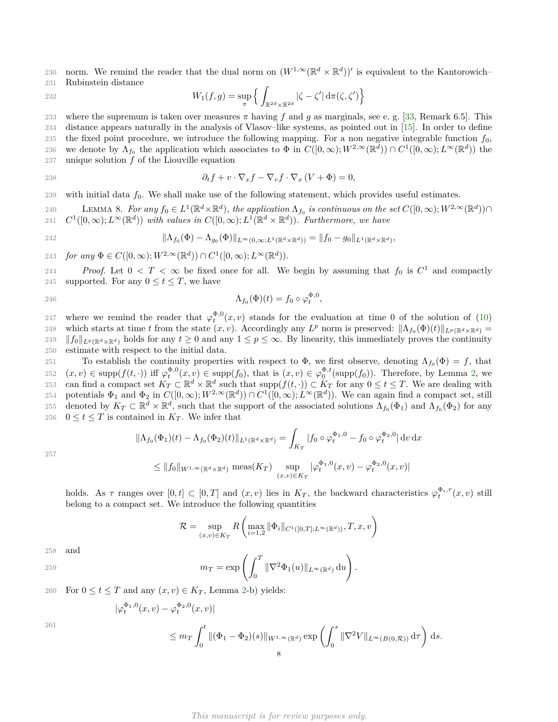230 norm. We remind the reader that the dual norm on  $(W^{1,\infty}(\mathbb{R}^d \times \mathbb{R}^d))'$  is equivalent to the Kantorowich– 231 Rubinstein distance

 $W_1(f, g) = \sup_{\pi}$  $\int$  $\mathbb{R}^{2d} \times \mathbb{R}^{2d}$  $|\zeta - \zeta'| \, \mathrm{d}\pi(\zeta, \zeta')\}$ 232

233 where the supremum is taken over measures  $\pi$  having f and g as marginals, see e. g. [\[33,](#page-31-4) Remark 6.5]. This 234 distance appears naturally in the analysis of Vlasov–like systems, as pointed out in [\[15\]](#page-30-17). In order to define 235 the fixed point procedure, we introduce the following mapping. For a non negative integrable function *f*0, 236 we denote by  $\Lambda_{f_0}$  the application which associates to  $\Phi$  in  $C([0,\infty); W^{2,\infty}(\mathbb{R}^d)) \cap C^1([0,\infty); L^{\infty}(\mathbb{R}^d))$  the 237 unique solution *f* of the Liouville equation

$$
\partial_t f + v \cdot \nabla_x f - \nabla_v f \cdot \nabla_x (V + \Phi) = 0,
$$

239 with initial data  $f_0$ . We shall make use of the following statement, which provides useful estimates.

240 **LEMMA 8.** For any  $f_0$  ∈  $L^1(\mathbb{R}^d \times \mathbb{R}^d)$ , the application  $Λ_{f_0}$  is continuous on the set  $C([0, ∞); W^{2, ∞}(\mathbb{R}^d)) ∩$ 241  $C^1([0,\infty); L^\infty(\mathbb{R}^d))$  *with values in*  $C([0,\infty); L^1(\mathbb{R}^d \times \mathbb{R}^d))$ . Furthermore, we have

$$
||\Lambda_{f_0}(\Phi) - \Lambda_{g_0}(\Phi)||_{L^{\infty}(0,\infty;L^1(\mathbb{R}^d \times \mathbb{R}^d))} = ||f_0 - g_0||_{L^1(\mathbb{R}^d \times \mathbb{R}^d)},
$$

243 *for any*  $\Phi \in C([0,\infty); W^{2,\infty}(\mathbb{R}^d)) \cap C^1([0,\infty); L^{\infty}(\mathbb{R}^d)).$ 

*Proof.* Let  $0 < T < \infty$  be fixed once for all. We begin by assuming that  $f_0$  is  $C^1$  and compactly 245 supported. For any  $0 \le t \le T$ , we have

$$
\Lambda_{f_0}(\Phi)(t) = f_0 \circ \varphi_t^{\Phi,0},
$$

247 where we remind the reader that  $\varphi_t^{\Phi,0}(x,v)$  stands for the evaluation at time 0 of the solution of [\(10\)](#page-5-1) 248 which starts at time *t* from the state  $(x, v)$ . Accordingly any  $L^p$  norm is preserved:  $\|\Lambda_{f_0}(\Phi)(t)\|_{L^p(\mathbb{R}^d \times \mathbb{R}^d)} =$ 249  $||f_0||_{L^p(\mathbb{R}^d \times \mathbb{R}^d)}$  holds for any  $t \ge 0$  and any  $1 \le p \le \infty$ . By linearity, this immediately proves the continuity 250 estimate with respect to the initial data.

 $251$  To establish the continuity properties with respect to  $\Phi$ , we first observe, denoting  $\Lambda_{f_0}(\Phi) = f$ , that 252  $(x, v) \in \text{supp}(f(t, \cdot))$  iff  $\varphi_t^{\Phi,0}(x, v) \in \text{supp}(f_0)$ , that is  $(x, v) \in \varphi_0^{\Phi, t}(\text{supp}(f_0))$ . Therefore, by Lemma [2,](#page-5-2) we can find a compact set  $K_T \subset \mathbb{R}^d \times \mathbb{R}^d$  such that  $\text{supp}(f(t, \cdot)) \subset K_T$  for any  $0 \le t \le T$ . We are dealing with 254 potentials  $\Phi_1$  and  $\Phi_2$  in  $C([0,\infty); W^{2,\infty}(\mathbb{R}^d)) \cap C^1([0,\infty); L^{\infty}(\mathbb{R}^d))$ . We can again find a compact set, still 255 denoted by  $K_T \subset \mathbb{R}^d \times \mathbb{R}^d$ , such that the support of the associated solutions  $\Lambda_{f_0}(\Phi_1)$  and  $\Lambda_{f_0}(\Phi_2)$  for any 256  $0 \le t \le T$  is contained in  $K_T$ . We infer that

<span id="page-7-0"></span>
$$
\|\Lambda_{f_0}(\Phi_1)(t) - \Lambda_{f_0}(\Phi_2)(t)\|_{L^1(\mathbb{R}^d \times \mathbb{R}^d)} = \int_{K_T} |f_0 \circ \varphi_t^{\Phi_1,0} - f_0 \circ \varphi_t^{\Phi_2,0}| \,dv \,dx
$$
  
\n
$$
\leq \|f_0\|_{W^{1,\infty}(\mathbb{R}^d \times \mathbb{R}^d)} \operatorname{meas}(K_T) \sup_{(x,v) \in K_T} |\varphi_t^{\Phi_1,0}(x,v) - \varphi_t^{\Phi_2,0}(x,v)|
$$

257

holds. As 
$$
\tau
$$
 ranges over  $[0, t] \subset [0, T]$  and  $(x, v)$  lies in  $K_T$ , the backward characteristics  $\varphi_t^{\Phi_i, \tau}(x, v)$  still belong to a compact set. We introduce the following quantities

$$
\mathcal{R} = \sup_{(x,v)\in K_T} R\left(\max_{i=1,2} \|\Phi_i\|_{C^1([0,T];L^\infty(\mathbb{R}^d))}, T, x, v\right)
$$

$$
258 \quad \text{and} \quad
$$

$$
m_T = \exp\left(\int_0^T \|\nabla^2 \Phi_1(u)\|_{L^\infty(\mathbb{R}^d)}\,\mathrm{d}u\right).
$$

260 For 
$$
0 \le t \le T
$$
 and any  $(x, v) \in K_T$ , Lemma 2-b) yields:

$$
\begin{aligned} |\varphi_t^{\Phi_1,0}(x,v) - \varphi_t^{\Phi_2,0}(x,v)| \\ &\le m_T \int_0^t \|(\Phi_1 - \Phi_2)(s)\|_{W^{1,\infty}(\mathbb{R}^d)} \exp\left(\int_0^s \|\nabla^2 V\|_{L^\infty(B(0,\mathcal{R}))} \,\mathrm{d}\tau\right) \,\mathrm{d}s. \end{aligned}
$$

261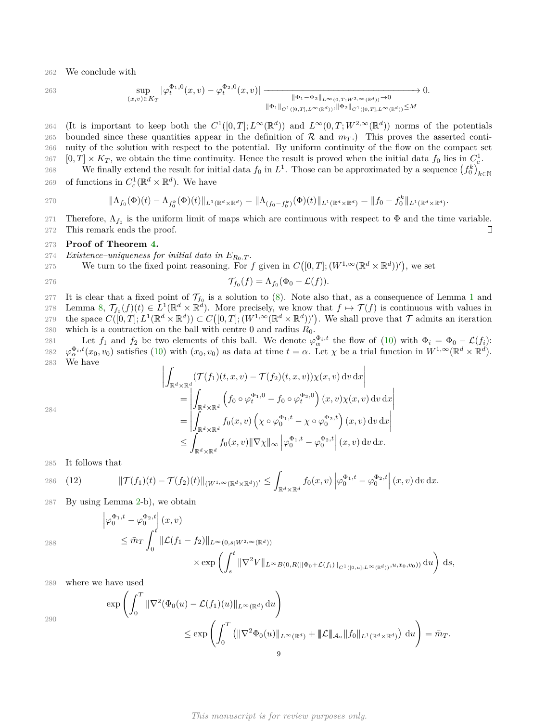262 We conclude with

263 
$$
\sup_{(x,v)\in K_T} |\varphi_t^{\Phi_1,0}(x,v) - \varphi_t^{\Phi_2,0}(x,v)| \xrightarrow{\|\Phi_1 - \Phi_2\|_{L^{\infty}(0,T;W^{2,\infty}(\mathbb{R}^d))}\to 0} 0.
$$

264 (It is important to keep both the  $C^1([0,T];L^\infty(\mathbb{R}^d))$  and  $L^\infty(0,T;W^{2,\infty}(\mathbb{R}^d))$  norms of the potentials 265 bounded since these quantities appear in the definition of  $\mathcal{R}$  and  $m<sub>T</sub>$ .) This proves the asserted conti-266 nuity of the solution with respect to the potential. By uniform continuity of the flow on the compact set 267  $[0, T] \times K_T$ , we obtain the time continuity. Hence the result is proved when the initial data  $f_0$  lies in  $C_c^1$ .

We finally extend the result for initial data  $f_0$  in  $L^1$ . Those can be approximated by a sequence  $(f_0^k)_{k \in \mathbb{N}}$ 268 269 of functions in  $C_c^1(\mathbb{R}^d \times \mathbb{R}^d)$ . We have

270 
$$
\|\Lambda_{f_0}(\Phi)(t)-\Lambda_{f_0^k}(\Phi)(t)\|_{L^1(\mathbb{R}^d\times\mathbb{R}^d)}=\|\Lambda_{(f_0-f_0^k)}(\Phi)(t)\|_{L^1(\mathbb{R}^d\times\mathbb{R}^d)}=\|f_0-f_0^k\|_{L^1(\mathbb{R}^d\times\mathbb{R}^d)}.
$$

271 Therefore,  $\Lambda_{f_0}$  is the uniform limit of maps which are continuous with respect to  $\Phi$  and the time variable. 272 This remark ends the proof.  $\Box$ 

### 273 **Proof of Theorem [4.](#page-6-0)**

274 *Existence–uniqueness for initial data in*  $E_{R_0,T}$ .

275 We turn to the fixed point reasoning. For f given in  $C([0,T]; (W^{1,\infty}(\mathbb{R}^d \times \mathbb{R}^d))')$ , we set

$$
\mathcal{T}_{f_0}(f) = \Lambda_{f_0}(\Phi_0 - \mathcal{L}(f)).
$$

277 It is clear that a fixed point of  $\mathcal{T}_{f_0}$  is a solution to [\(8\)](#page-3-0). Note also that, as a consequence of Lemma [1](#page-4-0) and 278 Lemma [8,](#page-7-0)  $\mathcal{T}_{f_0}(f)(t) \in L^1(\mathbb{R}^d \times \mathbb{R}^d)$ . More precisely, we know that  $f \mapsto \mathcal{T}(f)$  is continuous with values in 279 the space  $C([0,T]; L^1(\mathbb{R}^d \times \mathbb{R}^d)) \subset C([0,T]; (W^{1,\infty}(\mathbb{R}^d \times \mathbb{R}^d))')$ . We shall prove that  $\mathcal T$  admits an iteration 280 which is a contraction on the ball with centre 0 and radius  $R_0$ .

281 Let  $f_1$  and  $f_2$  be two elements of this ball. We denote  $\varphi_{\alpha}^{\Phi_i,t}$  the flow of [\(10\)](#page-5-1) with  $\Phi_i = \Phi_0 - \mathcal{L}(f_i)$ : 282  $\varphi_{\alpha}^{\Phi_i,t}(x_0,v_0)$  satisfies [\(10\)](#page-5-1) with  $(x_0,v_0)$  as data at time  $t=\alpha$ . Let  $\chi$  be a trial function in  $W^{1,\infty}(\mathbb{R}^d \times \mathbb{R}^d)$ . 283 We have

$$
\left| \int_{\mathbb{R}^d \times \mathbb{R}^d} (\mathcal{T}(f_1)(t, x, v) - \mathcal{T}(f_2)(t, x, v)) \chi(x, v) \, dv \, dx \right|
$$
\n
$$
= \left| \int_{\mathbb{R}^d \times \mathbb{R}^d} \left( f_0 \circ \varphi_t^{\Phi_1, 0} - f_0 \circ \varphi_t^{\Phi_2, 0} \right) (x, v) \chi(x, v) \, dv \, dx \right|
$$
\n
$$
= \left| \int_{\mathbb{R}^d \times \mathbb{R}^d} f_0(x, v) \left( \chi \circ \varphi_0^{\Phi_1, t} - \chi \circ \varphi_0^{\Phi_2, t} \right) (x, v) \, dv \, dx \right|
$$
\n
$$
\leq \int_{\mathbb{R}^d \times \mathbb{R}^d} f_0(x, v) \|\nabla \chi\|_{\infty} \left| \varphi_0^{\Phi_1, t} - \varphi_0^{\Phi_2, t} \right| (x, v) \, dv \, dx.
$$

285 It follows that

286 (12) 
$$
\|\mathcal{T}(f_1)(t) - \mathcal{T}(f_2)(t)\|_{(W^{1,\infty}(\mathbb{R}^d \times \mathbb{R}^d))'} \leq \int_{\mathbb{R}^d \times \mathbb{R}^d} f_0(x,v) \left| \varphi_0^{\Phi_1,t} - \varphi_0^{\Phi_2,t} \right|(x,v) dv dx.
$$

287 By using Lemma [2-](#page-5-2)b), we obtain

288

284

<span id="page-8-0"></span>
$$
\left| \varphi_0^{\Phi_1,t} - \varphi_0^{\Phi_2,t} \right| (x,v) \n\leq \bar{m}_T \int_0^t \| \mathcal{L}(f_1 - f_2) \|_{L^\infty(0,s;W^{2,\infty}(\mathbb{R}^d))} \n\times \exp \left( \int_s^t \|\nabla^2 V\|_{L^\infty B(0,R(\|\Phi_0 + \mathcal{L}(f_i)\|_{C^1([0,u];L^\infty(\mathbb{R}^d))}, u, x_0, v_0))} du \right) ds,
$$

289 where we have used

$$
\exp\left(\int_0^T \|\nabla^2(\Phi_0(u) - \mathcal{L}(f_1)(u)\|_{L^\infty(\mathbb{R}^d)} du\right)
$$
  

$$
\leq \exp\left(\int_0^T \left(\|\nabla^2\Phi_0(u)\|_{L^\infty(\mathbb{R}^d)} + \|\mathcal{L}\|_{\mathcal{A}_u} \|f_0\|_{L^1(\mathbb{R}^d \times \mathbb{R}^d)}\right) du\right) = \bar{m}_T.
$$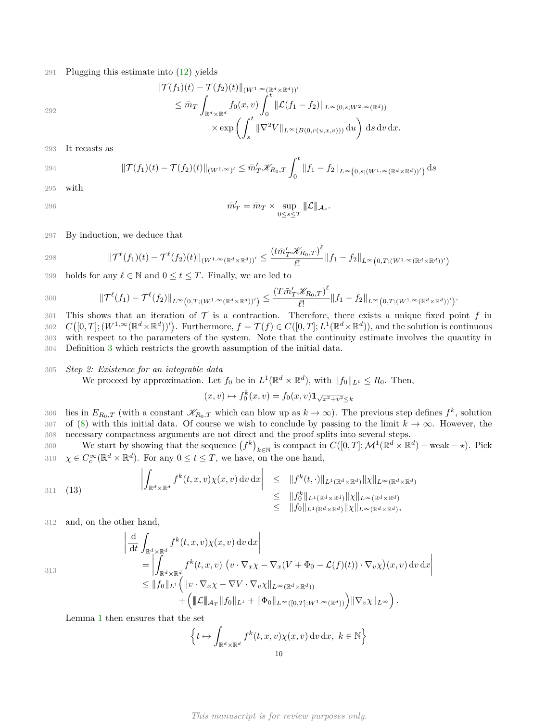291 Plugging this estimate into [\(12\)](#page-8-0) yields

292

$$
\begin{aligned} \|\mathcal{T}(f_1)(t)-\mathcal{T}(f_2)(t)\|_{(W^{1,\infty}(\mathbb{R}^d \times \mathbb{R}^d))'}\\ &\leq \bar{m}_T \int_{\mathbb{R}^d \times \mathbb{R}^d} f_0(x,v) \int_0^t \|\mathcal{L}(f_1-f_2)\|_{L^\infty(0,s;W^{2,\infty}(\mathbb{R}^d))}\\ &\times \exp\left(\int_s^t \|\nabla^2 V\|_{L^\infty(B(0,r(u,x,v)))} \,\mathrm{d} u\right) \,\mathrm{d} s \,\mathrm{d} v \,\mathrm{d} x. \end{aligned}
$$

293 It recasts as

294 
$$
\|\mathcal{T}(f_1)(t) - \mathcal{T}(f_2)(t)\|_{(W^{1,\infty})'} \leq \bar{m}_T' \mathscr{K}_{R_0,T} \int_0^t \|f_1 - f_2\|_{L^{\infty}(0,s;(W^{1,\infty}(\mathbb{R}^d \times \mathbb{R}^d))')}\ ds
$$

295 with

$$
\bar{m}'_T = \bar{m}_T \times \sup_{0 \le s \le T} |\!|\!| \mathcal{L} |\!|\!|_{\mathcal{A}_s}.
$$

297 By induction, we deduce that

298 
$$
\|\mathcal{T}^{\ell}(f_1)(t) - \mathcal{T}^{\ell}(f_2)(t)\|_{(W^{1,\infty}(\mathbb{R}^d \times \mathbb{R}^d))'} \leq \frac{(t\bar{m}_T'\mathcal{K}_{R_0,T})^{\ell}}{\ell!} \|f_1 - f_2\|_{L^{\infty}(0,T;(W^{1,\infty}(\mathbb{R}^d \times \mathbb{R}^d))')}
$$

299 holds for any  $\ell \in \mathbb{N}$  and  $0 \le t \le T$ . Finally, we are led to

300 
$$
\|\mathcal{T}^{\ell}(f_1)-\mathcal{T}^{\ell}(f_2)\|_{L^{\infty}(0,T;(W^{1,\infty}(\mathbb{R}^d \times \mathbb{R}^d))')}\leq \frac{(T\bar{m}_{T}'\mathscr{K}_{R_0,T})^{\ell}}{\ell!} \|f_1-f_2\|_{L^{\infty}(0,T;(W^{1,\infty}(\mathbb{R}^d \times \mathbb{R}^d))')}.
$$

301 This shows that an iteration of  $\mathcal T$  is a contraction. Therefore, there exists a unique fixed point  $f$  in  $C([0,T]; (W^{1,\infty}(\mathbb{R}^d \times \mathbb{R}^d))')$ . Furthermore,  $f = \mathcal{T}(f) \in C([0,T]; L^1(\mathbb{R}^d \times \mathbb{R}^d))$ , and the solution is continuous with respect to the parameters of the system. Note that the continuity estimate involves the quantity in Definition [3](#page-6-1) which restricts the growth assumption of the initial data.

### 305 *Step 2: Existence for an integrable data*

We proceed by approximation. Let  $f_0$  be in  $L^1(\mathbb{R}^d \times \mathbb{R}^d)$ , with  $||f_0||_{L^1} \leq R_0$ . Then,

$$
(x,v)\mapsto f_0^k(x,v)=f_0(x,v)\mathbf{1}_{\sqrt{x^2+v^2}\leq k}
$$

lies in  $E_{R_0,T}$  (with a constant  $\mathscr{K}_{R_0,T}$  which can blow up as  $k \to \infty$ ). The previous step defines  $f^k$ , solution 307 of [\(8\)](#page-3-0) with this initial data. Of course we wish to conclude by passing to the limit  $k \to \infty$ . However, the 308 necessary compactness arguments are not direct and the proof splits into several steps.

We start by showing that the sequence  $(f^k)_{k\in\mathbb{N}}$  is compact in  $C([0,T];\mathcal{M}^1(\mathbb{R}^d\times\mathbb{R}^d))$  weak  $-\star$ ). Pick 310  $\chi \in C_c^{\infty}(\mathbb{R}^d \times \mathbb{R}^d)$ . For any  $0 \le t \le T$ , we have, on the one hand,

$$
\left| \int_{\mathbb{R}^d \times \mathbb{R}^d} f^k(t, x, v) \chi(x, v) \, dv \, dx \right| \leq \| f^k(t, \cdot) \|_{L^1(\mathbb{R}^d \times \mathbb{R}^d)} \| \chi \|_{L^{\infty}(\mathbb{R}^d \times \mathbb{R}^d)}
$$
  

$$
\leq \| f_0^k \|_{L^1(\mathbb{R}^d \times \mathbb{R}^d)} \| \chi \|_{L^{\infty}(\mathbb{R}^d \times \mathbb{R}^d)}
$$
  

$$
\leq \| f_0^k \|_{L^1(\mathbb{R}^d \times \mathbb{R}^d)} \| \chi \|_{L^{\infty}(\mathbb{R}^d \times \mathbb{R}^d)},
$$

312 and, on the other hand,

<span id="page-9-0"></span>
$$
\begin{split}\n&\left|\frac{\mathrm{d}}{\mathrm{d}t}\int_{\mathbb{R}^d\times\mathbb{R}^d}f^k(t,x,v)\chi(x,v)\,\mathrm{d}v\,\mathrm{d}x\right| \\
&=\left|\int_{\mathbb{R}^d\times\mathbb{R}^d}f^k(t,x,v)\,\left(v\cdot\nabla_x\chi-\nabla_x(V+\Phi_0-\mathcal{L}(f)(t))\cdot\nabla_v\chi\right)(x,v)\,\mathrm{d}v\,\mathrm{d}x\right| \\
&\leq \|f_0\|_{L^1}\left(\|v\cdot\nabla_x\chi-\nabla V\cdot\nabla_v\chi\|_{L^\infty(\mathbb{R}^d\times\mathbb{R}^d)}\right) \\
&\quad+\left(\|\mathcal{L}\|_{\mathcal{A}_T}\|f_0\|_{L^1}+\|\Phi_0\|_{L^\infty([0,T];W^{1,\infty}(\mathbb{R}^d))}\right)\|\nabla_v\chi\|_{L^\infty}\right).\n\end{split}
$$

313

Lemma

$$
\left\{ t \mapsto \int_{\mathbb{R}^d \times \mathbb{R}^d} f^k(t, x, v) \chi(x, v) \, dv \, dx, \ k \in \mathbb{N} \right\}
$$

*This manuscript is for review purposes only.*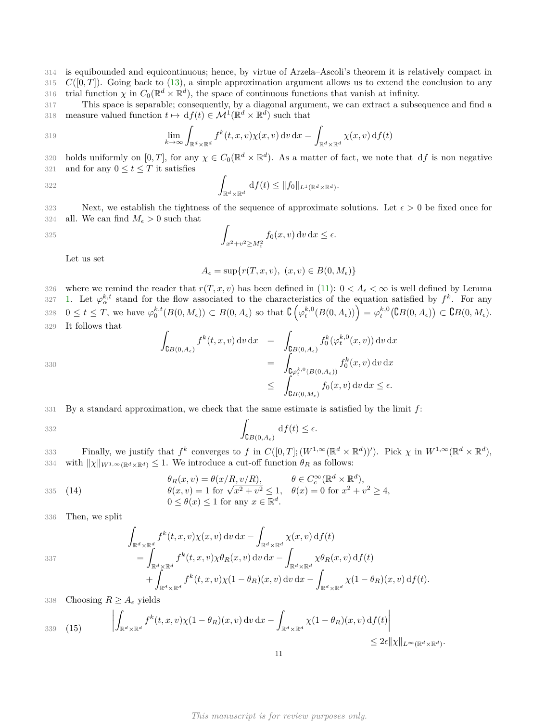314 is equibounded and equicontinuous; hence, by virtue of Arzela–Ascoli's theorem it is relatively compact in  $315 \, C([0,T])$ . Going back to [\(13\)](#page-9-0), a simple approximation argument allows us to extend the conclusion to any 316 trial function  $\chi$  in  $C_0(\mathbb{R}^d \times \mathbb{R}^d)$ , the space of continuous functions that vanish at infinity.

317 This space is separable; consequently, by a diagonal argument, we can extract a subsequence and find a 318 measure valued function  $t \mapsto df(t) \in \mathcal{M}^1(\mathbb{R}^d \times \mathbb{R}^d)$  such that

319 
$$
\lim_{k \to \infty} \int_{\mathbb{R}^d \times \mathbb{R}^d} f^k(t, x, v) \chi(x, v) dv dx = \int_{\mathbb{R}^d \times \mathbb{R}^d} \chi(x, v) df(t)
$$

320 holds uniformly on  $[0, T]$ , for any  $\chi \in C_0(\mathbb{R}^d \times \mathbb{R}^d)$ . As a matter of fact, we note that df is non negative 321 and for any  $0 \le t \le T$  it satisfies

322 
$$
\int_{\mathbb{R}^d \times \mathbb{R}^d} df(t) \leq ||f_0||_{L^1(\mathbb{R}^d \times \mathbb{R}^d)}.
$$

323 Next, we establish the tightness of the sequence of approximate solutions. Let  $\epsilon > 0$  be fixed once for 324 all. We can find  $M_{\epsilon} > 0$  such that

$$
\int_{x^2+v^2\geq M_{\epsilon}^2} f_0(x,v) \, \mathrm{d}v \, \mathrm{d}x \leq \epsilon.
$$

Let us set

$$
A_\epsilon=\sup\{r(T,x,v),\ (x,v)\in B(0,M_\epsilon)\}
$$

326 where we remind the reader that  $r(T, x, v)$  has been defined in [\(11\)](#page-6-2):  $0 < A_{\epsilon} < \infty$  is well defined by Lemma [1.](#page-4-0) Let  $\varphi_{\alpha}^{k,t}$  stand for the flow associated to the characteristics of the equation satisfied by  $f^k$ . For any  $0 \leq t \leq T$ , we have  $\varphi_0^{k,t}(B(0,M_\epsilon)) \subset B(0,A_\epsilon)$  so that  $\mathcal{C}\left(\varphi_t^{k,0}(B(0,A_\epsilon))\right) = \varphi_t^{k,0}(\mathcal{C}B(0,A_\epsilon)) \subset \mathcal{C}B(0,M_\epsilon)$ . It follows that

$$
\int_{\mathsf{G}B(0,A_{\epsilon})} f^k(t,x,v) \, \mathrm{d}v \, \mathrm{d}x = \int_{\mathsf{G}B(0,A_{\epsilon})} f_0^k(\varphi_t^{k,0}(x,v)) \, \mathrm{d}v \, \mathrm{d}x \n= \int_{\mathsf{G}\varphi_t^{k,0}(B(0,A_{\epsilon}))} f_0^k(x,v) \, \mathrm{d}v \, \mathrm{d}x \n\leq \int_{\mathsf{G}B(0,M_{\epsilon})} f_0(x,v) \, \mathrm{d}v \, \mathrm{d}x \leq \epsilon.
$$

331 By a standard approximation, we check that the same estimate is satisfied by the limit *f*:

$$
\int_{\mathsf{C}B(0,A_{\epsilon})} \mathrm{d}f(t) \leq \epsilon.
$$

Finally, we justify that  $f^k$  converges to  $f$  in  $C([0,T]; (W^{1,\infty}(\mathbb{R}^d \times \mathbb{R}^d))')$ . Pick  $\chi$  in  $W^{1,\infty}(\mathbb{R}^d \times \mathbb{R}^d)$ ,  $x_3$ <sup>24</sup> with  $\|\chi\|_{W^{1,\infty}(\mathbb{R}^d \times \mathbb{R}^d)} \leq 1$ . We introduce a cut-off function  $\theta_R$  as follows:

$$
\theta_R(x, v) = \theta(x/R, v/R), \qquad \theta \in C_c^{\infty}(\mathbb{R}^d \times \mathbb{R}^d),
$$
  
335 (14)  

$$
\theta(x, v) = 1 \text{ for } \sqrt{x^2 + v^2} \le 1, \quad \theta(x) = 0 \text{ for } x^2 + v^2 \ge 4,
$$
  

$$
0 \le \theta(x) \le 1 \text{ for any } x \in \mathbb{R}^d.
$$

336 Then, we split

337

330

$$
\int_{\mathbb{R}^d \times \mathbb{R}^d} f^k(t, x, v) \chi(x, v) dv dx - \int_{\mathbb{R}^d \times \mathbb{R}^d} \chi(x, v) df(t)
$$
\n
$$
= \int_{\mathbb{R}^d \times \mathbb{R}^d} f^k(t, x, v) \chi \theta_R(x, v) dv dx - \int_{\mathbb{R}^d \times \mathbb{R}^d} \chi \theta_R(x, v) df(t)
$$
\n
$$
+ \int_{\mathbb{R}^d \times \mathbb{R}^d} f^k(t, x, v) \chi(1 - \theta_R)(x, v) dv dx - \int_{\mathbb{R}^d \times \mathbb{R}^d} \chi(1 - \theta_R)(x, v) df(t).
$$

338 Choosing  $R \geq A_{\epsilon}$  yields

$$
\int_{\mathbb{R}^d \times \mathbb{R}^d} f^k(t, x, v) \chi(1 - \theta_R)(x, v) dv dx - \int_{\mathbb{R}^d \times \mathbb{R}^d} \chi(1 - \theta_R)(x, v) df(t) \Big| \leq 2\epsilon \| \chi \|_{L^\infty(\mathbb{R}^d \times \mathbb{R}^d)}.
$$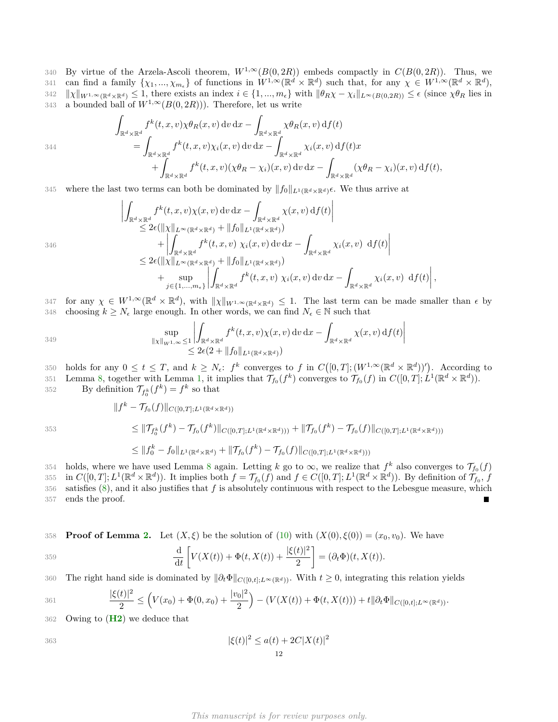340 By virtue of the Arzela-Ascoli theorem,  $W^{1,\infty}(B(0, 2R))$  embeds compactly in  $C(B(0, 2R))$ . Thus, we can find a family  $\{\chi_1, ..., \chi_{m_{\epsilon}}\}$  of functions in  $W^{1,\infty}(\mathbb{R}^d \times \mathbb{R}^d)$  such that, for any  $\chi \in W^{1,\infty}(\mathbb{R}^d \times \mathbb{R}^d)$ , 342  $||\chi||_{W^{1,\infty}(\mathbb{R}^d \times \mathbb{R}^d)} \leq 1$ , there exists an index  $i \in \{1, ..., m_{\epsilon}\}\$  with  $||\theta_R \chi - \chi_i||_{L^{\infty}(B(0,2R))} \leq \epsilon$  (since  $\chi \theta_R$  lies in 343 a bounded ball of  $W^{1,\infty}(B(0, 2R))$ . Therefore, let us write

$$
\int_{\mathbb{R}^d \times \mathbb{R}^d} f^k(t, x, v) \chi \theta_R(x, v) dv dx - \int_{\mathbb{R}^d \times \mathbb{R}^d} \chi \theta_R(x, v) df(t)
$$
\n
$$
= \int_{\mathbb{R}^d \times \mathbb{R}^d} f^k(t, x, v) \chi_i(x, v) dv dx - \int_{\mathbb{R}^d \times \mathbb{R}^d} \chi_i(x, v) df(t)x
$$
\n
$$
+ \int_{\mathbb{R}^d \times \mathbb{R}^d} f^k(t, x, v) (\chi \theta_R - \chi_i)(x, v) dv dx - \int_{\mathbb{R}^d \times \mathbb{R}^d} (\chi \theta_R - \chi_i)(x, v) df(t),
$$

345 where the last two terms can both be dominated by  $||f_0||_{L^1(\mathbb{R}^d \times \mathbb{R}^d)}\epsilon$ . We thus arrive at

$$
\left| \int_{\mathbb{R}^d \times \mathbb{R}^d} f^k(t, x, v) \chi(x, v) dv dx - \int_{\mathbb{R}^d \times \mathbb{R}^d} \chi(x, v) df(t) \right|
$$
  
\n
$$
\leq 2\epsilon (\|\chi\|_{L^{\infty}(\mathbb{R}^d \times \mathbb{R}^d)} + \|f_0\|_{L^1(\mathbb{R}^d \times \mathbb{R}^d)})
$$
  
\n
$$
+ \left| \int_{\mathbb{R}^d \times \mathbb{R}^d} f^k(t, x, v) \chi_i(x, v) dv dx - \int_{\mathbb{R}^d \times \mathbb{R}^d} \chi_i(x, v) df(t) \right|
$$
  
\n
$$
\leq 2\epsilon (\|\chi\|_{L^{\infty}(\mathbb{R}^d \times \mathbb{R}^d)} + \|f_0\|_{L^1(\mathbb{R}^d \times \mathbb{R}^d)})
$$
  
\n
$$
+ \sup_{j \in \{1, \dots, m_{\epsilon}\}} \left| \int_{\mathbb{R}^d \times \mathbb{R}^d} f^k(t, x, v) \chi_i(x, v) dv dx - \int_{\mathbb{R}^d \times \mathbb{R}^d} \chi_i(x, v) df(t) \right|,
$$

for any  $\chi \in W^{1,\infty}(\mathbb{R}^d \times \mathbb{R}^d)$ , with  $\|\chi\|_{W^{1,\infty}(\mathbb{R}^d \times \mathbb{R}^d)} \leq 1$ . The last term can be made smaller than  $\epsilon$  by 348 choosing  $k \geq N_{\epsilon}$  large enough. In other words, we can find  $N_{\epsilon} \in \mathbb{N}$  such that

$$
\sup_{\|x\|_{W^{1,\infty}}\leq 1} \left| \int_{\mathbb{R}^d \times \mathbb{R}^d} f^k(t,x,v)\chi(x,v) \,dv \,dx - \int_{\mathbb{R}^d \times \mathbb{R}^d} \chi(x,v) \,df(t) \right|
$$
  

$$
\leq 2\epsilon(2+\|f_0\|_{L^1(\mathbb{R}^d \times \mathbb{R}^d)})
$$

350 holds for any  $0 \le t \le T$ , and  $k \ge N_{\epsilon}$ :  $f^k$  converges to  $f$  in  $C([0,T]; (W^{1,\infty}(\mathbb{R}^d \times \mathbb{R}^d))')$ . According to Lemma [8,](#page-7-0) together with Lemma [1,](#page-4-0) it implies that  $\mathcal{T}_{f_0}(f^k)$  converges to  $\mathcal{T}_{f_0}(f)$  in  $C([0,T]; L^1(\mathbb{R}^d \times \mathbb{R}^d))$ .

352 By definition  $\mathcal{T}_{f_0^k}(f^k) = f^k$  so that

 $|| f^k - \mathcal{T}_{f_0}(f) ||_{C([0,T];L^1(\mathbb{R}^d \times \mathbb{R}^d))}$  $\leq \|\mathcal{T}_{f_0^k}(f^k) - \mathcal{T}_{f_0}(f^k)\|_{C([0,T];L^1(\mathbb{R}^d \times \mathbb{R}^d)))} + \|\mathcal{T}_{f_0}(f^k) - \mathcal{T}_{f_0}(f)\|_{C([0,T];L^1(\mathbb{R}^d \times \mathbb{R}^d)))}$  $\leq \|f_0^k - f_0\|_{L^1(\mathbb{R}^d \times \mathbb{R}^d)} + \|\mathcal{T}_{f_0}(f^k) - \mathcal{T}_{f_0}(f)\|_{C([0,T];L^1(\mathbb{R}^d \times \mathbb{R}^d)))}$ 

holds, where we have used Lemma [8](#page-7-0) again. Letting *k* go to  $\infty$ , we realize that  $f^k$  also converges to  $\mathcal{T}_{f_0}(f)$ 355 in  $C([0,T];L^1(\mathbb{R}^d\times\mathbb{R}^d))$ . It implies both  $f=\mathcal{T}_{f_0}(f)$  and  $f\in C([0,T];L^1(\mathbb{R}^d\times\mathbb{R}^d))$ . By definition of  $\mathcal{T}_{f_0}$ , f 356 satisfies [\(8\)](#page-3-0), and it also justifies that *f* is absolutely continuous with respect to the Lebesgue measure, which 357 ends the proof. П

**358 Proof of Lemma [2.](#page-5-2)** Let  $(X,\xi)$  be the solution of  $(10)$  with  $(X(0),\xi(0)) = (x_0, v_0)$ . We have

$$
\frac{\mathrm{d}}{\mathrm{d}t}\left[V(X(t))+\Phi(t,X(t))+\frac{|\xi(t)|^2}{2}\right]=(\partial_t\Phi)(t,X(t)).
$$

The right hand side is dominated by k*∂t*Φk*<sup>C</sup>*([0*,t*];*L*∞(R*d*)) <sup>360</sup> . With *t* ≥ 0, integrating this relation yields

$$
361 \qquad \qquad \frac{|\xi(t)|^2}{2} \leq \left(V(x_0) + \Phi(0, x_0) + \frac{|v_0|^2}{2}\right) - \left(V(X(t)) + \Phi(t, X(t))\right) + t\|\partial_t \Phi\|_{C([0,t];L^\infty(\mathbb{R}^d))}.
$$

362 Owing to (**[H2](#page-2-3)**) we deduce that

$$
|\xi(t)|^2 \le a(t) + 2C|X(t)|^2
$$
  
12

*This manuscript is for review purposes only.*

353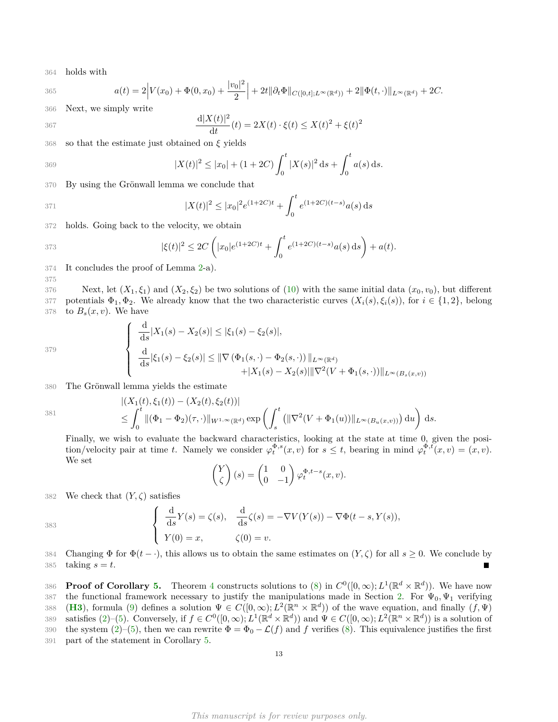364 holds with

$$
a(t) = 2\Big|V(x_0) + \Phi(0, x_0) + \frac{|v_0|^2}{2}\Big| + 2t\|\partial_t\Phi\|_{C([0,t];L^\infty(\mathbb{R}^d))} + 2\|\Phi(t,\cdot)\|_{L^\infty(\mathbb{R}^d)} + 2C.
$$

366 Next, we simply write

$$
\frac{d|X(t)|^2}{dt}(t) = 2X(t) \cdot \xi(t) \le X(t)^2 + \xi(t)^2
$$

368 so that the estimate just obtained on *ξ* yields

369 
$$
|X(t)|^2 \le |x_0| + (1+2C) \int_0^t |X(s)|^2 ds + \int_0^t a(s) ds.
$$

370 By using the Grönwall lemma we conclude that

371 
$$
|X(t)|^2 \le |x_0|^2 e^{(1+2C)t} + \int_0^t e^{(1+2C)(t-s)} a(s) ds
$$

372 holds. Going back to the velocity, we obtain

373 
$$
|\xi(t)|^2 \leq 2C\left(|x_0|e^{(1+2C)t} + \int_0^t e^{(1+2C)(t-s)}a(s)\,\mathrm{d} s\right) + a(t).
$$

374 It concludes the proof of Lemma [2-](#page-5-2)a).

375

367

376 Next, let  $(X_1, \xi_1)$  and  $(X_2, \xi_2)$  be two solutions of [\(10\)](#page-5-1) with the same initial data  $(x_0, v_0)$ , but different 377 potentials  $\Phi_1, \Phi_2$ . We already know that the two characteristic curves  $(X_i(s), \xi_i(s))$ , for  $i \in \{1, 2\}$ , belong 378 to  $B_s(x, v)$ . We have

$$
379\,
$$

$$
\begin{cases} \frac{\mathrm{d}}{\mathrm{d}s} |X_1(s) - X_2(s)| \le |\xi_1(s) - \xi_2(s)|, \\ \frac{\mathrm{d}}{\mathrm{d}s} |\xi_1(s) - \xi_2(s)| \le ||\nabla (\Phi_1(s, \cdot) - \Phi_2(s, \cdot))||_{L^{\infty}(\mathbb{R}^d)} \\ + |X_1(s) - X_2(s)||\nabla^2 (V + \Phi_1(s, \cdot))||_{L^{\infty}(B_s(x, v))} \end{cases}
$$

380 The Grönwall lemma yields the estimate

381

$$
\begin{aligned} &|(X_1(t),\xi_1(t)) - (X_2(t),\xi_2(t))| \\ &\leq \int_0^t \|(\Phi_1 - \Phi_2)(\tau,\cdot)\|_{W^{1,\infty}(\mathbb{R}^d)} \exp\left(\int_s^t \left(\|\nabla^2 (V + \Phi_1(u))\|_{L^\infty(B_u(x,v))}\right) \mathrm{d}u\right) \mathrm{d}s. \end{aligned}
$$

Finally, we wish to evaluate the backward characteristics, looking at the state at time 0, given the position/velocity pair at time *t*. Namely we consider  $\varphi_t^{\Phi,s}(x,v)$  for  $s \leq t$ , bearing in mind  $\varphi_t^{\Phi,t}(x,v) = (x,v)$ . We set

$$
\begin{pmatrix} Y \\ \zeta \end{pmatrix} (s) = \begin{pmatrix} 1 & 0 \\ 0 & -1 \end{pmatrix} \varphi_t^{\Phi, t-s}(x, v).
$$

382 We check that  $(Y, \zeta)$  satisfies

$$
383 \qquad \qquad \left\{ \begin{array}{l} \frac{\mathrm{d}}{\mathrm{d}s}Y(s) = \zeta(s), \quad \frac{\mathrm{d}}{\mathrm{d}s}\zeta(s) = -\nabla V(Y(s)) - \nabla\Phi(t-s,Y(s)),\\ Y(0) = x, \qquad \qquad \zeta(0) = v. \end{array} \right.
$$

384 Changing  $\Phi$  for  $\Phi(t-\cdot)$ , this allows us to obtain the same estimates on  $(Y,\zeta)$  for all  $s\geq 0$ . We conclude by 385 taking  $s = t$ .

**Proof of Corollary [5.](#page-6-3)** Theorem [4](#page-6-0) constructs solutions to [\(8\)](#page-3-0) in  $C^0([0,\infty); L^1(\mathbb{R}^d \times \mathbb{R}^d)$ ). We have now 387 the functional framework necessary to justify the manipulations made in Section [2.](#page-2-0) For  $\Psi_0, \Psi_1$  verifying 388 (**[H3](#page-2-4)**), formula [\(9\)](#page-3-3) defines a solution  $\Psi \in C([0,\infty); L^2(\mathbb{R}^n \times \mathbb{R}^d)$  of the wave equation, and finally  $(f,\Psi)$ ss9 satisfies [\(2\)](#page-1-0)–[\(5\)](#page-1-1). Conversely, if  $f \in C^0([0,\infty); L^1(\mathbb{R}^d \times \mathbb{R}^d)$  and  $\Psi \in C([0,\infty); L^2(\mathbb{R}^n \times \mathbb{R}^d)$  is a solution of 390 the system  $(2)$ –[\(5\)](#page-1-1), then we can rewrite  $\Phi = \Phi_0 - \mathcal{L}(f)$  and f verifies [\(8\)](#page-3-0). This equivalence justifies the first 391 part of the statement in Corollary [5.](#page-6-3)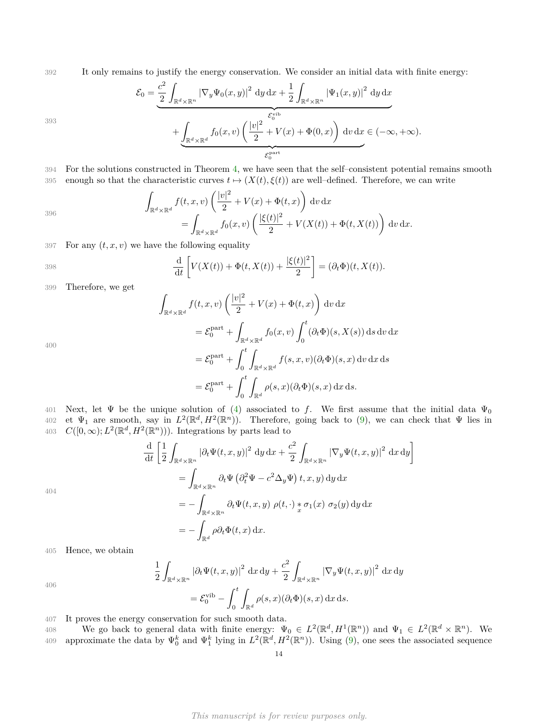392 It only remains to justify the energy conservation. We consider an initial data with finite energy:

$$
\mathcal{E}_0 = \underbrace{\frac{c^2}{2} \int_{\mathbb{R}^d \times \mathbb{R}^n} |\nabla_y \Psi_0(x, y)|^2 dy dx}_{+ \underbrace{\frac{1}{2} \int_{\mathbb{R}^d \times \mathbb{R}^n} |\Psi_1(x, y)|^2 dy dx}_{\mathcal{E}_0^{\text{vib}}} + \underbrace{\int_{\mathbb{R}^d \times \mathbb{R}^d} f_0(x, v) \left(\frac{|v|^2}{2} + V(x) + \Phi(0, x)\right) dv dx}_{\mathcal{E}_0^{\text{part}}} \in (-\infty, +\infty).
$$

393

394 For the solutions constructed in Theorem [4,](#page-6-0) we have seen that the self–consistent potential remains smooth 395 enough so that the characteristic curves  $t \mapsto (X(t), \xi(t))$  are well–defined. Therefore, we can write

$$
\int_{\mathbb{R}^d \times \mathbb{R}^d} f(t, x, v) \left( \frac{|v|^2}{2} + V(x) + \Phi(t, x) \right) dv dx
$$
  
= 
$$
\int_{\mathbb{R}^d \times \mathbb{R}^d} f_0(x, v) \left( \frac{|\xi(t)|^2}{2} + V(X(t)) + \Phi(t, X(t)) \right) dv dx.
$$

397 For any  $(t, x, v)$  we have the following equality

$$
\frac{\mathrm{d}}{\mathrm{d}t}\left[V(X(t))+\Phi(t,X(t))+\frac{|\xi(t)|^2}{2}\right]=(\partial_t\Phi)(t,X(t)).
$$

399 Therefore, we get

$$
\int_{\mathbb{R}^d \times \mathbb{R}^d} f(t, x, v) \left( \frac{|v|^2}{2} + V(x) + \Phi(t, x) \right) dv dx
$$
  
\n
$$
= \mathcal{E}_0^{\text{part}} + \int_{\mathbb{R}^d \times \mathbb{R}^d} f_0(x, v) \int_0^t (\partial_t \Phi)(s, X(s)) ds dv dx
$$
  
\n
$$
= \mathcal{E}_0^{\text{part}} + \int_0^t \int_{\mathbb{R}^d \times \mathbb{R}^d} f(s, x, v) (\partial_t \Phi)(s, x) dv dx ds
$$
  
\n
$$
= \mathcal{E}_0^{\text{part}} + \int_0^t \int_{\mathbb{R}^d} \rho(s, x) (\partial_t \Phi)(s, x) dx ds.
$$

400

401 Next, let  $\Psi$  be the unique solution of [\(4\)](#page-1-2) associated to f. We first assume that the initial data  $\Psi_0$ 402 et  $\Psi_1$  are smooth, say in  $L^2(\mathbb{R}^d, H^2(\mathbb{R}^n))$ . Therefore, going back to [\(9\)](#page-3-3), we can check that  $\Psi$  lies in 403  $C([0,\infty); L^2(\mathbb{R}^d, H^2(\mathbb{R}^n))$ ). Integrations by parts lead to

$$
\frac{\mathrm{d}}{\mathrm{d}t} \left[ \frac{1}{2} \int_{\mathbb{R}^d \times \mathbb{R}^n} \left| \partial_t \Psi(t, x, y) \right|^2 \, \mathrm{d}y \, \mathrm{d}x + \frac{c^2}{2} \int_{\mathbb{R}^d \times \mathbb{R}^n} \left| \nabla_y \Psi(t, x, y) \right|^2 \, \mathrm{d}x \, \mathrm{d}y \right]
$$
\n
$$
= \int_{\mathbb{R}^d \times \mathbb{R}^n} \partial_t \Psi \left( \partial_t^2 \Psi - c^2 \Delta_y \Psi \right) t, x, y) \, \mathrm{d}y \, \mathrm{d}x
$$
\n
$$
= - \int_{\mathbb{R}^d \times \mathbb{R}^n} \partial_t \Psi(t, x, y) \, \rho(t, \cdot) \, \frac{1}{x} \sigma_1(x) \, \sigma_2(y) \, \mathrm{d}y \, \mathrm{d}x
$$
\n
$$
= - \int_{\mathbb{R}^d} \rho \partial_t \Phi(t, x) \, \mathrm{d}x.
$$

405 Hence, we obtain

$$
\frac{1}{2} \int_{\mathbb{R}^d \times \mathbb{R}^n} \left| \partial_t \Psi(t, x, y) \right|^2 dx dy + \frac{c^2}{2} \int_{\mathbb{R}^d \times \mathbb{R}^n} \left| \nabla_y \Psi(t, x, y) \right|^2 dx dy
$$

$$
= \mathcal{E}_0^{\text{vib}} - \int_0^t \int_{\mathbb{R}^d} \rho(s, x) (\partial_t \Phi)(s, x) dx ds.
$$

406

404

407 It proves the energy conservation for such smooth data.

We go back to general data with finite energy:  $\Psi_0 \in L^2(\mathbb{R}^d, H^1(\mathbb{R}^n))$  and  $\Psi_1 \in L^2(\mathbb{R}^d \times \mathbb{R}^n)$ . We approximate the data by  $\Psi_0^k$  and  $\Psi_1^k$  lying in  $L^2(\mathbb{R}^d, H^2(\mathbb{R}^n))$ . Using  $(9)$ , one sees the associated sequence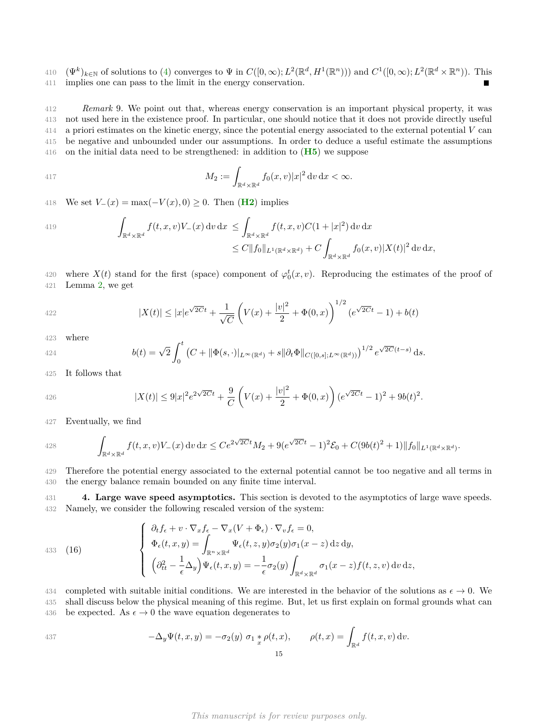410  $(\Psi^k)_{k \in \mathbb{N}}$  of solutions to [\(4\)](#page-1-2) converges to  $\Psi$  in  $C([0,\infty); L^2(\mathbb{R}^d, H^1(\mathbb{R}^n)))$  and  $C^1([0,\infty); L^2(\mathbb{R}^d \times \mathbb{R}^n))$ . This 411 implies one can pass to the limit in the energy conservation.

 *Remark* 9. We point out that, whereas energy conservation is an important physical property, it was not used here in the existence proof. In particular, one should notice that it does not provide directly useful a priori estimates on the kinetic energy, since the potential energy associated to the external potential *V* can be negative and unbounded under our assumptions. In order to deduce a useful estimate the assumptions on the initial data need to be strengthened: in addition to (**[H5](#page-2-2)**) we suppose

417 
$$
M_2 := \int_{\mathbb{R}^d \times \mathbb{R}^d} f_0(x,v) |x|^2 dv dx < \infty.
$$

418 We set  $V_-(x) = \max(-V(x), 0) \ge 0$ . Then (**[H2](#page-2-3)**) implies

419  
\n
$$
\int_{\mathbb{R}^d \times \mathbb{R}^d} f(t, x, v) V_-(x) dv dx \leq \int_{\mathbb{R}^d \times \mathbb{R}^d} f(t, x, v) C(1+|x|^2) dv dx
$$
\n
$$
\leq C ||f_0||_{L^1(\mathbb{R}^d \times \mathbb{R}^d)} + C \int_{\mathbb{R}^d \times \mathbb{R}^d} f_0(x, v) |X(t)|^2 dv dx,
$$

420 where  $X(t)$  stand for the first (space) component of  $\varphi_0^t(x, v)$ . Reproducing the estimates of the proof of 421 Lemma [2,](#page-5-2) we get

422 
$$
|X(t)| \le |x|e^{\sqrt{2C}t} + \frac{1}{\sqrt{C}} \left(V(x) + \frac{|v|^2}{2} + \Phi(0, x)\right)^{1/2} (e^{\sqrt{2C}t} - 1) + b(t)
$$

423 where

424 
$$
b(t) = \sqrt{2} \int_0^t (C + ||\Phi(s, \cdot)||_{L^{\infty}(\mathbb{R}^d)} + s||\partial_t \Phi||_{C([0, s]; L^{\infty}(\mathbb{R}^d))})^{1/2} e^{\sqrt{2C}(t-s)} ds.
$$

425 It follows that

426 
$$
|X(t)| \leq 9|x|^2 e^{2\sqrt{2C}t} + \frac{9}{C} \left(V(x) + \frac{|v|^2}{2} + \Phi(0, x)\right) (e^{\sqrt{2C}t} - 1)^2 + 9b(t)^2.
$$

427 Eventually, we find

428 
$$
\int_{\mathbb{R}^d \times \mathbb{R}^d} f(t, x, v) V_-(x) dv dx \leq C e^{2\sqrt{2C}t} M_2 + 9(e^{\sqrt{2C}t} - 1)^2 \mathcal{E}_0 + C(9b(t)^2 + 1) \|f_0\|_{L^1(\mathbb{R}^d \times \mathbb{R}^d)}.
$$

429 Therefore the potential energy associated to the external potential cannot be too negative and all terms in 430 the energy balance remain bounded on any finite time interval.

<span id="page-14-0"></span>431 **4. Large wave speed asymptotics.** This section is devoted to the asymptotics of large wave speeds. 432 Namely, we consider the following rescaled version of the system:

<span id="page-14-1"></span>(16) 
$$
\begin{cases} \n\partial_t f_{\epsilon} + v \cdot \nabla_x f_{\epsilon} - \nabla_x (V + \Phi_{\epsilon}) \cdot \nabla_v f_{\epsilon} = 0, \\
\Phi_{\epsilon}(t, x, y) = \int_{\mathbb{R}^n \times \mathbb{R}^d} \Psi_{\epsilon}(t, z, y) \sigma_2(y) \sigma_1(x - z) \,dz \,dy, \\
(\partial_{tt}^2 - \frac{1}{\epsilon} \Delta_y) \Psi_{\epsilon}(t, x, y) = -\frac{1}{\epsilon} \sigma_2(y) \int_{\mathbb{R}^d \times \mathbb{R}^d} \sigma_1(x - z) f(t, z, v) \,dv \,dz,\n\end{cases}
$$

434 completed with suitable initial conditions. We are interested in the behavior of the solutions as  $\epsilon \to 0$ . We 435 shall discuss below the physical meaning of this regime. But, let us first explain on formal grounds what can 436 be expected. As  $\epsilon \to 0$  the wave equation degenerates to

437 
$$
-\Delta_y \Psi(t, x, y) = -\sigma_2(y) \sigma_1 * \rho(t, x), \qquad \rho(t, x) = \int_{\mathbb{R}^d} f(t, x, v) dv.
$$
15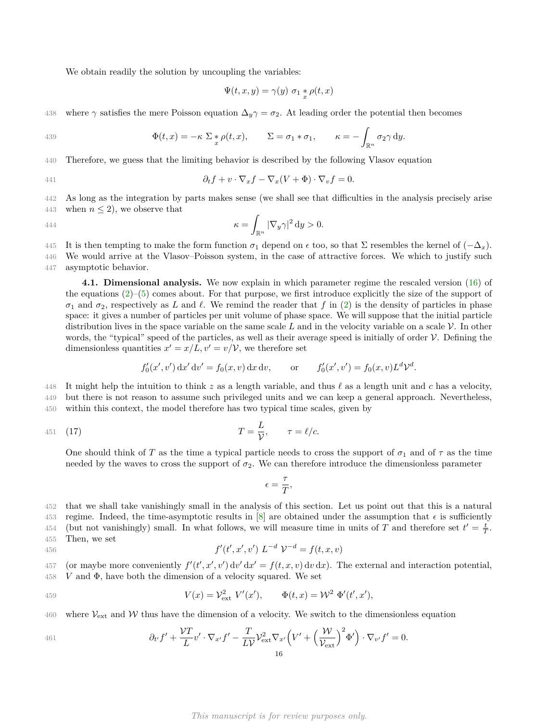We obtain readily the solution by uncoupling the variables:

$$
\Psi(t, x, y) = \gamma(y) \sigma_1 * \rho(t, x)
$$

438 where  $\gamma$  satisfies the mere Poisson equation  $\Delta_y \gamma = \sigma_2$ . At leading order the potential then becomes

439 
$$
\Phi(t,x) = -\kappa \sum_{x} \phi(t,x), \qquad \Sigma = \sigma_1 * \sigma_1, \qquad \kappa = -\int_{\mathbb{R}^n} \sigma_2 \gamma \, dy.
$$

440 Therefore, we guess that the limiting behavior is described by the following Vlasov equation

441 
$$
\partial_t f + v \cdot \nabla_x f - \nabla_x (V + \Phi) \cdot \nabla_v f = 0.
$$

442 As long as the integration by parts makes sense (we shall see that difficulties in the analysis precisely arise 443 when  $n \leq 2$ ), we observe that

444 
$$
\kappa = \int_{\mathbb{R}^n} |\nabla_y \gamma|^2 dy > 0.
$$

445 It is then tempting to make the form function  $\sigma_1$  depend on  $\epsilon$  too, so that Σ resembles the kernel of  $(-\Delta_x)$ . 446 We would arrive at the Vlasov–Poisson system, in the case of attractive forces. We which to justify such

447 asymptotic behavior.

**4.1. Dimensional analysis.** We now explain in which parameter regime the rescaled version [\(16\)](#page-14-1) of the equations [\(2\)](#page-1-0)–[\(5\)](#page-1-1) comes about. For that purpose, we first introduce explicitly the size of the support of  $\sigma_1$  and  $\sigma_2$ , respectively as *L* and  $\ell$ . We remind the reader that *f* in [\(2\)](#page-1-0) is the density of particles in phase space: it gives a number of particles per unit volume of phase space. We will suppose that the initial particle distribution lives in the space variable on the same scale *L* and in the velocity variable on a scale V. In other words, the "typical" speed of the particles, as well as their average speed is initially of order  $V$ . Defining the dimensionless quantities  $x' = x/L$ ,  $v' = v/\mathcal{V}$ , we therefore set

$$
f'_0(x', v') dx' dv' = f_0(x, v) dx dv
$$
, or  $f'_0(x', v') = f_0(x, v)L^d \mathcal{V}^d$ .

448 It might help the intuition to think  $z$  as a length variable, and thus  $\ell$  as a length unit and  $c$  has a velocity, 449 but there is not reason to assume such privileged units and we can keep a general approach. Nevertheless,

450 within this context, the model therefore has two typical time scales, given by

$$
T = \frac{L}{\mathcal{V}}, \qquad \tau = \ell/c.
$$

One should think of *T* as the time a typical particle needs to cross the support of  $\sigma_1$  and of  $\tau$  as the time needed by the waves to cross the support of  $\sigma_2$ . We can therefore introduce the dimensionless parameter

<span id="page-15-0"></span>
$$
\epsilon=\frac{\tau}{T},
$$

452 that we shall take vanishingly small in the analysis of this section. Let us point out that this is a natural 453 regime. Indeed, the time-asymptotic results in [\[8\]](#page-30-0) are obtained under the assumption that  $\epsilon$  is sufficiently 454 (but not vanishingly) small. In what follows, we will measure time in units of *T* and therefore set  $t' = \frac{t}{T}$ . 455 Then, we set

456 
$$
f'(t', x', v') L^{-d} \mathcal{V}^{-d} = f(t, x, v)
$$

457 (or maybe more conveniently  $f'(t', x', v') dv' dx' = f(t, x, v) dv dx$ ). The external and interaction potential, 458 *V* and Φ, have both the dimension of a velocity squared. We set

459 
$$
V(x) = \mathcal{V}_{\text{ext}}^2 V'(x'), \qquad \Phi(t, x) = \mathcal{W}^2 \Phi'(t', x'),
$$

460 where  $V_{ext}$  and W thus have the dimension of a velocity. We switch to the dimensionless equation

$$
461 \t\partial_{t'} f' + \frac{\mathcal{V}T}{L} v' \cdot \nabla_{x'} f' - \frac{T}{L\mathcal{V}} \mathcal{V}_{\text{ext}}^2 \nabla_{x'} \left( V' + \left( \frac{\mathcal{W}}{\mathcal{V}_{\text{ext}}} \right)^2 \Phi' \right) \cdot \nabla_{v'} f' = 0.
$$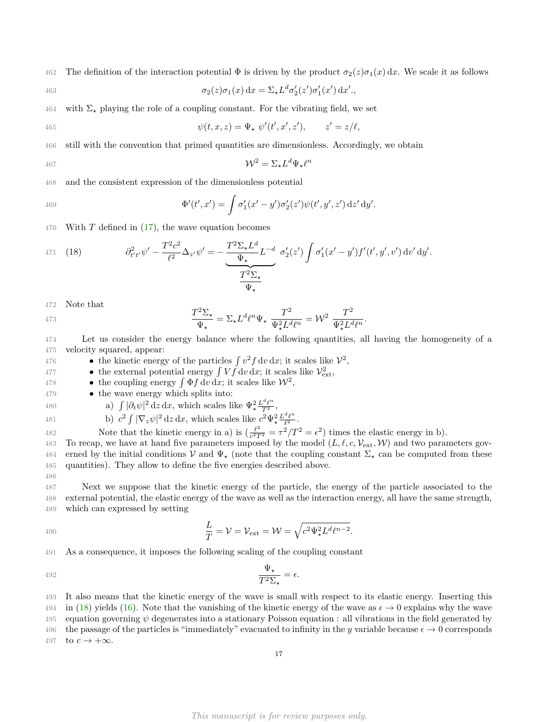462 The definition of the interaction potential  $\Phi$  is driven by the product  $\sigma_2(z)\sigma_1(x) dx$ . We scale it as follows

463 
$$
\sigma_2(z)\sigma_1(x) dx = \Sigma_{\star} L^d \sigma'_2(z') \sigma'_1(x') dx'.
$$

464 with  $\Sigma_{\star}$  playing the role of a coupling constant. For the vibrating field, we set

465 
$$
\psi(t,x,z) = \Psi_{\star} \ \psi'(t',x',z'), \qquad z' = z/\ell,
$$

466 still with the convention that primed quantities are dimensionless. Accordingly, we obtain

$$
467 \qquad \qquad \mathcal{W}^2 = \Sigma_{\star} L^d \Psi_{\star} \ell^n
$$

468 and the consistent expression of the dimensionless potential

469 
$$
\Phi'(t',x') = \int \sigma'_1(x'-y')\sigma'_2(z')\psi(t',y',z') dz' dy'.
$$

470 With *T* defined in [\(17\)](#page-15-0), the wave equation becomes

<span id="page-16-0"></span>471 (18) 
$$
\partial_{t't'}^2 \psi' - \frac{T^2 c^2}{\ell^2} \Delta_{z'} \psi' = -\frac{T^2 \Sigma_{\star} L^d}{\Psi_{\star}} L^{-d} \sigma'_2(z') \int \sigma'_1(x'-y') f'(t',y',v') dv' dy'.
$$

472 Note that

$$
\frac{T^2 \Sigma_{\star}}{\Psi_{\star}} = \Sigma_{\star} L^d \ell^n \Psi_{\star} \frac{T^2}{\Psi_{\star}^2 L^d \ell^n} = \mathcal{W}^2 \frac{T^2}{\Psi_{\star}^2 L^d \ell^n}.
$$

- 474 Let us consider the energy balance where the following quantities, all having the homogeneity of a 475 velocity squared, appear:
- 476 the kinetic energy of the particles  $\int v^2 f dv dx$ ; it scales like  $V^2$ ,
- <sup>477</sup> the external potential energy  $\int V f dv dx$ ; it scales like  $V_{ext}^2$ ,
- 478 the coupling energy  $\int \Phi f \, dv \, dx$ ; it scales like  $\mathcal{W}^2$ ,
- 479 the wave energy which splits into:
- 

486

480 a) 
$$
\int |\partial_t \psi|^2 dz dx
$$
, which scales like  $\Psi_*^2 \frac{L^d \ell^n}{T^2}$ ,  
481 b)  $c^2 \int |\nabla_z \psi|^2 dz dx$ , which scales like  $c^2 \Psi_*^2 \frac{L^d \ell^n}{\ell^2}$ 

481 b)  $c^2 \int |\nabla_z \psi|^2 dz dx$ , which scales like  $c^2 \Psi^2_{\star} \frac{L^{\omega} \ell^{\omega}}{\ell^2}$ . Note that the kinetic energy in a) is  $\left(\frac{\ell^2}{c^2T}\right)$ As 2 Note that the kinetic energy in a) is  $\left(\frac{\ell^2}{c^2T^2} = \tau^2/T^2 = \epsilon^2\right)$  times the elastic energy in b).

483 To recap, we have at hand five parameters imposed by the model  $(L, \ell, c, \mathcal{V}_{ext}, \mathcal{W})$  and two parameters gov-484 erned by the initial conditions  $V$  and  $\Psi_{\star}$  (note that the coupling constant  $\Sigma_{\star}$  can be computed from these 485 quantities). They allow to define the five energies described above.

487 Next we suppose that the kinetic energy of the particle, the energy of the particle associated to the 488 external potential, the elastic energy of the wave as well as the interaction energy, all have the same strength, 489 which can expressed by setting

490 
$$
\frac{L}{T} = \mathcal{V} = \mathcal{V}_{\text{ext}} = \mathcal{W} = \sqrt{c^2 \Psi_{\star}^2 L^d \ell^{n-2}}.
$$

491 As a consequence, it imposes the following scaling of the coupling constant

$$
\frac{\Psi_{\star}}{T^2 \Sigma_{\star}} = \epsilon.
$$

493 It also means that the kinetic energy of the wave is small with respect to its elastic energy. Inserting this 494 in [\(18\)](#page-16-0) yields [\(16\)](#page-14-1). Note that the vanishing of the kinetic energy of the wave as  $\epsilon \to 0$  explains why the wave 495 equation governing *ψ* degenerates into a stationary Poisson equation : all vibrations in the field generated by 496 the passage of the particles is "immediately" evacuated to infinity in the *y* variable because  $\epsilon \to 0$  corresponds 497 to  $c \to +\infty$ .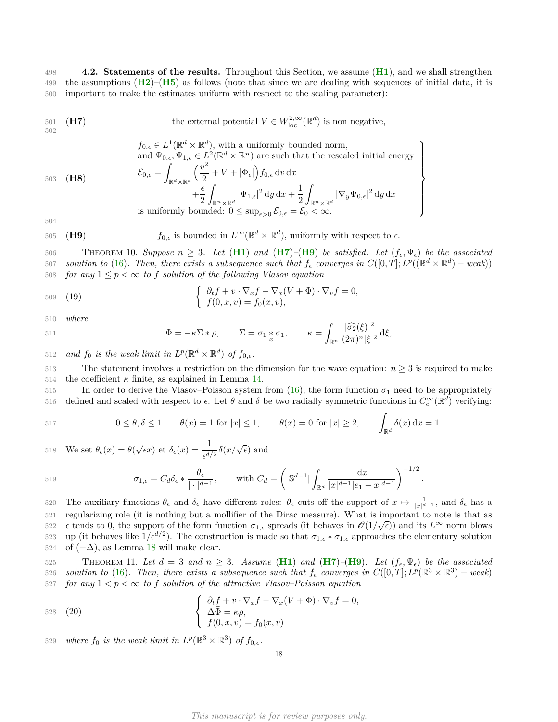498 **4.2. Statements of the results.** Throughout this Section, we assume (**[H1](#page-2-1)**), and we shall strengthen 499 the assumptions  $(\mathbf{H2})-(\mathbf{H5})$  $(\mathbf{H2})-(\mathbf{H5})$  $(\mathbf{H2})-(\mathbf{H5})$  $(\mathbf{H2})-(\mathbf{H5})$  $(\mathbf{H2})-(\mathbf{H5})$  as follows (note that since we are dealing with sequences of initial data, it is 500 important to make the estimates uniform with respect to the scaling parameter):

<span id="page-17-0"></span>
$$
501 \quad (\text{H7}) \qquad \qquad \text{the external potential } V \in W^{2,\infty}_{\text{loc}}(\mathbb{R}^d) \text{ is non negative,}
$$

 $f_{0,\epsilon} \in L^1(\mathbb{R}^d \times \mathbb{R}^d)$ , with a uniformly bounded norm, and  $\Psi_{0,\epsilon}, \Psi_{1,\epsilon} \in L^2(\mathbb{R}^d \times \mathbb{R}^n)$  are such that the rescaled initial energy

 $\mathcal{L}$ 

 $\overline{\mathcal{L}}$ 

 $\int$ 

<span id="page-17-5"></span>(**H8**) 503

$$
\mathcal{E}_{0,\epsilon} = \int_{\mathbb{R}^d \times \mathbb{R}^d} \left( \frac{v^2}{2} + V + |\Phi_{\epsilon}| \right) f_{0,\epsilon} \, dv \, dx \n+ \frac{\epsilon}{2} \int_{\mathbb{R}^n \times \mathbb{R}^d} |\Psi_{1,\epsilon}|^2 \, dy \, dx + \frac{1}{2} \int_{\mathbb{R}^n \times \mathbb{R}^d} |\nabla_y \Psi_{0,\epsilon}|^2 \, dy \, dx \n\text{is uniformly bounded: } 0 \le \sup_{\epsilon > 0} \mathcal{E}_{0,\epsilon} = \overline{\mathcal{E}_0} < \infty.
$$

504

<span id="page-17-1"></span>505 (**H9**)  $f_{0,\epsilon}$  is bounded in  $L^{\infty}(\mathbb{R}^d \times \mathbb{R}^d)$ , uniformly with respect to  $\epsilon$ .

<span id="page-17-2"></span>506 THEOREM 10. Suppose  $n \geq 3$ . Let  $(\textbf{H1})$  $(\textbf{H1})$  $(\textbf{H1})$  and  $(\textbf{H7})$  $(\textbf{H7})$  $(\textbf{H7})$ – $(\textbf{H9})$  $(\textbf{H9})$  $(\textbf{H9})$  be satisfied. Let  $(f_{\epsilon}, \Psi_{\epsilon})$  be the associated *solution to* [\(16\)](#page-14-1). Then, there exists a subsequence such that  $f_{\epsilon}$  converges in  $C([0,T]; L^p((\mathbb{R}^d \times \mathbb{R}^d) - weak))$ 508 *for any*  $1 \leq p < \infty$  *to f solution of the following Vlasov equation* 

$$
\begin{aligned}\n\text{509} \quad (19) \quad \text{(19)} \\
\left\{\n\begin{array}{l}\n\partial_t f + v \cdot \nabla_x f - \nabla_x (V + \bar{\Phi}) \cdot \nabla_v f = 0, \\
f(0, x, v) = f_0(x, v),\n\end{array}\n\right.\n\end{aligned}
$$

510 *where*

$$
\bar{\Phi} = -\kappa \Sigma * \rho, \qquad \Sigma = \sigma_1 * \sigma_1, \qquad \kappa = \int_{\mathbb{R}^n} \frac{|\widehat{\sigma_2}(\xi)|^2}{(2\pi)^n |\xi|^2} d\xi,
$$

512 and  $f_0$  *is the weak limit in*  $L^p(\mathbb{R}^d \times \mathbb{R}^d)$  *of*  $f_{0,\epsilon}$ *.* 

513 The statement involves a restriction on the dimension for the wave equation:  $n \geq 3$  is required to make 514 the coefficient  $\kappa$  finite, as explained in Lemma [14.](#page-18-0)

515 In order to derive the Vlasov–Poisson system from  $(16)$ , the form function  $\sigma_1$  need to be appropriately 616 defined and scaled with respect to  $\epsilon$ . Let *θ* and *δ* be two radially symmetric functions in  $C_c^{\infty}(\mathbb{R}^d)$  verifying:

517 
$$
0 \le \theta, \delta \le 1 \qquad \theta(x) = 1 \text{ for } |x| \le 1, \qquad \theta(x) = 0 \text{ for } |x| \ge 2, \qquad \int_{\mathbb{R}^d} \delta(x) dx = 1.
$$

518 We set 
$$
\theta_{\epsilon}(x) = \theta(\sqrt{\epsilon}x)
$$
 et  $\delta_{\epsilon}(x) = \frac{1}{\epsilon^{d/2}}\delta(x/\sqrt{\epsilon})$  and

519 
$$
\sigma_{1,\epsilon} = C_d \delta_{\epsilon} * \frac{\theta_{\epsilon}}{|\cdot|^{d-1}}, \quad \text{with } C_d = \left( |\mathbb{S}^{d-1}| \int_{\mathbb{R}^d} \frac{\mathrm{d}x}{|x|^{d-1} |e_1 - x|^{d-1}} \right)^{-1/2}.
$$

 $520$  The auxiliary functions  $θ_ε$  and  $δ_ε$  have different roles:  $θ_ε$  cuts off the support of  $x \mapsto \frac{1}{|x|^{d-1}}$ , and  $δ_ε$  has a 521 regularizing role (it is nothing but a mollifier of the Dirac measure). What is important to note is that as  $t_{0.522}$   $\epsilon$  tends to 0, the support of the form function  $\sigma_{1,\epsilon}$  spreads (it behaves in  $\mathcal{O}(1/\sqrt{\epsilon})$ ) and its  $L^{\infty}$  norm blows 523 up (it behaves like  $1/\epsilon^{d/2}$ ). The construction is made so that  $\sigma_{1,\epsilon} * \sigma_{1,\epsilon}$  approaches the elementary solution 524 of  $(-\Delta)$ , as Lemma [18](#page-24-0) will make clear.

<span id="page-17-3"></span>525 THEOREM 11. Let  $d = 3$  and  $n \geq 3$ . Assume ([H1](#page-2-1)) and ([H7](#page-17-0))–([H9](#page-17-1)). Let  $(f_{\epsilon}, \Psi_{\epsilon})$  be the associated *s solution to* [\(16\)](#page-14-1). Then, there exists a subsequence such that  $f_{\epsilon}$  converges in  $C([0,T]; L^p(\mathbb{R}^3 \times \mathbb{R}^3)$  – weak) 527 *for any*  $1 < p < \infty$  *to f solution of the attractive Vlasov–Poisson equation* 

<span id="page-17-4"></span>528 (20)  
\n
$$
\begin{cases}\n\partial_t f + v \cdot \nabla_x f - \nabla_x (V + \bar{\Phi}) \cdot \nabla_v f = 0, \\
\Delta \bar{\Phi} = \kappa \rho, \\
f(0, x, v) = f_0(x, v)\n\end{cases}
$$

529 where  $f_0$  *is the weak limit in*  $L^p(\mathbb{R}^3 \times \mathbb{R}^3)$  *of*  $f_{0,\epsilon}$ *.*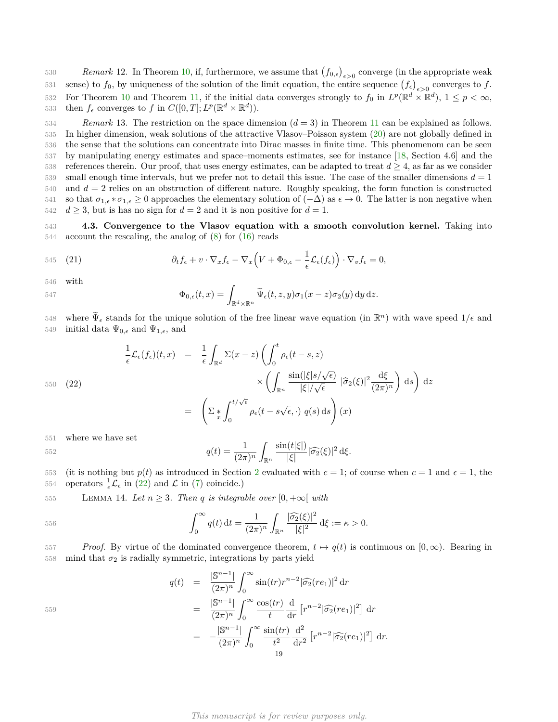*Remark* 12. In Theorem [10,](#page-17-2) if, furthermore, we assume that  $(f_{0,\epsilon})_{\epsilon>0}$  converge (in the appropriate weak sense) to  $f_0$ , by uniqueness of the solution of the limit equation, the entire sequence  $(f_\epsilon)_{\epsilon>0}$  converges to  $f$ . For Theorem [10](#page-17-2) and Theorem [11,](#page-17-3) if the initial data converges strongly to  $f_0$  in  $L^p(\mathbb{R}^d \times \mathbb{R}^d)$ ,  $1 \leq p < \infty$ , then  $f_{\epsilon}$  converges to  $f$  in  $C([0,T]; L^p(\mathbb{R}^d \times \mathbb{R}^d))$ .

 *Remark* 13. The restriction on the space dimension (*d* = 3) in Theorem [11](#page-17-3) can be explained as follows. In higher dimension, weak solutions of the attractive Vlasov–Poisson system [\(20\)](#page-17-4) are not globally defined in the sense that the solutions can concentrate into Dirac masses in finite time. This phenomenom can be seen by manipulating energy estimates and space–moments estimates, see for instance [\[18,](#page-30-18) Section 4.6] and the 538 references therein. Our proof, that uses energy estimates, can be adapted to treat  $d \geq 4$ , as far as we consider small enough time intervals, but we prefer not to detail this issue. The case of the smaller dimensions  $d = 1$  and *d* = 2 relies on an obstruction of different nature. Roughly speaking, the form function is constructed 541 so that  $\sigma_{1,\epsilon} * \sigma_{1,\epsilon} \geq 0$  approaches the elementary solution of  $(-\Delta)$  as  $\epsilon \to 0$ . The latter is non negative when  $d \geq 3$ , but is has no sign for  $d = 2$  and it is non positive for  $d = 1$ .

543 **4.3. Convergence to the Vlasov equation with a smooth convolution kernel.** Taking into 544 account the rescaling, the analog of [\(8\)](#page-3-0) for [\(16\)](#page-14-1) reads

545 (21) 
$$
\partial_t f_{\epsilon} + v \cdot \nabla_x f_{\epsilon} - \nabla_x \left( V + \Phi_{0,\epsilon} - \frac{1}{\epsilon} \mathcal{L}_{\epsilon}(f_{\epsilon}) \right) \cdot \nabla_v f_{\epsilon} = 0,
$$

546 with

$$
\Phi_{0,\epsilon}(t,x)=\int_{\mathbb{R}^d\times\mathbb{R}^n}\widetilde{\Psi}_\epsilon(t,z,y)\sigma_1(x-z)\sigma_2(y)\,\mathrm{d} y\,\mathrm{d} z.
$$

where  $\widetilde{\Psi}_{\epsilon}$  stands for the unique solution of the free linear wave equation (in  $\mathbb{R}^{n}$ ) with wave speed  $1/\epsilon$  and 549 initial data  $\Psi_{0,\epsilon}$  and  $\Psi_{1,\epsilon}$ , and

<span id="page-18-1"></span>
$$
\frac{1}{\epsilon} \mathcal{L}_{\epsilon}(f_{\epsilon})(t,x) = \frac{1}{\epsilon} \int_{\mathbb{R}^d} \Sigma(x-z) \left( \int_0^t \rho_{\epsilon}(t-s,z) \times \left( \int_{\mathbb{R}^n} \frac{\sin(|\xi|s/\sqrt{\epsilon})}{|\xi|/\sqrt{\epsilon}} |\widehat{\sigma}_2(\xi)|^2 \frac{d\xi}{(2\pi)^n} \right) ds \right) dz
$$
\n
$$
= \left( \Sigma_{\frac{x}{d}} \int_0^{t/\sqrt{\epsilon}} \rho_{\epsilon}(t-s\sqrt{\epsilon}, \cdot) q(s) ds \right) (x)
$$

551 where we have set

552 
$$
q(t) = \frac{1}{(2\pi)^n} \int_{\mathbb{R}^n} \frac{\sin(t|\xi|)}{|\xi|} |\widehat{\sigma_2}(\xi)|^2 d\xi.
$$

553 (it is nothing but  $p(t)$  as introduced in Section [2](#page-2-0) evaluated with  $c = 1$ ; of course when  $c = 1$  and  $\epsilon = 1$ , the 554 operators  $\frac{1}{\epsilon} \mathcal{L}_{\epsilon}$  in [\(22\)](#page-18-1) and  $\mathcal{L}$  in [\(7\)](#page-3-1) coincide.)

<span id="page-18-0"></span>555 LEMMA 14. Let  $n \geq 3$ . Then q is integrable over  $[0, +\infty)$  with

556 
$$
\int_0^\infty q(t) dt = \frac{1}{(2\pi)^n} \int_{\mathbb{R}^n} \frac{|\widehat{\sigma_2}(\xi)|^2}{|\xi|^2} d\xi := \kappa > 0.
$$

557 *Proof.* By virtue of the dominated convergence theorem,  $t \mapsto q(t)$  is continuous on  $[0,\infty)$ . Bearing in  $558$  mind that  $\sigma_2$  is radially symmetric, integrations by parts yield

$$
q(t) = \frac{|\mathbb{S}^{n-1}|}{(2\pi)^n} \int_0^\infty \sin(tr) r^{n-2} |\widehat{\sigma_2}(re_1)|^2 dr
$$
  
\n
$$
= \frac{|\mathbb{S}^{n-1}|}{(2\pi)^n} \int_0^\infty \frac{\cos(tr)}{t} \frac{d}{dr} [r^{n-2} |\widehat{\sigma_2}(re_1)|^2] dr
$$
  
\n
$$
= -\frac{|\mathbb{S}^{n-1}|}{(2\pi)^n} \int_0^\infty \frac{\sin(tr)}{t^2} \frac{d^2}{dr^2} [r^{n-2} |\widehat{\sigma_2}(re_1)|^2] dr
$$
  
\n19

559

*This manuscript is for review purposes only.*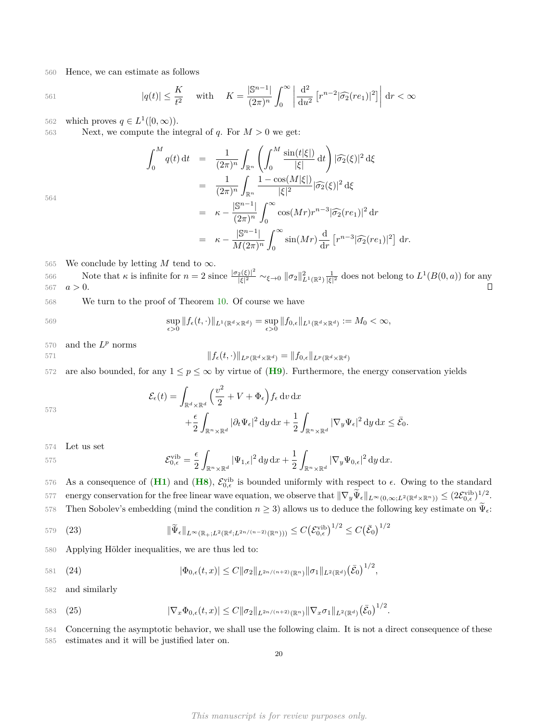560 Hence, we can estimate as follows

561 
$$
|q(t)| \leq \frac{K}{t^2} \quad \text{with} \quad K = \frac{|\mathbb{S}^{n-1}|}{(2\pi)^n} \int_0^\infty \left| \frac{d^2}{du^2} \left[ r^{n-2} |\widehat{\sigma_2}(re_1)|^2 \right] \right| dr < \infty
$$

562 which proves  $q \in L^1([0,\infty))$ .

563 Next, we compute the integral of  $q$ . For  $M > 0$  we get:

0

$$
\int_0^M q(t) dt = \frac{1}{(2\pi)^n} \int_{\mathbb{R}^n} \left( \int_0^M \frac{\sin(t|\xi|)}{|\xi|} dt \right) |\widehat{\sigma_2}(\xi)|^2 d\xi
$$
  
\n
$$
= \frac{1}{(2\pi)^n} \int_{\mathbb{R}^n} \frac{1 - \cos(M|\xi|)}{|\xi|^2} |\widehat{\sigma_2}(\xi)|^2 d\xi
$$
  
\n
$$
= \kappa - \frac{|\mathbb{S}^{n-1}|}{(2\pi)^n} \int_0^\infty \cos(Mr) r^{n-3} |\widehat{\sigma_2}(r e_1)|^2 dr
$$
  
\n
$$
= \kappa - \frac{|\mathbb{S}^{n-1}|}{M(2\pi)^n} \int_0^\infty \sin(Mr) \frac{d}{dr} [r^{n-3} |\widehat{\sigma_2}(r e_1)|^2] dr.
$$

564

565 We conclude by letting 
$$
M
$$
 tend to  $\infty$ .

Note that  $\kappa$  is infinite for  $n=2$  since  $\frac{|\sigma_2(\xi)|^2}{|\xi|^2}$ <sup>566</sup> Note that  $\kappa$  is infinite for  $n = 2$  since  $\frac{|\sigma_2(\xi)|^2}{|\xi|^2} \sim_{\xi \to 0} ||\sigma_2||^2_{L^1(\mathbb{R}^2)} \frac{1}{|\xi|^2}$  does not belong to  $L^1(B(0, a))$  for any 567  $a > 0$ .  $\Box$ 

568 We turn to the proof of Theorem [10.](#page-17-2) Of course we have

$$
\sup_{\epsilon>0} \|f_{\epsilon}(t,\cdot)\|_{L^{1}(\mathbb{R}^{d}\times\mathbb{R}^{d})} = \sup_{\epsilon>0} \|f_{0,\epsilon}\|_{L^{1}(\mathbb{R}^{d}\times\mathbb{R}^{d})} := M_{0} < \infty,
$$

570 and the  $L^p$  norms

$$
||f_{\epsilon}(t,\cdot)||_{L^{p}(\mathbb{R}^{d}\times\mathbb{R}^{d})}=||f_{0,\epsilon}||_{L^{p}(\mathbb{R}^{d}\times\mathbb{R}^{d})}
$$

572 are also bounded, for any  $1 \leq p \leq \infty$  by virtue of ([H9](#page-17-1)). Furthermore, the energy conservation yields

$$
\mathcal{E}_{\epsilon}(t) = \int_{\mathbb{R}^{d} \times \mathbb{R}^{d}} \left( \frac{v^{2}}{2} + V + \Phi_{\epsilon} \right) f_{\epsilon} dv dx \n+ \frac{\epsilon}{2} \int_{\mathbb{R}^{n} \times \mathbb{R}^{d}} |\partial_{t} \Psi_{\epsilon}|^{2} dy dx + \frac{1}{2} \int_{\mathbb{R}^{n} \times \mathbb{R}^{d}} |\nabla_{y} \Psi_{\epsilon}|^{2} dy dx \le \bar{\mathcal{E}}_{0}.
$$

574 Let us set

573

$$
\mathcal{E}_{0,\epsilon}^{\text{vib}} = \frac{\epsilon}{2} \int_{\mathbb{R}^n \times \mathbb{R}^d} |\Psi_{1,\epsilon}|^2 \, \mathrm{d}y \, \mathrm{d}x + \frac{1}{2} \int_{\mathbb{R}^n \times \mathbb{R}^d} |\nabla_y \Psi_{0,\epsilon}|^2 \, \mathrm{d}y \, \mathrm{d}x.
$$

576 As a consequence of  $(H1)$  $(H1)$  $(H1)$  and  $(H8)$  $(H8)$  $(H8)$ ,  $\mathcal{E}_{0,\epsilon}^{\text{vib}}$  is bounded uniformly with respect to  $\epsilon$ . Owing to the standard energy conservation for the free linear wave equation, we observe that  $\|\nabla_y \tilde{\Psi}_\epsilon\|_{L^\infty(0,\infty;L^2(\mathbb{R}^d \times \mathbb{R}^n))} \leq (2\mathcal{E}_{0,\epsilon}^{\text{vib}})^{1/2}$ . Then Sobolev's embedding (mind the condition  $n \geq 3$ ) allows us to deduce the following key estimate on  $\tilde{\Psi}_{\epsilon}$ :

<span id="page-19-1"></span>579 (23) 
$$
\|\widetilde{\Psi}_{\epsilon}\|_{L^{\infty}(\mathbb{R}_{+};L^{2}(\mathbb{R}^{d};L^{2n/(n-2)}(\mathbb{R}^{n})))} \leq C(\mathcal{E}_{0,\epsilon}^{\text{vib}})^{1/2} \leq C(\bar{\mathcal{E}}_{0})^{1/2}
$$

580 Applying Hölder inequalities, we are thus led to:

$$
| \Phi_{0,\epsilon}(t,x) | \leq C \| \sigma_2 \|_{L^{2n/(n+2)}(\mathbb{R}^n)} \| \sigma_1 \|_{L^2(\mathbb{R}^d)} (\bar{\mathcal{E}}_0)^{1/2},
$$

582 and similarly

583 (25) 
$$
|\nabla_x \Phi_{0,\epsilon}(t,x)| \leq C \|\sigma_2\|_{L^{2n/(n+2)}(\mathbb{R}^n)} \|\nabla_x \sigma_1\|_{L^2(\mathbb{R}^d)} (\bar{\mathcal{E}}_0)^{1/2}.
$$

584 Concerning the asymptotic behavior, we shall use the following claim. It is not a direct consequence of these

<span id="page-19-0"></span>585 estimates and it will be justified later on.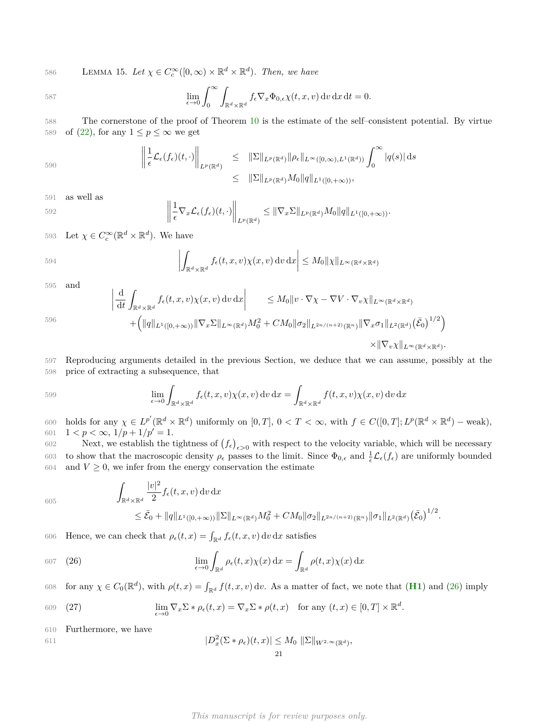586 **LEMMA 15.** *Let*  $\chi$  ∈  $C_c^∞([0, ∞) × ℝ<sup>d</sup> × ℝ<sup>d</sup>)$ *. Then, we have* 

$$
\lim_{\epsilon \to 0} \int_0^\infty \int_{\mathbb{R}^d \times \mathbb{R}^d} f_\epsilon \nabla_x \Phi_{0,\epsilon} \chi(t,x,v) \, dv \, dx \, dt = 0.
$$

588 The cornerstone of the proof of Theorem [10](#page-17-2) is the estimate of the self–consistent potential. By virtue 589 of  $(22)$ , for any  $1 \leq p \leq \infty$  we get

$$
\left\|\frac{1}{\epsilon}\mathcal{L}_{\epsilon}(f_{\epsilon})(t,\cdot)\right\|_{L^{p}(\mathbb{R}^{d})} \leq \|\Sigma\|_{L^{p}(\mathbb{R}^{d})}\|\rho_{\epsilon}\|_{L^{\infty}([0,\infty),L^{1}(\mathbb{R}^{d}))}\int_{0}^{\infty}|q(s)|ds
$$
  

$$
\leq \|\Sigma\|_{L^{p}(\mathbb{R}^{d})}M_{0}\|q\|_{L^{1}([0,+\infty))},
$$

591 as well as

592 
$$
\left\|\frac{1}{\epsilon}\nabla_x\mathcal{L}_{\epsilon}(f_{\epsilon})(t,\cdot)\right\|_{L^p(\mathbb{R}^d)} \leq \|\nabla_x\Sigma\|_{L^p(\mathbb{R}^d)}M_0\|q\|_{L^1([0,+\infty))}.
$$

593 Let  $\chi \in C_c^{\infty}(\mathbb{R}^d \times \mathbb{R}^d)$ . We have

594 
$$
\left| \int_{\mathbb{R}^d \times \mathbb{R}^d} f_{\epsilon}(t, x, v) \chi(x, v) \, dv \, dx \right| \leq M_0 \| \chi \|_{L^{\infty}(\mathbb{R}^d \times \mathbb{R}^d)}
$$

595 and

596

$$
\left| \frac{d}{dt} \int_{\mathbb{R}^d \times \mathbb{R}^d} f_{\epsilon}(t, x, v) \chi(x, v) dv dx \right| \leq M_0 \|v \cdot \nabla \chi - \nabla V \cdot \nabla_v \chi\|_{L^{\infty}(\mathbb{R}^d \times \mathbb{R}^d)} \n+ \left( \|q\|_{L^1([0, +\infty))} \|\nabla_x \Sigma\|_{L^{\infty}(\mathbb{R}^d)} M_0^2 + CM_0 \|\sigma_2\|_{L^{2n/(n+2)}(\mathbb{R}^n)} \|\nabla_x \sigma_1\|_{L^2(\mathbb{R}^d)} (\bar{\mathcal{E}}_0)^{1/2} \right) \n\times \|\nabla_v \chi\|_{L^{\infty}(\mathbb{R}^d \times \mathbb{R}^d)}.
$$

597 Reproducing arguments detailed in the previous Section, we deduce that we can assume, possibly at the 598 price of extracting a subsequence, that

599 
$$
\lim_{\epsilon \to 0} \int_{\mathbb{R}^d \times \mathbb{R}^d} f_{\epsilon}(t, x, v) \chi(x, v) dv dx = \int_{\mathbb{R}^d \times \mathbb{R}^d} f(t, x, v) \chi(x, v) dv dx
$$

600 holds for any  $\chi \in L^{p'}(\mathbb{R}^d \times \mathbb{R}^d)$  uniformly on  $[0,T]$ ,  $0 < T < \infty$ , with  $f \in C([0,T]; L^p(\mathbb{R}^d \times \mathbb{R}^d)$  – weak), 601  $1 < p < \infty$ ,  $1/p + 1/p' = 1$ .

Next, we establish the tightness of  $(f_{\epsilon})_{\epsilon>0}$  with respect to the velocity variable, which will be necessary  $603$  to show that the macroscopic density  $ρ_ε$  passes to the limit. Since  $Φ_{0,ε}$  and  $\frac{1}{ε} L_ε(f_ε)$  are uniformly bounded 604 and  $V \geq 0$ , we infer from the energy conservation the estimate

$$
605\,
$$

<span id="page-20-0"></span>
$$
\int_{\mathbb{R}^d \times \mathbb{R}^d} \frac{|v|^2}{2} f_{\epsilon}(t, x, v) dv dx
$$
  
\n
$$
\leq \bar{\mathcal{E}}_0 + ||q||_{L^1([0, +\infty))} ||\Sigma||_{L^{\infty}(\mathbb{R}^d)} M_0^2 + CM_0 ||\sigma_2||_{L^{2n/(n+2)}(\mathbb{R}^n)} ||\sigma_1||_{L^2(\mathbb{R}^d)} (\bar{\mathcal{E}}_0)^{1/2}.
$$

606 Hence, we can check that  $\rho_{\epsilon}(t,x) = \int_{\mathbb{R}^d} f_{\epsilon}(t,x,v) dv dx$  satisfies

607 (26) 
$$
\lim_{\epsilon \to 0} \int_{\mathbb{R}^d} \rho_{\epsilon}(t,x) \chi(x) dx = \int_{\mathbb{R}^d} \rho(t,x) \chi(x) dx
$$

608 for any  $\chi \in C_0(\mathbb{R}^d)$ , with  $\rho(t, x) = \int_{\mathbb{R}^d} f(t, x, v) dv$ . As a matter of fact, we note that (**[H1](#page-2-1)**) and [\(26\)](#page-20-0) imply

<span id="page-20-1"></span>(909) (27) 
$$
\lim_{\epsilon \to 0} \nabla_x \Sigma * \rho_{\epsilon}(t, x) = \nabla_x \Sigma * \rho(t, x) \quad \text{for any } (t, x) \in [0, T] \times \mathbb{R}^d.
$$

610 Furthermore, we have

611 
$$
|D_x^2(\Sigma * \rho_\epsilon)(t,x)| \leq M_0 \|\Sigma\|_{W^{2,\infty}(\mathbb{R}^d)},
$$
21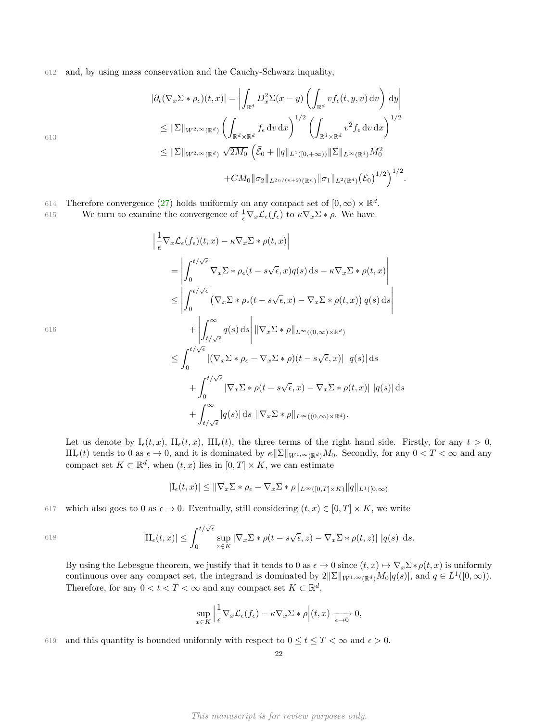612 and, by using mass conservation and the Cauchy-Schwarz inquality,

$$
|\partial_t (\nabla_x \Sigma * \rho_{\epsilon})(t, x)| = \left| \int_{\mathbb{R}^d} D_x^2 \Sigma(x - y) \left( \int_{\mathbb{R}^d} v f_{\epsilon}(t, y, v) dv \right) dy \right|
$$
  
\n
$$
\leq \|\Sigma\|_{W^{2, \infty}(\mathbb{R}^d)} \left( \int_{\mathbb{R}^d \times \mathbb{R}^d} f_{\epsilon} dv dx \right)^{1/2} \left( \int_{\mathbb{R}^d \times \mathbb{R}^d} v^2 f_{\epsilon} dv dx \right)^{1/2}
$$
  
\n
$$
\leq \|\Sigma\|_{W^{2, \infty}(\mathbb{R}^d)} \sqrt{2M_0} \left( \bar{\mathcal{E}}_0 + \|q\|_{L^1([0, +\infty))} \|\Sigma\|_{L^\infty(\mathbb{R}^d)} M_0^2 + CM_0 \|\sigma_2\|_{L^{2n/(n+2)}(\mathbb{R}^n)} \|\sigma_1\|_{L^2(\mathbb{R}^d)} (\bar{\mathcal{E}}_0)^{1/2} \right)^{1/2}.
$$

614 Therefore convergence [\(27\)](#page-20-1) holds uniformly on any compact set of  $[0, \infty) \times \mathbb{R}^d$ . We turn to examine the convergence of  $\frac{1}{\epsilon} \nabla_x \mathcal{L}_{\epsilon}(f_{\epsilon})$  to  $\kappa \nabla_x \Sigma * \rho$ . We have 615

$$
\begin{split}\n&\left|\frac{1}{\epsilon}\nabla_{x}\mathcal{L}_{\epsilon}(f_{\epsilon})(t,x)-\kappa\nabla_{x}\Sigma*\rho(t,x)\right| \\
&=\left|\int_{0}^{t/\sqrt{\epsilon}}\nabla_{x}\Sigma*\rho_{\epsilon}(t-s\sqrt{\epsilon},x)q(s)\,\mathrm{d}s-\kappa\nabla_{x}\Sigma*\rho(t,x)\right| \\
&\leq\left|\int_{0}^{t/\sqrt{\epsilon}}\left(\nabla_{x}\Sigma*\rho_{\epsilon}(t-s\sqrt{\epsilon},x)-\nabla_{x}\Sigma*\rho(t,x)\right)q(s)\,\mathrm{d}s\right| \\
&+\left|\int_{t/\sqrt{\epsilon}}^{\infty}q(s)\,\mathrm{d}s\right|\left\|\nabla_{x}\Sigma*\rho\right\|_{L^{\infty}((0,\infty)\times\mathbb{R}^{d})} \\
&\leq\int_{0}^{t/\sqrt{\epsilon}}\left|\left(\nabla_{x}\Sigma*\rho_{\epsilon}-\nabla_{x}\Sigma*\rho\right)(t-s\sqrt{\epsilon},x)\right|\left|q(s)\right|\mathrm{d}s \\
&+\int_{0}^{t/\sqrt{\epsilon}}\left|\nabla_{x}\Sigma*\rho(t-s\sqrt{\epsilon},x)-\nabla_{x}\Sigma*\rho(t,x)\right|\left|q(s)\right|\mathrm{d}s \\
&+\int_{t/\sqrt{\epsilon}}^{\infty}|q(s)|\,\mathrm{d}s\,\left\|\nabla_{x}\Sigma*\rho\right\|_{L^{\infty}((0,\infty)\times\mathbb{R}^{d})}.\n\end{split}
$$

616

Let us denote by  $I_{\epsilon}(t, x)$ ,  $II_{\epsilon}(t, x)$ ,  $III_{\epsilon}(t)$ , the three terms of the right hand side. Firstly, for any  $t > 0$ ,  $III_{\epsilon}(t)$  tends to 0 as  $\epsilon \to 0$ , and it is dominated by  $\kappa \|\Sigma\|_{W^{1,\infty}(\mathbb{R}^d)} M_0$ . Secondly, for any  $0 < T < \infty$  and any compact set  $K \subset \mathbb{R}^d$ , when  $(t, x)$  lies in  $[0, T] \times K$ , we can estimate

$$
|I_{\epsilon}(t,x)| \leq \|\nabla_x \Sigma * \rho_{\epsilon} - \nabla_x \Sigma * \rho\|_{L^{\infty}([0,T] \times K)} \|q\|_{L^1([0,\infty))}
$$

617 which also goes to 0 as  $\epsilon \to 0$ . Eventually, still considering  $(t, x) \in [0, T] \times K$ , we write

618 
$$
|\mathrm{II}_{\epsilon}(t,x)| \leq \int_0^{t/\sqrt{\epsilon}} \sup_{z \in K} |\nabla_x \Sigma * \rho(t-s\sqrt{\epsilon},z) - \nabla_x \Sigma * \rho(t,z)| |q(s)| ds.
$$

By using the Lebesgue theorem, we justify that it tends to 0 as  $\epsilon \to 0$  since  $(t, x) \mapsto \nabla_x \Sigma^* \rho(t, x)$  is uniformly continuous over any compact set, the integrand is dominated by  $2\|\Sigma\|_{W^{1,\infty}(\mathbb{R}^d)}M_0|q(s)|$ , and  $q \in L^1([0,\infty))$ . Therefore, for any  $0 < t < T < \infty$  and any compact set  $K \subset \mathbb{R}^d$ ,

$$
\sup_{x \in K} \left| \frac{1}{\epsilon} \nabla_x \mathcal{L}_{\epsilon}(f_{\epsilon}) - \kappa \nabla_x \Sigma * \rho \right| (t, x) \xrightarrow[\epsilon \to 0]{} 0,
$$

619 and this quantity is bounded uniformly with respect to  $0 \le t \le T < \infty$  and  $\epsilon > 0$ .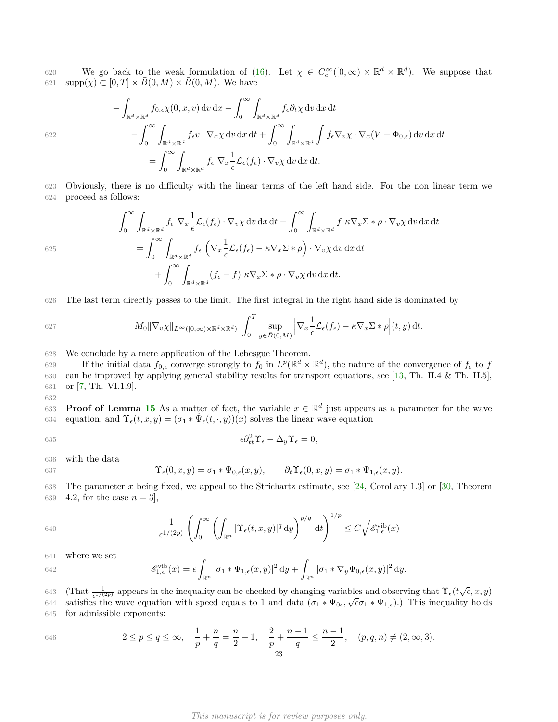We go back to the weak formulation of [\(16\)](#page-14-1). Let  $\chi \in C_c^{\infty}([0,\infty) \times \mathbb{R}^d \times \mathbb{R}^d)$ . We suppose that  $\sup p(\chi) \subset [0, T] \times \overline{B}(0, M) \times \overline{B}(0, M)$ . We have

$$
-\int_{\mathbb{R}^d \times \mathbb{R}^d} f_{0,\epsilon} \chi(0, x, v) dv dx - \int_0^\infty \int_{\mathbb{R}^d \times \mathbb{R}^d} f_{\epsilon} \partial_t \chi dv dx dt
$$
  

$$
-\int_0^\infty \int_{\mathbb{R}^d \times \mathbb{R}^d} f_{\epsilon} v \cdot \nabla_x \chi dv dx dt + \int_0^\infty \int_{\mathbb{R}^d \times \mathbb{R}^d} \int f_{\epsilon} \nabla_v \chi \cdot \nabla_x (V + \Phi_{0,\epsilon}) dv dx dt
$$
  

$$
= \int_0^\infty \int_{\mathbb{R}^d \times \mathbb{R}^d} f_{\epsilon} \nabla_x \frac{1}{\epsilon} \mathcal{L}_{\epsilon} (f_{\epsilon}) \cdot \nabla_v \chi dv dx dt.
$$

623 Obviously, there is no difficulty with the linear terms of the left hand side. For the non linear term we 624 proceed as follows:

$$
\int_0^\infty \int_{\mathbb{R}^d \times \mathbb{R}^d} f_{\epsilon} \nabla_x \frac{1}{\epsilon} \mathcal{L}_{\epsilon}(f_{\epsilon}) \cdot \nabla_v \chi \, dv \, dx \, dt - \int_0^\infty \int_{\mathbb{R}^d \times \mathbb{R}^d} f \, \kappa \nabla_x \Sigma * \rho \cdot \nabla_v \chi \, dv \, dx \, dt
$$

$$
= \int_0^\infty \int_{\mathbb{R}^d \times \mathbb{R}^d} f_{\epsilon} \left( \nabla_x \frac{1}{\epsilon} \mathcal{L}_{\epsilon}(f_{\epsilon}) - \kappa \nabla_x \Sigma * \rho \right) \cdot \nabla_v \chi \, dv \, dx \, dt
$$

$$
+ \int_0^\infty \int_{\mathbb{R}^d \times \mathbb{R}^d} (f_{\epsilon} - f) \, \kappa \nabla_x \Sigma * \rho \cdot \nabla_v \chi \, dv \, dx \, dt.
$$

626 The last term directly passes to the limit. The first integral in the right hand side is dominated by

627 
$$
M_0 \|\nabla_v \chi\|_{L^\infty([0,\infty)\times\mathbb{R}^d\times\mathbb{R}^d)} \int_0^T \sup_{y\in\bar{B}(0,M)} \left|\nabla_x \frac{1}{\epsilon} \mathcal{L}_{\epsilon}(f_{\epsilon}) - \kappa \nabla_x \Sigma * \rho \right| (t,y) dt.
$$

628 We conclude by a mere application of the Lebesgue Theorem.

If the initial data  $f_{0,\epsilon}$  converge strongly to  $f_0$  in  $L^p(\mathbb{R}^d \times \mathbb{R}^d)$ , the nature of the convergence of  $f_{\epsilon}$  to  $f$ 630 can be improved by applying general stability results for transport equations, see [\[13,](#page-30-19) Th. II.4 & Th. II.5], 631 or [\[7,](#page-30-20) Th. VI.1.9].

633 **Proof of Lemma [15](#page-19-0)** As a matter of fact, the variable  $x \in \mathbb{R}^d$  just appears as a parameter for the wave 634 equation, and  $\Upsilon_{\epsilon}(t, x, y) = (\sigma_1 * \widetilde{\Psi}_{\epsilon}(t, \cdot, y))(x)$  solves the linear wave equation

$$
\epsilon \partial_{tt}^2 \Upsilon_{\epsilon} - \Delta_y \Upsilon_{\epsilon} = 0,
$$

636 with the data

622

625

632

637 
$$
\Upsilon_{\epsilon}(0,x,y) = \sigma_1 * \Psi_{0,\epsilon}(x,y), \qquad \partial_t \Upsilon_{\epsilon}(0,x,y) = \sigma_1 * \Psi_{1,\epsilon}(x,y).
$$

638 The parameter *x* being fixed, we appeal to the Strichartz estimate, see [\[24,](#page-30-21) Corollary 1.3] or [\[30,](#page-31-5) Theorem 639 4.2, for the case  $n = 3$ ,

640 
$$
\frac{1}{\epsilon^{1/(2p)}} \left( \int_0^\infty \left( \int_{\mathbb{R}^n} |\Upsilon_{\epsilon}(t,x,y)|^q dy \right)^{p/q} dt \right)^{1/p} \leq C \sqrt{\mathscr{E}_{1,\epsilon}^{\text{vib}}(x)}
$$

641 where we set

642 
$$
\mathscr{E}_{1,\epsilon}^{\text{vib}}(x) = \epsilon \int_{\mathbb{R}^n} |\sigma_1 * \Psi_{1,\epsilon}(x,y)|^2 dy + \int_{\mathbb{R}^n} |\sigma_1 * \nabla_y \Psi_{0,\epsilon}(x,y)|^2 dy.
$$

<sup>643</sup> (That  $\frac{1}{\epsilon^{1/(2p)}}$  appears in the inequality can be checked by changing variables and observing that  $\Upsilon_{\epsilon}(t\sqrt{\epsilon},x,y)$ satisfies the wave equation with speed equals to 1 and data  $(\sigma_1 * \Psi_{0,\epsilon}, \sqrt{\epsilon}\sigma_1 * \Psi_{1,\epsilon})$ .) This inequality holds 645 for admissible exponents:

646 
$$
2 \le p \le q \le \infty
$$
,  $\frac{1}{p} + \frac{n}{q} = \frac{n}{2} - 1$ ,  $\frac{2}{p} + \frac{n-1}{q} \le \frac{n-1}{2}$ ,  $(p, q, n) \ne (2, \infty, 3)$ .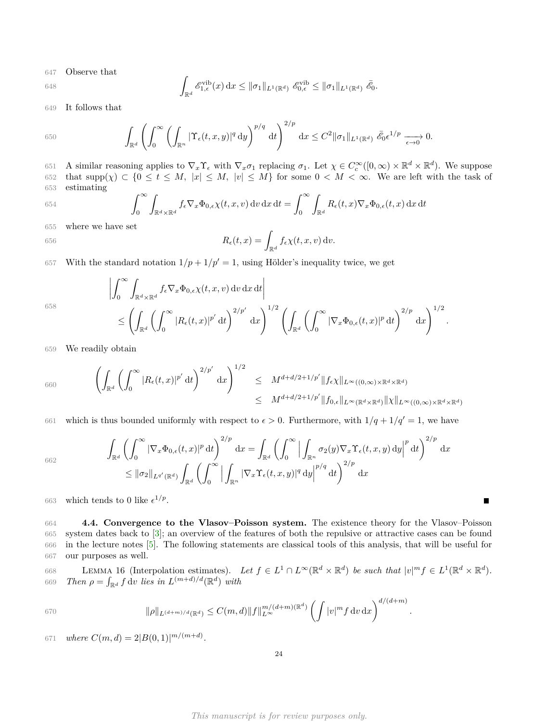647 Observe that

648 
$$
\int_{\mathbb{R}^d} \mathscr{E}_{1,\epsilon}^{\text{vib}}(x) dx \leq ||\sigma_1||_{L^1(\mathbb{R}^d)} \mathscr{E}_{0,\epsilon}^{\text{vib}} \leq ||\sigma_1||_{L^1(\mathbb{R}^d)} \mathscr{E}_0.
$$

649 It follows that

650 
$$
\int_{\mathbb{R}^d} \left( \int_0^\infty \left( \int_{\mathbb{R}^n} |\Upsilon_{\epsilon}(t,x,y)|^q dy \right)^{p/q} dt \right)^{2/p} dx \leq C^2 \|\sigma_1\|_{L^1(\mathbb{R}^d)} \bar{\mathscr{E}}_0 \epsilon^{1/p} \longrightarrow 0.
$$

651 A similar reasoning applies to  $\nabla_x \Upsilon_\epsilon$  with  $\nabla_x \sigma_1$  replacing  $\sigma_1$ . Let  $\chi \in C_c^\infty([0,\infty) \times \mathbb{R}^d \times \mathbb{R}^d)$ . We suppose 652 that  $\text{supp}(\chi) \subset \{0 \le t \le M, |x| \le M, |v| \le M\}$  for some  $0 < M < \infty$ . We are left with the task of 653 estimating

654 
$$
\int_0^\infty \int_{\mathbb{R}^d \times \mathbb{R}^d} f_{\epsilon} \nabla_x \Phi_{0,\epsilon} \chi(t,x,v) dv dx dt = \int_0^\infty \int_{\mathbb{R}^d} R_{\epsilon}(t,x) \nabla_x \Phi_{0,\epsilon}(t,x) dx dt
$$

655 where we have set

656 
$$
R_{\epsilon}(t,x) = \int_{\mathbb{R}^d} f_{\epsilon} \chi(t,x,v) \, \mathrm{d}v.
$$

657 With the standard notation  $1/p + 1/p' = 1$ , using Hölder's inequality twice, we get

658

$$
\left| \int_0^\infty \int_{\mathbb{R}^d \times \mathbb{R}^d} f_{\epsilon} \nabla_x \Phi_{0,\epsilon} \chi(t,x,v) \, dv \, dx \, dt \right|
$$
  
\$\leq \left( \int\_{\mathbb{R}^d} \left( \int\_0^\infty |R\_{\epsilon}(t,x)|^{p'} \, dt \right)^{2/p'} \, dx \right)^{1/2} \left( \int\_{\mathbb{R}^d} \left( \int\_0^\infty |\nabla\_x \Phi\_{0,\epsilon}(t,x)|^p \, dt \right)^{2/p} \, dx \right)^{1/2}\$

*.*

П

659 We readily obtain

$$
\begin{aligned}\n\left(\int_{\mathbb{R}^d} \left(\int_0^\infty |R_{\epsilon}(t,x)|^{p'}\,\mathrm{d}t\right)^{2/p'}\,\mathrm{d}x\right)^{1/2} &\leq M^{d+d/2+1/p'}\|f_{\epsilon}\chi\|_{L^\infty((0,\infty)\times\mathbb{R}^d\times\mathbb{R}^d)} \\
&\leq M^{d+d/2+1/p'}\|f_{0,\epsilon}\|_{L^\infty(\mathbb{R}^d\times\mathbb{R}^d)}\|\chi\|_{L^\infty((0,\infty)\times\mathbb{R}^d\times\mathbb{R}^d)}\n\end{aligned}
$$

661 which is thus bounded uniformly with respect to  $\epsilon > 0$ . Furthermore, with  $1/q + 1/q' = 1$ , we have

662

$$
\int_{\mathbb{R}^d} \left( \int_0^\infty |\nabla_x \Phi_{0,\epsilon}(t,x)|^p \, \mathrm{d}t \right)^{2/p} \, \mathrm{d}x = \int_{\mathbb{R}^d} \left( \int_0^\infty \Big| \int_{\mathbb{R}^n} \sigma_2(y) \nabla_x \Upsilon_\epsilon(t,x,y) \, \mathrm{d}y \Big|^p \, \mathrm{d}t \right)^{2/p} \, \mathrm{d}x
$$
\n
$$
\leq ||\sigma_2||_{L^{q'}(\mathbb{R}^d)} \int_{\mathbb{R}^d} \left( \int_0^\infty \Big| \int_{\mathbb{R}^n} |\nabla_x \Upsilon_\epsilon(t,x,y)|^q \, \mathrm{d}y \Big|^{p/q} \, \mathrm{d}t \right)^{2/p} \, \mathrm{d}x
$$

663 which tends to 0 like  $\epsilon^{1/p}$ .

 **4.4. Convergence to the Vlasov–Poisson system.** The existence theory for the Vlasov–Poisson system dates back to [\[3\]](#page-30-22); an overview of the features of both the repulsive or attractive cases can be found in the lecture notes [\[5\]](#page-30-23). The following statements are classical tools of this analysis, that will be useful for our purposes as well.

<span id="page-23-1"></span>668 LEMMA 16 (Interpolation estimates). Let  $f \in L^1 \cap L^\infty(\mathbb{R}^d \times \mathbb{R}^d)$  be such that  $|v|^m f \in L^1(\mathbb{R}^d \times \mathbb{R}^d)$ . *G69 Then*  $\rho = \int_{\mathbb{R}^d} f \, dv$  *lies in*  $L^{(m+d)/d}(\mathbb{R}^d)$  *with* 

670 
$$
\|\rho\|_{L^{(d+m)/d}(\mathbb{R}^d)} \leq C(m,d) \|f\|_{L^{\infty}}^{m/(d+m)(\mathbb{R}^d)} \left(\int |v|^m f \,dv \,dx\right)^{d/(d+m)}.
$$

<span id="page-23-0"></span> $W^{671}$  *where*  $C(m, d) = 2|B(0, 1)|^{m/(m+d)}$ .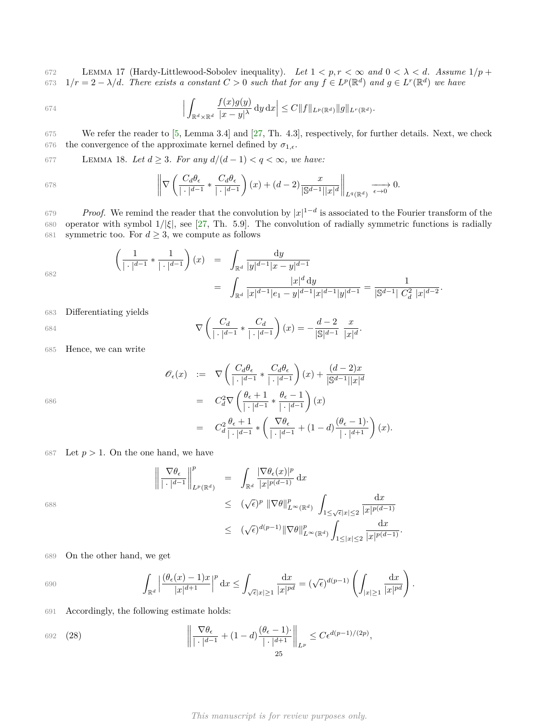672 LEMMA 17 (Hardy-Littlewood-Sobolev inequality). Let  $1 < p, r < \infty$  and  $0 < \lambda < d$ . Assume  $1/p +$  $1/r = 2 - \lambda/d$ . There exists a constant  $C > 0$  such that for any  $f \in L^p(\mathbb{R}^d)$  and  $g \in L^r(\mathbb{R}^d)$  we have

674 
$$
\left|\int_{\mathbb{R}^d\times\mathbb{R}^d} \frac{f(x)g(y)}{|x-y|^{\lambda}} dy dx\right| \leq C \|f\|_{L^p(\mathbb{R}^d)} \|g\|_{L^r(\mathbb{R}^d)}.
$$

675 We refer the reader to [\[5,](#page-30-23) Lemma 3.4] and [\[27,](#page-30-24) Th. 4.3], respectively, for further details. Next, we check 676 the convergence of the approximate kernel defined by  $\sigma_{1,\epsilon}$ .

<span id="page-24-0"></span>677 LEMMA 18. Let  $d \geq 3$ . For any  $d/(d-1) < q < \infty$ , we have:

678 
$$
\left\| \nabla \left( \frac{C_d \theta_{\epsilon}}{|\cdot|^{d-1}} * \frac{C_d \theta_{\epsilon}}{|\cdot|^{d-1}} \right) (x) + (d-2) \frac{x}{|\mathbb{S}^{d-1}||x|^d} \right\|_{L^q(\mathbb{R}^d)} \xrightarrow[\epsilon \to 0]{} 0.
$$

*Proof.* We remind the reader that the convolution by  $|x|^{1-d}$  is associated to the Fourier transform of the 680 operator with symbol 1*/*|*ξ*|, see [\[27,](#page-30-24) Th. 5.9]. The convolution of radially symmetric functions is radially 681 symmetric too. For  $d \geq 3$ , we compute as follows

$$
\left(\frac{1}{|\cdot|^{d-1}} * \frac{1}{|\cdot|^{d-1}}\right)(x) = \int_{\mathbb{R}^d} \frac{dy}{|y|^{d-1}|x-y|^{d-1}} = \int_{\mathbb{R}^d} \frac{|x|^d dy}{|x|^{d-1}|e_1 - y|^{d-1}|x|^{d-1}|y|^{d-1}} = \frac{1}{|\mathbb{S}^{d-1}| C_d^2 |x|^{d-2}}.
$$

683 Differentiating yields

684 
$$
\nabla \left( \frac{C_d}{|\cdot|^{d-1}} * \frac{C_d}{|\cdot|^{d-1}} \right)(x) = -\frac{d-2}{|\mathbb{S}|^{d-1}} \frac{x}{|x|^d}.
$$

685 Hence, we can write

$$
\begin{array}{rcl}\n\mathscr{O}_{\epsilon}(x) & := & \nabla \left( \frac{C_{d} \theta_{\epsilon}}{|\cdot|^{d-1}} \ast \frac{C_{d} \theta_{\epsilon}}{|\cdot|^{d-1}} \right)(x) + \frac{(d-2)x}{|\mathbb{S}^{d-1}||x|^{d}} \\
& = & C_{d}^{2} \nabla \left( \frac{\theta_{\epsilon} + 1}{|\cdot|^{d-1}} \ast \frac{\theta_{\epsilon} - 1}{|\cdot|^{d-1}} \right)(x) \\
& = & C_{d}^{2} \frac{\theta_{\epsilon} + 1}{|\cdot|^{d-1}} \ast \left( \frac{\nabla \theta_{\epsilon}}{|\cdot|^{d-1}} + (1 - d) \frac{(\theta_{\epsilon} - 1)}{|\cdot|^{d+1}} \right)(x).\n\end{array}
$$

686

687 Let 
$$
p > 1
$$
. On the one hand, we have

$$
\left\| \frac{\nabla \theta_{\epsilon}}{|\cdot|^{d-1}} \right\|_{L^{p}(\mathbb{R}^{d})}^{p} = \int_{\mathbb{R}^{d}} \frac{|\nabla \theta_{\epsilon}(x)|^{p}}{|x|^{p(d-1)}} dx
$$
  
\n
$$
\leq (\sqrt{\epsilon})^{p} \|\nabla \theta\|_{L^{\infty}(\mathbb{R}^{d})}^{p} \int_{1 \leq \sqrt{\epsilon}|x| \leq 2} \frac{dx}{|x|^{p(d-1)}}
$$
  
\n
$$
\leq (\sqrt{\epsilon})^{d(p-1)} \|\nabla \theta\|_{L^{\infty}(\mathbb{R}^{d})}^{p} \int_{1 \leq |x| \leq 2} \frac{dx}{|x|^{p(d-1)}}.
$$

688

689 On the other hand, we get

690 
$$
\int_{\mathbb{R}^d} \left| \frac{(\theta_\epsilon(x) - 1)x}{|x|^{d+1}} \right|^p dx \le \int_{\sqrt{\epsilon}|x| \ge 1} \frac{dx}{|x|^{pd}} = (\sqrt{\epsilon})^{d(p-1)} \left( \int_{|x| \ge 1} \frac{dx}{|x|^{pd}} \right).
$$

691 Accordingly, the following estimate holds:

<span id="page-24-1"></span>692 (28) 
$$
\left\| \frac{\nabla \theta_{\epsilon}}{|\cdot|^{d-1}} + (1-d) \frac{(\theta_{\epsilon} - 1)}{|\cdot|^{d+1}} \right\|_{L^p} \leq C \epsilon^{d(p-1)/(2p)},
$$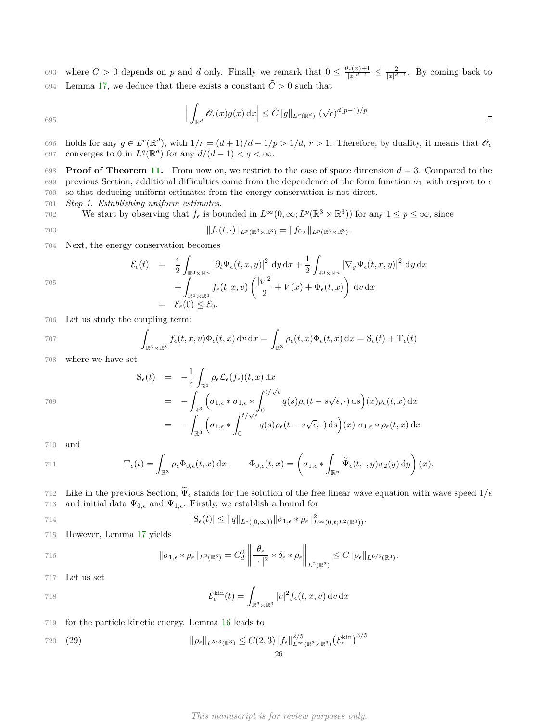693 where  $C > 0$  depends on *p* and *d* only. Finally we remark that  $0 \leq \frac{\theta_{\epsilon}(x)+1}{|x|^{d-1}} \leq \frac{2}{|x|^{d-1}}$ . By coming back to 694 Lemma [17,](#page-23-0) we deduce that there exists a constant  $\tilde{C} > 0$  such that

$$
\left| \int_{\mathbb{R}^d} \mathscr{O}_{\epsilon}(x) g(x) \, \mathrm{d}x \right| \leq \tilde{C} \|g\|_{L^r(\mathbb{R}^d)} \left( \sqrt{\epsilon} \right)^{d(p-1)/p} \qquad \qquad \Box
$$

696 holds for any  $g \in L^r(\mathbb{R}^d)$ , with  $1/r = (d+1)/d - 1/p > 1/d$ ,  $r > 1$ . Therefore, by duality, it means that  $\mathcal{O}_{\epsilon}$ 697 converges to 0 in  $L^q(\mathbb{R}^d)$  for any  $d/(d-1) < q < \infty$ .

698 **Proof of Theorem [11.](#page-17-3)** From now on, we restrict to the case of space dimension  $d = 3$ . Compared to the 699 previous Section, additional difficulties come from the dependence of the form function  $\sigma_1$  with respect to  $\epsilon$ 700 so that deducing uniform estimates from the energy conservation is not direct.

701 *Step 1. Establishing uniform estimates.*

702 We start by observing that  $f_{\epsilon}$  is bounded in  $L^{\infty}(0,\infty; L^{p}(\mathbb{R}^{3} \times \mathbb{R}^{3}))$  for any  $1 \leq p \leq \infty$ , since

$$
||f_{\epsilon}(t,\cdot)||_{L^{p}(\mathbb{R}^{3}\times\mathbb{R}^{3})} = ||f_{0,\epsilon}||_{L^{p}(\mathbb{R}^{3}\times\mathbb{R}^{3})}.
$$

704 Next, the energy conservation becomes

$$
\mathcal{E}_{\epsilon}(t) = \frac{\epsilon}{2} \int_{\mathbb{R}^{3} \times \mathbb{R}^{n}} |\partial_{t} \Psi_{\epsilon}(t, x, y)|^{2} dy dx + \frac{1}{2} \int_{\mathbb{R}^{3} \times \mathbb{R}^{n}} |\nabla_{y} \Psi_{\epsilon}(t, x, y)|^{2} dy dx \n+ \int_{\mathbb{R}^{3} \times \mathbb{R}^{3}} f_{\epsilon}(t, x, v) \left( \frac{|v|^{2}}{2} + V(x) + \Phi_{\epsilon}(t, x) \right) dv dx \n= \mathcal{E}_{\epsilon}(0) \leq \bar{\mathcal{E}}_{0}.
$$

706 Let us study the coupling term:

707 
$$
\int_{\mathbb{R}^3 \times \mathbb{R}^3} f_{\epsilon}(t, x, v) \Phi_{\epsilon}(t, x) dv dx = \int_{\mathbb{R}^3} \rho_{\epsilon}(t, x) \Phi_{\epsilon}(t, x) dx = S_{\epsilon}(t) + T_{\epsilon}(t)
$$

708 where we have set

$$
S_{\epsilon}(t) = -\frac{1}{\epsilon} \int_{\mathbb{R}^3} \rho_{\epsilon} \mathcal{L}_{\epsilon}(f_{\epsilon})(t, x) dx
$$
  
\n
$$
= -\int_{\mathbb{R}^3} \left( \sigma_{1, \epsilon} * \sigma_{1, \epsilon} * \int_0^{t/\sqrt{\epsilon}} q(s) \rho_{\epsilon}(t - s\sqrt{\epsilon}, \cdot) ds \right) (x) \rho_{\epsilon}(t, x) dx
$$
  
\n
$$
= -\int_{\mathbb{R}^3} \left( \sigma_{1, \epsilon} * \int_0^{t/\sqrt{\epsilon}} q(s) \rho_{\epsilon}(t - s\sqrt{\epsilon}, \cdot) ds \right) (x) \sigma_{1, \epsilon} * \rho_{\epsilon}(t, x) dx
$$

710 and

709

695

705

711 
$$
\mathcal{T}_{\epsilon}(t) = \int_{\mathbb{R}^{3}} \rho_{\epsilon} \Phi_{0,\epsilon}(t,x) dx, \qquad \Phi_{0,\epsilon}(t,x) = \left(\sigma_{1,\epsilon} * \int_{\mathbb{R}^{n}} \widetilde{\Psi}_{\epsilon}(t,\cdot,y) \sigma_{2}(y) dy\right)(x).
$$

The 712 Like in the previous Section,  $\tilde{\Psi}_{\epsilon}$  stands for the solution of the free linear wave equation with wave speed  $1/\epsilon$ <br>713 and initial data  $\Psi_{0,\epsilon}$  and  $\Psi_{1,\epsilon}$ . Firstly, we establish a bound for and initial data  $\Psi_{0,\epsilon}$  and  $\Psi_{1,\epsilon}$ . Firstly, we establish a bound for

714 
$$
|S_{\epsilon}(t)| \leq ||q||_{L^{1}([0,\infty))} ||\sigma_{1,\epsilon} * \rho_{\epsilon}||_{L^{\infty}(0,t;L^{2}(\mathbb{R}^{3}))}^{2}.
$$

715 However, Lemma [17](#page-23-0) yields

716 
$$
\|\sigma_{1,\epsilon} * \rho_{\epsilon}\|_{L^2(\mathbb{R}^3)} = C_d^2 \left\| \frac{\theta_{\epsilon}}{|\cdot|^2} * \delta_{\epsilon} * \rho_{\epsilon} \right\|_{L^2(\mathbb{R}^3)} \leq C \|\rho_{\epsilon}\|_{L^{6/5}(\mathbb{R}^3)}.
$$

717 Let us set

718 
$$
\mathcal{E}_{\epsilon}^{\text{kin}}(t) = \int_{\mathbb{R}^3 \times \mathbb{R}^3} |v|^2 f_{\epsilon}(t, x, v) dv dx
$$

### 719 for the particle kinetic energy. Lemma [16](#page-23-1) leads to

720 (29) 
$$
\|\rho_{\epsilon}\|_{L^{5/3}(\mathbb{R}^3)} \leq C(2,3) \|f_{\epsilon}\|_{L^{\infty}(\mathbb{R}^3 \times \mathbb{R}^3)}^{2/5} (\mathcal{E}_{\epsilon}^{\text{kin}})^{3/5}
$$

*This manuscript is for review purposes only.*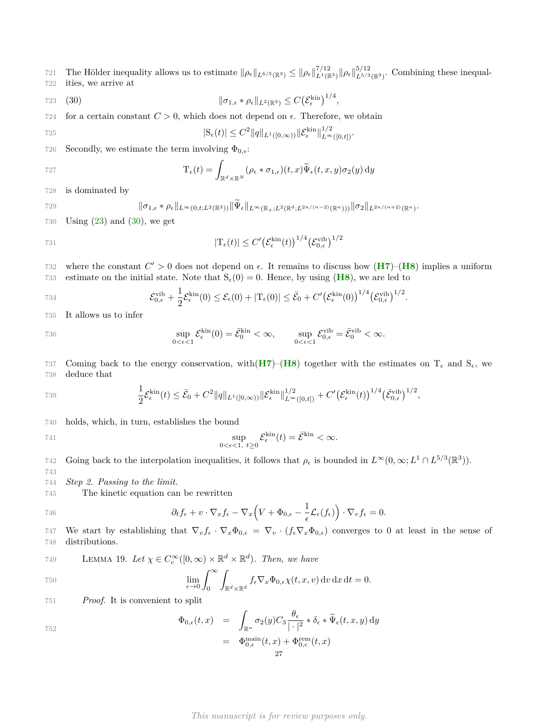The Hölder inequality allows us to estimate  $\|\rho_{\epsilon}\|_{L^{6/5}(\mathbb{R}^3)} \le \|\rho_{\epsilon}\|_{L^{1}(\mathbb{R}^3)}^{7/12} \|\rho_{\epsilon}\|_{L^{5/3}(\mathbb{R}^3)}^{5/12}$ . Combining these inequal-722 ities, we arrive at

<span id="page-26-0"></span>(30)  $\|\sigma_{1,\epsilon} * \rho_{\epsilon}\|_{L^2(\mathbb{R}^3)} \leq C (\mathcal{E}_{\epsilon}^{\text{kin}})^{1/4},$ 

724 for a certain constant  $C > 0$ , which does not depend on  $\epsilon$ . Therefore, we obtain

725 
$$
|S_{\epsilon}(t)| \leq C^2 \|q\|_{L^1([0,\infty))} \|\mathcal{E}_{\epsilon}^{\text{kin}}\|_{L^{\infty}([0,t])}^{1/2}.
$$

726 Secondly, we estimate the term involving  $\Phi_{0,\epsilon}$ :

727 
$$
\mathrm{T}_{\epsilon}(t) = \int_{\mathbb{R}^d \times \mathbb{R}^N} (\rho_{\epsilon} * \sigma_{1,\epsilon})(t,x) \widetilde{\Psi}_{\epsilon}(t,x,y) \sigma_2(y) \, \mathrm{d}y
$$

728 is dominated by

729 
$$
\|\sigma_{1,\epsilon} * \rho_{\epsilon}\|_{L^{\infty}(0,t;L^{2}(\mathbb{R}^{3}))} \|\Psi_{\epsilon}\|_{L^{\infty}(\mathbb{R}_{+};L^{2}(\mathbb{R}^{d};L^{2n/(n-2)}(\mathbb{R}^{n})))} \|\sigma_{2}\|_{L^{2n/(n+2)}(\mathbb{R}^{n})}.
$$

730 Using [\(23\)](#page-19-1) and [\(30\)](#page-26-0), we get

$$
|T_{\epsilon}(t)| \le C' \big(\mathcal{E}_{\epsilon}^{\rm kin}(t)\big)^{1/4} \big(\mathcal{E}_{0,\epsilon}^{\rm vib}\big)^{1/2}
$$

where the constant  $C' > 0$  does not depend on  $\epsilon$ . It remains to discuss how  $(H7)$  $(H7)$  $(H7)$ – $(H8)$  $(H8)$  $(H8)$  implies a uniform 733 estimate on the initial state. Note that  $S_6(0) = 0$ . Hence, by using (**[H8](#page-17-5)**), we are led to

734 
$$
\mathcal{E}_{0,\epsilon}^{\text{vib}} + \frac{1}{2} \mathcal{E}_{\epsilon}^{\text{kin}}(0) \leq \mathcal{E}_{\epsilon}(0) + |\mathcal{T}_{\epsilon}(0)| \leq \bar{\mathcal{E}}_{0} + C' \big(\mathcal{E}_{\epsilon}^{\text{kin}}(0)\big)^{1/4} \big(\mathcal{E}_{0,\epsilon}^{\text{vib}}\big)^{1/2}.
$$

735 It allows us to infer

736 
$$
\sup_{0 < \epsilon < 1} \mathcal{E}_{\epsilon}^{\text{kin}}(0) = \bar{\mathcal{E}}_0^{\text{kin}} < \infty, \qquad \sup_{0 < \epsilon < 1} \mathcal{E}_{0,\epsilon}^{\text{vib}} = \bar{\mathcal{E}}_0^{\text{vib}} < \infty.
$$

737 Coming back to the energy conservation, with  $(H7)$  $(H7)$  $(H7)$ – $(H8)$  $(H8)$  $(H8)$  together with the estimates on  $T_{\epsilon}$  and  $S_{\epsilon}$ , we 738 deduce that

739 
$$
\frac{1}{2}\mathcal{E}_{\epsilon}^{\text{kin}}(t) \leq \bar{\mathcal{E}}_{0} + C^{2} \|q\|_{L^{1}([0,\infty))} \|\mathcal{E}_{\epsilon}^{\text{kin}}\|_{L^{\infty}([0,t])}^{1/2} + C' \big(\mathcal{E}_{\epsilon}^{\text{kin}}(t)\big)^{1/4} \big(\bar{\mathcal{E}}_{0,\epsilon}^{\text{vib}}\big)^{1/2},
$$

740 holds, which, in turn, establishes the bound

741 
$$
\sup_{0<\epsilon<1, t\geq 0} \mathcal{E}_{\epsilon}^{\text{kin}}(t) = \bar{\mathcal{E}}^{\text{kin}} < \infty.
$$

Going back to the interpolation inequalities, it follows that  $\rho_{\epsilon}$  is bounded in  $L^{\infty}(0,\infty; L^{1} \cap L^{5/3}(\mathbb{R}^{3}))$ .

743 744 *Step 2. Passing to the limit.*

745 The kinetic equation can be rewritten

746 
$$
\partial_t f_{\epsilon} + v \cdot \nabla_x f_{\epsilon} - \nabla_x \Big( V + \Phi_{0,\epsilon} - \frac{1}{\epsilon} \mathcal{L}_{\epsilon}(f_{\epsilon}) \Big) \cdot \nabla_v f_{\epsilon} = 0.
$$

747 We start by establishing that  $\nabla_v f_{\epsilon} \cdot \nabla_x \Phi_{0,\epsilon} = \nabla_v \cdot (f_{\epsilon} \nabla_x \Phi_{0,\epsilon})$  converges to 0 at least in the sense of 748 distributions.

$$
749 \qquad \text{LEMMA 19. Let } \chi \in C_c^{\infty}([0,\infty) \times \mathbb{R}^d \times \mathbb{R}^d). \text{ Then, we have}
$$

750 
$$
\lim_{\epsilon \to 0} \int_0^\infty \int_{\mathbb{R}^d \times \mathbb{R}^d} f_\epsilon \nabla_x \Phi_{0,\epsilon} \chi(t,x,v) dv dx dt = 0.
$$

751 *Proof.* It is convenient to split

$$
\Phi_{0,\epsilon}(t,x) = \int_{\mathbb{R}^n} \sigma_2(y) C_3 \frac{\theta_{\epsilon}}{|\cdot|^2} * \delta_{\epsilon} * \widetilde{\Psi}_{\epsilon}(t,x,y) dy
$$

$$
= \Phi_{0,\epsilon}^{\text{main}}(t,x) + \Phi_{0,\epsilon}^{\text{rem}}(t,x)
$$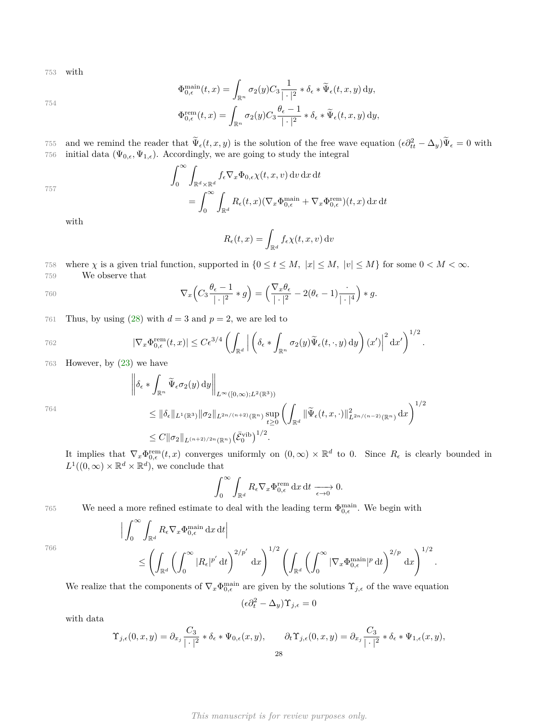753 with

754

$$
\Phi_{0,\epsilon}^{\min}(t,x) = \int_{\mathbb{R}^n} \sigma_2(y) C_3 \frac{1}{|\cdot|^2} * \delta_{\epsilon} * \widetilde{\Psi}_{\epsilon}(t,x,y) \, dy,
$$
\n
$$
\lim_{\epsilon \to 0} \delta_{\epsilon} \frac{1}{|\cdot|^2} * \delta_{\epsilon} = \mathbb{E} \left[ \delta_{\epsilon} \frac{1}{|\cdot|^2} \right]
$$

$$
\Phi_{0,\epsilon}^{\text{rem}}(t,x) = \int_{\mathbb{R}^n} \sigma_2(y) C_3 \frac{\theta_{\epsilon} - 1}{|\cdot|^2} * \delta_{\epsilon} * \widetilde{\Psi}_{\epsilon}(t,x,y) \, dy,
$$

and we remind the reader that  $\tilde{\Psi}_{\epsilon}(t, x, y)$  is the solution of the free wave equation  $(\epsilon \partial_{tt}^2 - \Delta_y) \tilde{\Psi}_{\epsilon} = 0$  with 756 initial data  $(\Psi_{0,\epsilon}, \Psi_{1,\epsilon})$ . Accordingly, we are going to study the integral

757  

$$
\int_0^\infty \int_{\mathbb{R}^d \times \mathbb{R}^d} f_{\epsilon} \nabla_x \Phi_{0,\epsilon} \chi(t, x, v) dv dx dt
$$

$$
= \int_0^\infty \int_{\mathbb{R}^d} R_{\epsilon}(t, x) (\nabla_x \Phi_{0,\epsilon}^{\text{main}} + \nabla_x \Phi_{0,\epsilon}^{\text{rem}})(t, x) dx dt
$$

with

$$
R_{\epsilon}(t,x) = \int_{\mathbb{R}^d} f_{\epsilon} \chi(t,x,v) \, \mathrm{d}v
$$

758 where  $\chi$  is a given trial function, supported in  $\{0 \le t \le M, |x| \le M, |v| \le M\}$  for some  $0 < M < \infty$ . 759 We observe that

760 
$$
\nabla_x \left( C_3 \frac{\theta_\epsilon - 1}{|\cdot|^2} * g \right) = \left( \frac{\nabla_x \theta_\epsilon}{|\cdot|^2} - 2(\theta_\epsilon - 1) \frac{\cdot}{|\cdot|^4} \right) * g.
$$

761 Thus, by using  $(28)$  with  $d = 3$  and  $p = 2$ , we are led to

762 
$$
|\nabla_x \Phi_{0,\epsilon}^{\text{rem}}(t,x)| \leq C\epsilon^{3/4} \left( \int_{\mathbb{R}^d} \left| \left( \delta_{\epsilon} * \int_{\mathbb{R}^n} \sigma_2(y) \widetilde{\Psi}_{\epsilon}(t,\cdot,y) dy \right) (x') \right|^2 dx' \right)^{1/2}.
$$

763 However, by [\(23\)](#page-19-1) we have

 $\sim$ 

 $\overline{a}$ 

$$
\left\|\delta_{\epsilon} * \int_{\mathbb{R}^n} \widetilde{\Psi}_{\epsilon} \sigma_2(y) dy \right\|_{L^{\infty}([0,\infty);L^2(\mathbb{R}^3))}
$$
  
\n
$$
\leq \|\delta_{\epsilon}\|_{L^1(\mathbb{R}^3)} \|\sigma_2\|_{L^{2n/(n+2)}(\mathbb{R}^n)} \sup_{t \geq 0} \left( \int_{\mathbb{R}^d} \|\widetilde{\Psi}_{\epsilon}(t,x,\cdot)\|_{L^{2n/(n-2)}(\mathbb{R}^n)}^2 dx \right)^{1/2}
$$
  
\n
$$
\leq C \|\sigma_2\|_{L^{(n+2)/2n}(\mathbb{R}^n)} (\bar{\mathcal{E}}_0^{\text{vib}})^{1/2}.
$$

It implies that  $\nabla_x \Phi_{0,\epsilon}^{\text{rem}}(t,x)$  converges uniformly on  $(0,\infty) \times \mathbb{R}^d$  to 0. Since  $R_{\epsilon}$  is clearly bounded in  $L^1((0,\infty) \times \mathbb{R}^d \times \mathbb{R}^d)$ , we conclude that

$$
\int_0^\infty \int_{\mathbb{R}^d} R_\epsilon \nabla_x \Phi_{0,\epsilon}^{\text{rem}} \, \mathrm{d}x \, \mathrm{d}t \xrightarrow[\epsilon \to 0]{} 0.
$$

766

764

We need a more refined estimate to deal with the leading term  $\Phi_{0,\epsilon}^{\text{main}}$ . We begin with

$$
\left| \int_0^\infty \int_{\mathbb{R}^d} R_{\epsilon} \nabla_x \Phi_{0,\epsilon}^{\text{main}} \, \mathrm{d}x \, \mathrm{d}t \right|
$$
\n
$$
\leq \left( \int_{\mathbb{R}^d} \left( \int_0^\infty |R_{\epsilon}|^{p'} \, \mathrm{d}t \right)^{2/p'} \, \mathrm{d}x \right)^{1/2} \left( \int_{\mathbb{R}^d} \left( \int_0^\infty |\nabla_x \Phi_{0,\epsilon}^{\text{main}}|^p \, \mathrm{d}t \right)^{2/p} \, \mathrm{d}x \right)^{1/2}
$$

*.*

We realize that the components of  $\nabla_x \Phi_{0,\epsilon}^{\text{main}}$  are given by the solutions  $\Upsilon_{j,\epsilon}$  of the wave equation

$$
(\epsilon \partial_t^2 - \Delta_y) \Upsilon_{j,\epsilon} = 0
$$

with data

$$
\Upsilon_{j,\epsilon}(0,x,y) = \partial_{x_j} \frac{C_3}{|\cdot|^2} * \delta_{\epsilon} * \Psi_{0,\epsilon}(x,y), \qquad \partial_t \Upsilon_{j,\epsilon}(0,x,y) = \partial_{x_j} \frac{C_3}{|\cdot|^2} * \delta_{\epsilon} * \Psi_{1,\epsilon}(x,y),
$$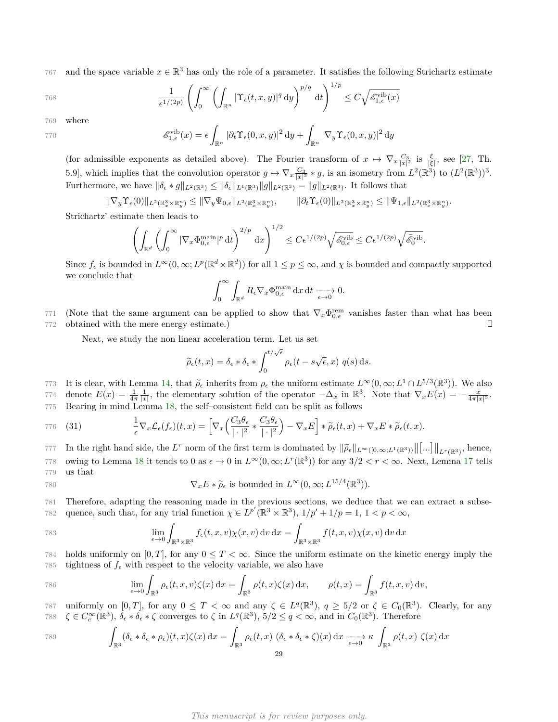767 and the space variable  $x \in \mathbb{R}^3$  has only the role of a parameter. It satisfies the following Strichartz estimate

768 
$$
\frac{1}{\epsilon^{1/(2p)}} \left( \int_0^\infty \left( \int_{\mathbb{R}^n} |\Upsilon_{\epsilon}(t,x,y)|^q dy \right)^{p/q} dt \right)^{1/p} \leq C \sqrt{\mathscr{E}_{1,\epsilon}^{\text{vib}}(x)}
$$

769 where

$$
\mathscr{E}_{1,\epsilon}^{\text{vib}}(x) = \epsilon \int_{\mathbb{R}^n} |\partial_t \Upsilon_{\epsilon}(0, x, y)|^2 \, dy + \int_{\mathbb{R}^n} |\nabla_y \Upsilon_{\epsilon}(0, x, y)|^2 \, dy
$$

(for admissible exponents as detailed above). The Fourier transform of  $x \mapsto \nabla_x \frac{C_3}{|x|^2}$  is  $\frac{\xi}{|\xi|}$ , see [\[27,](#page-30-24) Th. 5.9], which implies that the convolution operator  $g \mapsto \nabla_x \frac{C_3}{|x|^2} * g$ , is an isometry from  $L^2(\mathbb{R}^3)$  to  $(L^2(\mathbb{R}^3))^3$ . Furthermore, we have  $\|\delta_{\epsilon} * g\|_{L^2(\mathbb{R}^3)} \leq \|\delta_{\epsilon}\|_{L^1(\mathbb{R}^3)} \|g\|_{L^2(\mathbb{R}^3)} = \|g\|_{L^2(\mathbb{R}^3)}$ . It follows that

 $\|\nabla_y \Upsilon_{\epsilon}(0)\|_{L^2(\mathbb{R}^3_x \times \mathbb{R}^n_y)} \leq \|\nabla_y \Psi_{0,\epsilon}\|_{L^2(\mathbb{R}^3_x \times \mathbb{R}^n_y)}, \qquad \|\partial_t \Upsilon_{\epsilon}(0)\|_{L^2(\mathbb{R}^3_x \times \mathbb{R}^n_y)} \leq \|\Psi_{1,\epsilon}\|_{L^2(\mathbb{R}^3_x \times \mathbb{R}^n_y)}.$ 

Strichartz' estimate then leads to

$$
\left(\int_{\mathbb{R}^d} \left(\int_0^\infty |\nabla_x \Phi_{0,\epsilon}^{\text{main}}|^p \, \mathrm{d}t\right)^{2/p} \, \mathrm{d}x\right)^{1/2} \leq C \epsilon^{1/(2p)} \sqrt{\mathscr{E}_{0,\epsilon}^{\text{vib}}} \leq C \epsilon^{1/(2p)} \sqrt{\mathscr{E}_0^{\text{vib}}}.
$$

Since  $f_{\epsilon}$  is bounded in  $L^{\infty}(0,\infty; L^p(\mathbb{R}^d \times \mathbb{R}^d))$  for all  $1 \leq p \leq \infty$ , and  $\chi$  is bounded and compactly supported we conclude that

$$
\int_0^\infty \int_{\mathbb{R}^d} R_{\epsilon} \nabla_x \Phi_{0,\epsilon}^{\text{main}} \, \mathrm{d}x \, \mathrm{d}t \xrightarrow[\epsilon \to 0]{} 0.
$$

771 (Note that the same argument can be applied to show that  $\nabla_x \Phi_{0,\epsilon}^{\text{rem}}$  vanishes faster than what has been 772 obtained with the mere energy estimate.) П

Next, we study the non linear acceleration term. Let us set

<span id="page-28-0"></span>
$$
\widetilde{\rho}_{\epsilon}(t,x) = \delta_{\epsilon} * \delta_{\epsilon} * \int_0^{t/\sqrt{\epsilon}} \rho_{\epsilon}(t - s\sqrt{\epsilon}, x) \ q(s) \,ds.
$$

It is clear, with Lemma [14,](#page-18-0) that  $\tilde{\rho}_\epsilon$  inherits from  $\rho_\epsilon$  the uniform estimate  $L^\infty(0, \infty; L^1 \cap L^{5/3}(\mathbb{R}^3))$ . We also<br>774 denote  $F(x) = \frac{1}{x}$  the elementary solution of the eperator  $-\Lambda$  in  $\mathbb{R}^3$ . Note  $774$  denote  $E(x) = \frac{1}{4\pi} \frac{1}{|x|}$ , the elementary solution of the operator  $-\Delta_x$  in  $\mathbb{R}^3$ . Note that  $\nabla_x E(x) = -\frac{x}{4\pi |x|^3}$ . 775 Bearing in mind Lemma [18,](#page-24-0) the self–consistent field can be split as follows

$$
\frac{1}{\epsilon} \nabla_x \mathcal{L}_{\epsilon}(f_{\epsilon})(t,x) = \left[ \nabla_x \left( \frac{C_3 \theta_{\epsilon}}{|\cdot|^2} * \frac{C_3 \theta_{\epsilon}}{|\cdot|^2} \right) - \nabla_x E \right] * \widetilde{\rho}_{\epsilon}(t,x) + \nabla_x E * \widetilde{\rho}_{\epsilon}(t,x).
$$

*In the right hand side, the <i>L*<sup>r</sup> norm of the first term is dominated by  $\|\tilde{\rho}_{\epsilon}\|_{L^{\infty}([0,\infty;L^{1}(\mathbb{R}^{3}))}\|\ldots\|_{L^{r}(\mathbb{R}^{3})}$ , hence, 778 owing to Lemma [18](#page-24-0) it tends to 0 as  $\epsilon \to 0$  in  $L^{\infty}(0,\infty;L^{r}(\mathbb{R}^{3}))$  for any  $3/2 < r < \infty$ . Next, Lemma [17](#page-23-0) tells 779 us that

780 
$$
\nabla_x E * \widetilde{\rho}_{\epsilon} \text{ is bounded in } L^{\infty}(0,\infty; L^{15/4}(\mathbb{R}^3)).
$$

781 Therefore, adapting the reasoning made in the previous sections, we deduce that we can extract a subse-782 quence, such that, for any trial function  $\chi \in L^{p'}(\mathbb{R}^3 \times \mathbb{R}^3), 1/p' + 1/p = 1, 1 < p < \infty$ ,

783 
$$
\lim_{\epsilon \to 0} \int_{\mathbb{R}^3 \times \mathbb{R}^3} f_{\epsilon}(t, x, v) \chi(x, v) dv dx = \int_{\mathbb{R}^3 \times \mathbb{R}^3} f(t, x, v) \chi(x, v) dv dx
$$

784 holds uniformly on  $[0, T]$ , for any  $0 \leq T < \infty$ . Since the uniform estimate on the kinetic energy imply the 785 tightness of  $f_{\epsilon}$  with respect to the velocity variable, we also have

786 
$$
\lim_{\epsilon \to 0} \int_{\mathbb{R}^3} \rho_{\epsilon}(t, x, v) \zeta(x) dx = \int_{\mathbb{R}^3} \rho(t, x) \zeta(x) dx, \qquad \rho(t, x) = \int_{\mathbb{R}^3} f(t, x, v) dv,
$$

787 uniformly on  $[0, T]$ , for any  $0 \leq T < \infty$  and any  $\zeta \in L^q(\mathbb{R}^3)$ ,  $q \geq 5/2$  or  $\zeta \in C_0(\mathbb{R}^3)$ . Clearly, for any 788  $\zeta \in C_c^{\infty}(\mathbb{R}^3)$ ,  $\delta_{\epsilon} * \delta_{\epsilon} * \zeta$  converges to  $\zeta$  in  $L^q(\mathbb{R}^3)$ ,  $5/2 \leq q < \infty$ , and in  $C_0(\mathbb{R}^3)$ . Therefore

789 
$$
\int_{\mathbb{R}^3} (\delta_{\epsilon} * \delta_{\epsilon} * \rho_{\epsilon})(t, x) \zeta(x) dx = \int_{\mathbb{R}^3} \rho_{\epsilon}(t, x) (\delta_{\epsilon} * \delta_{\epsilon} * \zeta)(x) dx \xrightarrow[\epsilon \to 0]{} \kappa \int_{\mathbb{R}^3} \rho(t, x) \zeta(x) dx
$$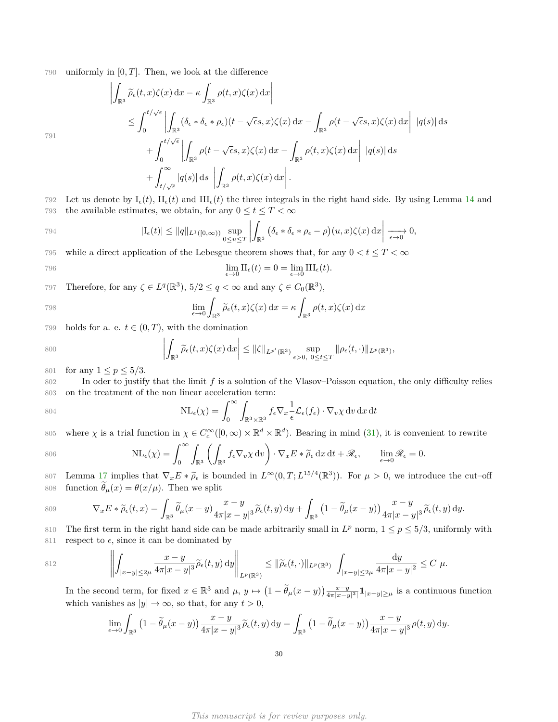790 uniformly in [0*, T*]. Then, we look at the difference

$$
\left| \int_{\mathbb{R}^3} \widetilde{\rho}_{\epsilon}(t,x)\zeta(x) dx - \kappa \int_{\mathbb{R}^3} \rho(t,x)\zeta(x) dx \right|
$$
  
\n
$$
\leq \int_0^{t/\sqrt{\epsilon}} \left| \int_{\mathbb{R}^3} (\delta_{\epsilon} * \delta_{\epsilon} * \rho_{\epsilon})(t - \sqrt{\epsilon} s, x)\zeta(x) dx - \int_{\mathbb{R}^3} \rho(t - \sqrt{\epsilon} s, x)\zeta(x) dx \right| |q(s)| ds
$$
  
\n
$$
+ \int_0^{t/\sqrt{\epsilon}} \left| \int_{\mathbb{R}^3} \rho(t - \sqrt{\epsilon} s, x)\zeta(x) dx - \int_{\mathbb{R}^3} \rho(t, x)\zeta(x) dx \right| |q(s)| ds
$$
  
\n
$$
+ \int_{t/\sqrt{\epsilon}}^{\infty} |q(s)| ds \left| \int_{\mathbb{R}^3} \rho(t, x)\zeta(x) dx \right|.
$$

791

792 Let us denote by 
$$
I_{\epsilon}(t)
$$
,  $II_{\epsilon}(t)$  and  $III_{\epsilon}(t)$  the three integrals in the right hand side. By using Lemma 14 and the available estimates, we obtain, for any  $0 \leq t \leq T < \infty$ 

$$
|I_{\epsilon}(t)| \leq ||q||_{L^{1}([0,\infty))} \sup_{0 \leq u \leq T} \left| \int_{\mathbb{R}^{3}} (\delta_{\epsilon} * \delta_{\epsilon} * \rho_{\epsilon} - \rho)(u,x) \zeta(x) dx \right| \xrightarrow[\epsilon \to 0]{} 0,
$$

795 while a direct application of the Lebesgue theorem shows that, for any  $0 < t \leq T < \infty$ 

$$
\lim_{\epsilon \to 0} \Pi_{\epsilon}(t) = 0 = \lim_{\epsilon \to 0} \Pi_{\epsilon}(t).
$$

Therefore, for any  $\zeta \in L^q(\mathbb{R}^3)$ ,  $5/2 \le q < \infty$  and any  $\zeta \in C_0(\mathbb{R}^3)$ ,

798 
$$
\lim_{\epsilon \to 0} \int_{\mathbb{R}^3} \widetilde{\rho}_{\epsilon}(t,x) \zeta(x) dx = \kappa \int_{\mathbb{R}^3} \rho(t,x) \zeta(x) dx
$$

799 holds for a. e.  $t \in (0, T)$ , with the domination

$$
\left|\int_{\mathbb{R}^3} \widetilde{\rho}_{\epsilon}(t,x)\zeta(x) \,\mathrm{d}x\right| \leq \|\zeta\|_{L^{p'}(\mathbb{R}^3)} \sup_{\epsilon>0, 0 \leq t \leq T} \|\rho_{\epsilon}(t,\cdot)\|_{L^p(\mathbb{R}^3)},
$$

801 for any  $1 \le p \le 5/3$ .

802 In oder to justify that the limit *f* is a solution of the Vlasov–Poisson equation, the only difficulty relies 803 on the treatment of the non linear acceleration term:

$$
804 \quad \text{NL}_{\epsilon}(\chi) = \int_0^{\infty} \int_{\mathbb{R}^3 \times \mathbb{R}^3} f_{\epsilon} \nabla_x \frac{1}{\epsilon} \mathcal{L}_{\epsilon}(f_{\epsilon}) \cdot \nabla_v \chi \, dv \, dx \, dt
$$

where  $\chi$  is a trial function in  $\chi \in C_c^{\infty}([0,\infty) \times \mathbb{R}^d \times \mathbb{R}^d)$ . Bearing in mind [\(31\)](#page-28-0), it is convenient to rewrite

$$
806 \t\t NL_{\epsilon}(\chi) = \int_0^{\infty} \int_{\mathbb{R}^3} \left( \int_{\mathbb{R}^3} f_{\epsilon} \nabla_v \chi \, dv \right) \cdot \nabla_x E * \widetilde{\rho}_{\epsilon} \, dx \, dt + \mathscr{R}_{\epsilon}, \qquad \lim_{\epsilon \to 0} \mathscr{R}_{\epsilon} = 0.
$$

807 Lemma [17](#page-23-0) implies that  $\nabla_x E * \tilde{\rho}_{\epsilon}$  is bounded in  $L^{\infty}(0,T; L^{15/4}(\mathbb{R}^3))$ . For *µ* > 0, we introduce the cut–off 808 function  $\tilde{\theta}_{\mu}(x) = \theta(x/\mu)$ . Then we split

$$
\nabla_x E * \widetilde{\rho}_{\epsilon}(t,x) = \int_{\mathbb{R}^3} \widetilde{\theta}_{\mu}(x-y) \frac{x-y}{4\pi|x-y|^3} \widetilde{\rho}_{\epsilon}(t,y) \, dy + \int_{\mathbb{R}^3} \left(1 - \widetilde{\theta}_{\mu}(x-y)\right) \frac{x-y}{4\pi|x-y|^3} \widetilde{\rho}_{\epsilon}(t,y) \, dy.
$$

810 The first term in the right hand side can be made arbitrarily small in  $L^p$  norm,  $1 \le p \le 5/3$ , uniformly with 811 respect to  $\epsilon$ , since it can be dominated by

812 
$$
\left\| \int_{|x-y| \leq 2\mu} \frac{x-y}{4\pi |x-y|^3} \widetilde{\rho}_{\epsilon}(t,y) dy \right\|_{L^p(\mathbb{R}^3)} \leq \|\widetilde{\rho}_{\epsilon}(t,\cdot)\|_{L^p(\mathbb{R}^3)} \int_{|x-y| \leq 2\mu} \frac{dy}{4\pi |x-y|^2} \leq C \mu.
$$

In the second term, for fixed  $x \in \mathbb{R}^3$  and  $\mu$ ,  $y \mapsto (1 - \tilde{\theta}_{\mu}(x - y)) \frac{x - y}{4\pi |x - y|^3} \mathbf{1}_{|x - y| \ge \mu}$  is a continuous function which vanishes as  $|y| \to \infty$ , so that, for any  $t > 0$ ,

$$
\lim_{\epsilon \to 0} \int_{\mathbb{R}^3} \left(1 - \widetilde{\theta}_{\mu}(x - y)\right) \frac{x - y}{4\pi |x - y|^3} \widetilde{\rho}_{\epsilon}(t, y) \, dy = \int_{\mathbb{R}^3} \left(1 - \widetilde{\theta}_{\mu}(x - y)\right) \frac{x - y}{4\pi |x - y|^3} \rho(t, y) \, dy.
$$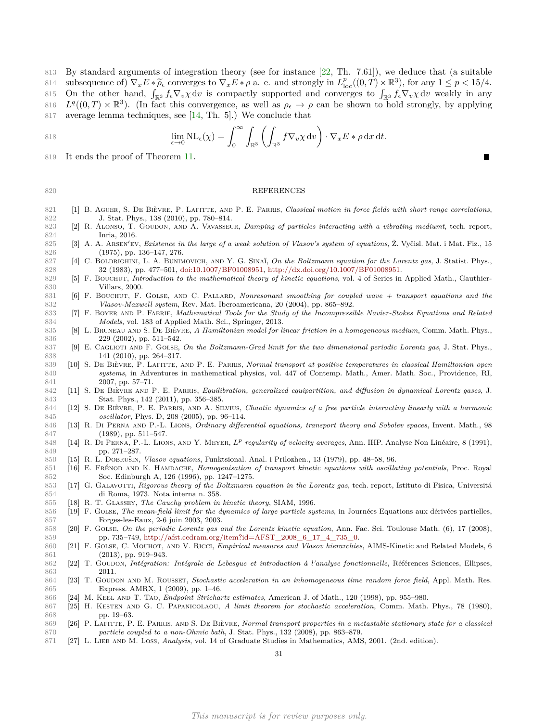By standard arguments of integration theory (see for instance [\[22,](#page-30-25) Th. 7.61]), we deduce that (a suitable subsequence of)  $\nabla_x E * \tilde{\rho}_e$  converges to  $\nabla_x E * \rho$  a. e. and strongly in  $L^p_{\text{loc}}((0, T) \times \mathbb{R}^3)$ , for any  $1 \leq p < 15/4$ . 815 On the other hand,  $\int_{\mathbb{R}^3} f_{\epsilon} \nabla_v \chi dv$  is compactly supported and converges to  $\int_{\mathbb{R}^3} f_{\epsilon} \nabla_v \chi dv$  weakly in any 816  $L^q((0,T) \times \mathbb{R}^3)$ . (In fact this convergence, as well as  $\rho_\epsilon \to \rho$  can be shown to hold strongly, by applying average lemma techniques, see [\[14,](#page-30-26) Th. 5].) We conclude that

818 
$$
\lim_{\epsilon \to 0} \mathrm{NL}_{\epsilon}(\chi) = \int_{0}^{\infty} \int_{\mathbb{R}^{3}} \left( \int_{\mathbb{R}^{3}} f \nabla_{v} \chi \, dv \right) \cdot \nabla_{x} E * \rho \, dx \, dt.
$$

It ends the proof of Theorem [11.](#page-17-3)

#### REFERENCES

- <span id="page-30-1"></span>821 [1] B. AGUER, S. DE BIÈVRE, P. LAFITTE, AND P. E. PARRIS, *Classical motion in force fields with short range correlations*, J. Stat. Phys., 138 (2010), pp. 780–814.
- <span id="page-30-16"></span> [2] R. Alonso, T. Goudon, and A. Vavasseur, *Damping of particles interacting with a vibrating mediumt*, tech. report, Inria, 2016.
- <span id="page-30-22"></span>[3] A. A. Arsen<sup>0</sup> ev, *Existence in the large of a weak solution of Vlasov's system of equations*, Ž. Vyčisl. Mat. i Mat. Fiz., 15 (1975), pp. 136–147, 276.
- <span id="page-30-6"></span>827 [4] C. BOLDRIGHINI, L. A. BUNIMOVICH, AND Y. G. SINAĬ, *On the Boltzmann equation for the Lorentz gas*, J. Statist. Phys., 32 (1983), pp. 477–501, [doi:10.1007/BF01008951,](http://dx.doi.org/10.1007/BF01008951) [http://dx.doi.org/10.1007/BF01008951.](http://dx.doi.org/10.1007/BF01008951)
- <span id="page-30-23"></span> [5] F. Bouchut, *Introduction to the mathematical theory of kinetic equations*, vol. 4 of Series in Applied Math., Gauthier-Villars, 2000.
- <span id="page-30-15"></span>831 [6] F. BOUCHUT, F. GOLSE, AND C. PALLARD, *Nonresonant smoothing for coupled wave + transport equations and the Vlasov-Maxwell system*, Rev. Mat. Iberoamericana, 20 (2004), pp. 865–892.
- <span id="page-30-20"></span> [7] F. Boyer and P. Fabrie, *Mathematical Tools for the Study of the Incompressible Navier-Stokes Equations and Related Models*, vol. 183 of Applied Math. Sci., Springer, 2013.
- <span id="page-30-0"></span> [8] L. Bruneau and S. De Bièvre, *A Hamiltonian model for linear friction in a homogeneous medium*, Comm. Math. Phys., 229 (2002), pp. 511–542.
- <span id="page-30-7"></span> [9] E. Caglioti and F. Golse, *On the Boltzmann-Grad limit for the two dimensional periodic Lorentz gas*, J. Stat. Phys., 141 (2010), pp. 264–317.
- <span id="page-30-2"></span> [10] S. De Bièvre, P. Lafitte, and P. E. Parris, *Normal transport at positive temperatures in classical Hamiltonian open systems*, in Adventures in mathematical physics, vol. 447 of Contemp. Math., Amer. Math. Soc., Providence, RI, 2007, pp. 57–71.
- <span id="page-30-3"></span> [11] S. De Bièvre and P. E. Parris, *Equilibration, generalized equipartition, and diffusion in dynamical Lorentz gases*, J. Stat. Phys., 142 (2011), pp. 356–385.
- <span id="page-30-4"></span> [12] S. De Bièvre, P. E. Parris, and A. Silvius, *Chaotic dynamics of a free particle interacting linearly with a harmonic oscillator*, Phys. D, 208 (2005), pp. 96–114.
- <span id="page-30-19"></span> [13] R. Di Perna and P.-L. Lions, *Ordinary differential equations, transport theory and Sobolev spaces*, Invent. Math., 98 (1989), pp. 511–547.
- <span id="page-30-26"></span>[14] R. Di Perna, P.-L. Lions, and Y. Meyer, *L<sup>p</sup> regularity of velocity averages*, Ann. IHP. Analyse Non Linéaire, 8 (1991), pp. 271–287.
- <span id="page-30-17"></span>[15] R. L. Dobrušin, *Vlasov equations*, Funktsional. Anal. i Prilozhen., 13 (1979), pp. 48–58, 96.
- <span id="page-30-10"></span> [16] E. Frénod and K. Hamdache, *Homogenisation of transport kinetic equations with oscillating potentials*, Proc. Royal Soc. Edinburgh A, 126 (1996), pp. 1247–1275.
- <span id="page-30-8"></span> [17] G. Galavotti, *Rigorous theory of the Boltzmann equation in the Lorentz gas*, tech. report, Istituto di Fisica, Universitá di Roma, 1973. Nota interna n. 358.
- <span id="page-30-18"></span>[18] R. T. Glassey, *The Cauchy problem in kinetic theory*, SIAM, 1996.
- <span id="page-30-13"></span> [19] F. Golse, *The mean-field limit for the dynamics of large particle systems*, in Journées Equations aux dérivées partielles, Forges-les-Eaux, 2-6 juin 2003, 2003.
- <span id="page-30-9"></span> [20] F. Golse, *On the periodic Lorentz gas and the Lorentz kinetic equation*, Ann. Fac. Sci. Toulouse Math. (6), 17 (2008), 859 pp. 735–749, [http://afst.cedram.org/item?id=AFST\\_2008\\_6\\_17\\_4\\_735\\_0.](http://afst.cedram.org/item?id=AFST_2008_6_17_4_735_0)
- <span id="page-30-14"></span> [21] F. Golse, C. Mouhot, and V. Ricci, *Empirical measures and Vlasov hierarchies*, AIMS-Kinetic and Related Models, 6 (2013), pp. 919–943.
- <span id="page-30-25"></span> [22] T. Goudon, *Intégration: Intégrale de Lebesgue et introduction à l'analyse fonctionnelle*, Références Sciences, Ellipses, 2011.
- <span id="page-30-11"></span> [23] T. Goudon and M. Rousset, *Stochastic acceleration in an inhomogeneous time random force field*, Appl. Math. Res. Express. AMRX, 1 (2009), pp. 1–46.
- <span id="page-30-21"></span>[24] M. Keel and T. Tao, *Endpoint Strichartz estimates*, American J. of Math., 120 (1998), pp. 955–980.
- <span id="page-30-12"></span> [25] H. Kesten and G. C. Papanicolaou, *A limit theorem for stochastic acceleration*, Comm. Math. Phys., 78 (1980), pp. 19–63.
- <span id="page-30-5"></span> [26] P. Lafitte, P. E. Parris, and S. De Bièvre, *Normal transport properties in a metastable stationary state for a classical particle coupled to a non-Ohmic bath*, J. Stat. Phys., 132 (2008), pp. 863–879.
- <span id="page-30-24"></span>[27] L. Lieb and M. Loss, *Analysis*, vol. 14 of Graduate Studies in Mathematics, AMS, 2001. (2nd. edition).